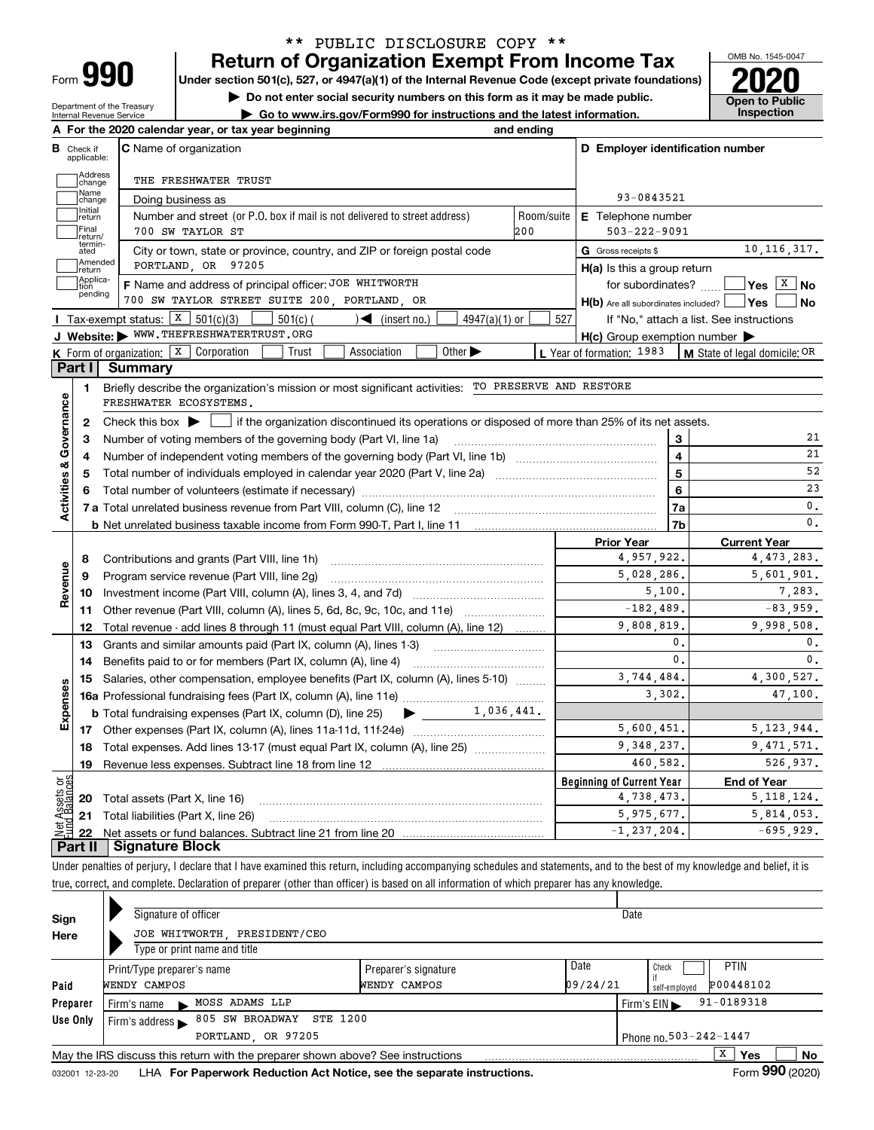| ⊦orm |  |
|------|--|

Department of the Treasury Internal Revenue Service

## **Return of Organization Exempt From Income Tax** \*\* PUBLIC DISCLOSURE COPY \*\*

**Under section 501(c), 527, or 4947(a)(1) of the Internal Revenue Code (except private foundations) 2020**

**| Do not enter social security numbers on this form as it may be made public.**

**| Go to www.irs.gov/Form990 for instructions and the latest information. Inspection**



|                              |                     | A For the 2020 calendar year, or tax year beginning                                                                                                 | and ending |                                                     |                                          |
|------------------------------|---------------------|-----------------------------------------------------------------------------------------------------------------------------------------------------|------------|-----------------------------------------------------|------------------------------------------|
| В<br>Check if                | applicable:         | <b>C</b> Name of organization                                                                                                                       |            | D Employer identification number                    |                                          |
|                              | Address<br>change   | THE FRESHWATER TRUST                                                                                                                                |            |                                                     |                                          |
|                              | Name<br>change      | Doing business as                                                                                                                                   |            | 93-0843521                                          |                                          |
|                              | Initial<br>return   | Number and street (or P.O. box if mail is not delivered to street address)                                                                          | Room/suite | <b>E</b> Telephone number                           |                                          |
|                              | Final<br>return/    | 700 SW TAYLOR ST                                                                                                                                    | 200        | $503 - 222 - 9091$                                  |                                          |
| ated                         | termin-             | City or town, state or province, country, and ZIP or foreign postal code                                                                            |            | G Gross receipts \$                                 | 10, 116, 317.                            |
|                              | Amended<br>return   | PORTLAND, OR 97205                                                                                                                                  |            | $H(a)$ is this a group return                       |                                          |
| tion                         | Applica-<br>pending | F Name and address of principal officer: JOE WHITWORTH                                                                                              |            | for subordinates?                                   | $\sqrt{}$ Yes $\sqrt{X}$ No              |
|                              |                     | 700 SW TAYLOR STREET SUITE 200, PORTLAND, OR                                                                                                        |            | $H(b)$ Are all subordinates included? $\Box$ Yes    | No                                       |
|                              |                     | Tax-exempt status: $X \ 501(c)(3)$<br>$\sqrt{\phantom{a}}$ (insert no.)<br>$4947(a)(1)$ or<br>501(c)(                                               | 527        |                                                     | If "No," attach a list. See instructions |
|                              |                     | J Website: WWW.THEFRESHWATERTRUST.ORG                                                                                                               |            | $H(c)$ Group exemption number $\blacktriangleright$ |                                          |
|                              |                     | <b>K</b> Form of organization: $\boxed{\textbf{X}}$ Corporation<br>Other $\blacktriangleright$<br>Association<br>Trust                              |            | L Year of formation: 1983                           | M State of legal domicile: OR            |
| Part I                       |                     | Summary                                                                                                                                             |            |                                                     |                                          |
| 1                            |                     | Briefly describe the organization's mission or most significant activities: TO PRESERVE AND RESTORE<br>FRESHWATER ECOSYSTEMS.                       |            |                                                     |                                          |
| Activities & Governance<br>2 |                     | Check this box $\blacktriangleright$ $\blacksquare$ if the organization discontinued its operations or disposed of more than 25% of its net assets. |            |                                                     |                                          |
| З                            |                     | Number of voting members of the governing body (Part VI, line 1a)                                                                                   |            | 3                                                   | 21                                       |
| 4                            |                     |                                                                                                                                                     |            | $\overline{4}$                                      | 21                                       |
| 5.                           |                     |                                                                                                                                                     |            | 5                                                   | 52                                       |
|                              |                     |                                                                                                                                                     |            | 6                                                   | 23                                       |
|                              |                     |                                                                                                                                                     |            | 7a                                                  | 0.                                       |
|                              |                     |                                                                                                                                                     |            | 7b                                                  | $\mathbf{0}$ .                           |
|                              |                     |                                                                                                                                                     |            | <b>Prior Year</b>                                   | <b>Current Year</b>                      |
| 8                            |                     | Contributions and grants (Part VIII, line 1h)                                                                                                       |            | 4,957,922.                                          | 4,473,283.                               |
| Revenue<br>9                 |                     | Program service revenue (Part VIII, line 2g)                                                                                                        |            | 5,028,286.                                          | 5,601,901.                               |
| 10                           |                     |                                                                                                                                                     |            | 5.100.                                              | 7.283.                                   |
| 11                           |                     | Other revenue (Part VIII, column (A), lines 5, 6d, 8c, 9c, 10c, and 11e)                                                                            |            | $-182,489.$                                         | $-83,959.$                               |
| 12                           |                     | Total revenue - add lines 8 through 11 (must equal Part VIII, column (A), line 12)                                                                  |            | 9,808,819.                                          | 9,998,508.                               |
| 13                           |                     | Grants and similar amounts paid (Part IX, column (A), lines 1-3)                                                                                    |            | 0.                                                  | 0.                                       |
| 14                           |                     |                                                                                                                                                     |            | $\mathbf{0}$ .                                      | 0.                                       |
| 15                           |                     | Salaries, other compensation, employee benefits (Part IX, column (A), lines 5-10)                                                                   |            | 3,744,484.                                          | 4,300,527.                               |
| Expenses                     |                     |                                                                                                                                                     |            | 3,302.                                              | 47,100.                                  |
|                              |                     | 1,036,441.<br><b>b</b> Total fundraising expenses (Part IX, column (D), line 25)<br>$\blacktriangleright$ and $\blacktriangleright$                 |            |                                                     |                                          |
|                              |                     |                                                                                                                                                     |            | 5,600,451.                                          | 5, 123, 944.                             |
| 18                           |                     | Total expenses. Add lines 13-17 (must equal Part IX, column (A), line 25) <i></i>                                                                   |            | 9, 348, 237.                                        | 9, 471, 571.                             |
| 19                           |                     |                                                                                                                                                     |            | 460,582.                                            | 526,937.                                 |
| ğĕ                           |                     |                                                                                                                                                     |            | <b>Beginning of Current Year</b>                    | <b>End of Year</b>                       |
|                              |                     | <b>20</b> Total assets (Part X, line 16)                                                                                                            |            | 4,738,473.                                          | 5, 118, 124.                             |
|                              |                     | 21 Total liabilities (Part X, line 26)                                                                                                              |            | 5,975,677.                                          | 5,814,053.                               |
| 22                           |                     |                                                                                                                                                     |            | $-1, 237, 204.$                                     | $-695,929.$                              |
| Part II                      |                     | <b>Signature Block</b>                                                                                                                              |            |                                                     |                                          |

Under penalties of perjury, I declare that I have examined this return, including accompanying schedules and statements, and to the best of my knowledge and belief, it is true, correct, and complete. Declaration of preparer (other than officer) is based on all information of which preparer has any knowledge.

| Sign            | Signature of officer                                                            | Date                 |          |                                                    |  |  |  |  |  |  |  |
|-----------------|---------------------------------------------------------------------------------|----------------------|----------|----------------------------------------------------|--|--|--|--|--|--|--|
| Here            | JOE WHITWORTH PRESIDENT/CEO                                                     |                      |          |                                                    |  |  |  |  |  |  |  |
|                 | Type or print name and title                                                    |                      |          |                                                    |  |  |  |  |  |  |  |
|                 | Print/Type preparer's name                                                      | Preparer's signature | Date     | <b>PTIN</b><br>Check                               |  |  |  |  |  |  |  |
| Paid            | WENDY CAMPOS                                                                    | WENDY CAMPOS         | 09/24/21 | P00448102<br>self-emploved                         |  |  |  |  |  |  |  |
| Preparer        | MOSS ADAMS LLP<br>Firm's name                                                   |                      |          | $91 - 0189318$<br>Firm's $EIN \blacktriangleright$ |  |  |  |  |  |  |  |
| Use Only        | 805 SW BROADWAY<br><b>STE 1200</b><br>Firm's address $\blacktriangleright$      |                      |          |                                                    |  |  |  |  |  |  |  |
|                 | PORTLAND, OR 97205<br>Phone no. 503-242-1447                                    |                      |          |                                                    |  |  |  |  |  |  |  |
|                 | May the IRS discuss this return with the preparer shown above? See instructions |                      |          | X<br>No<br><b>Yes</b>                              |  |  |  |  |  |  |  |
| 032001 12-23-20 | LHA For Paperwork Reduction Act Notice, see the separate instructions.          |                      |          | Form 990 (2020)                                    |  |  |  |  |  |  |  |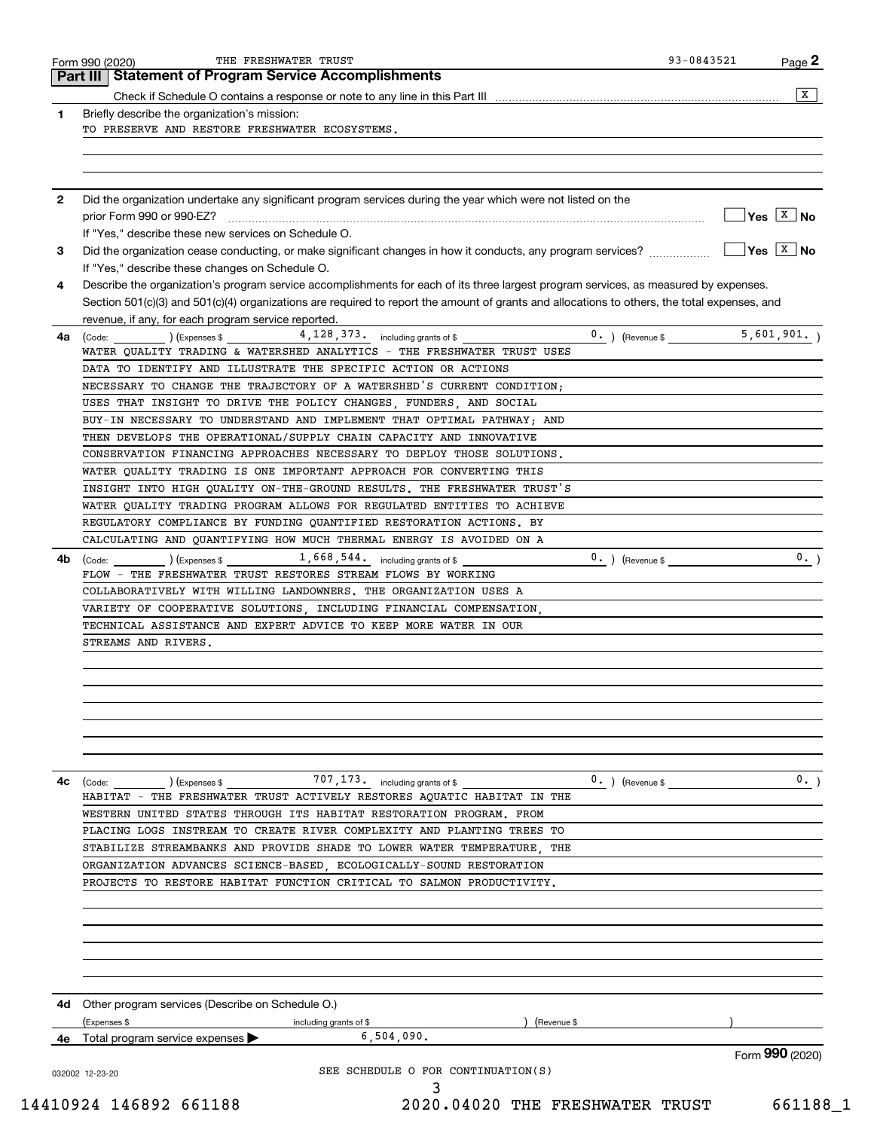|      | <b>Statement of Program Service Accomplishments</b><br>Part III I                                                                                                             |                                     |
|------|-------------------------------------------------------------------------------------------------------------------------------------------------------------------------------|-------------------------------------|
|      | Check if Schedule O contains a response or note to any line in this Part III [1] [1] [1] [1] [1] Check if Schedule O contains a response or note to any line in this Part III | X                                   |
| 1    | Briefly describe the organization's mission:                                                                                                                                  |                                     |
|      | TO PRESERVE AND RESTORE FRESHWATER ECOSYSTEMS.                                                                                                                                |                                     |
|      |                                                                                                                                                                               |                                     |
|      |                                                                                                                                                                               |                                     |
| 2    | Did the organization undertake any significant program services during the year which were not listed on the                                                                  |                                     |
|      |                                                                                                                                                                               | $\sqrt{Y}$ es $\boxed{X}$ No        |
|      | If "Yes," describe these new services on Schedule O.                                                                                                                          |                                     |
| 3    | Did the organization cease conducting, or make significant changes in how it conducts, any program services?                                                                  | $\overline{Y}$ es $\overline{X}$ No |
|      | If "Yes," describe these changes on Schedule O.                                                                                                                               |                                     |
| 4    | Describe the organization's program service accomplishments for each of its three largest program services, as measured by expenses.                                          |                                     |
|      | Section 501(c)(3) and 501(c)(4) organizations are required to report the amount of grants and allocations to others, the total expenses, and                                  |                                     |
|      | revenue, if any, for each program service reported.                                                                                                                           |                                     |
| 4a   | $4,128,373$ including grants of \$<br>$0.$ ) (Revenue \$<br>(Code: ) (Expenses \$                                                                                             | 5,601,901.                          |
|      | WATER QUALITY TRADING & WATERSHED ANALYTICS - THE FRESHWATER TRUST USES                                                                                                       |                                     |
|      | DATA TO IDENTIFY AND ILLUSTRATE THE SPECIFIC ACTION OR ACTIONS                                                                                                                |                                     |
|      | NECESSARY TO CHANGE THE TRAJECTORY OF A WATERSHED'S CURRENT CONDITION;                                                                                                        |                                     |
|      | USES THAT INSIGHT TO DRIVE THE POLICY CHANGES, FUNDERS, AND SOCIAL                                                                                                            |                                     |
|      | BUY-IN NECESSARY TO UNDERSTAND AND IMPLEMENT THAT OPTIMAL PATHWAY; AND                                                                                                        |                                     |
|      | THEN DEVELOPS THE OPERATIONAL/SUPPLY CHAIN CAPACITY AND INNOVATIVE                                                                                                            |                                     |
|      | CONSERVATION FINANCING APPROACHES NECESSARY TO DEPLOY THOSE SOLUTIONS.                                                                                                        |                                     |
|      | WATER QUALITY TRADING IS ONE IMPORTANT APPROACH FOR CONVERTING THIS                                                                                                           |                                     |
|      | INSIGHT INTO HIGH QUALITY ON-THE-GROUND RESULTS. THE FRESHWATER TRUST'S                                                                                                       |                                     |
|      | WATER QUALITY TRADING PROGRAM ALLOWS FOR REGULATED ENTITIES TO ACHIEVE                                                                                                        |                                     |
|      | REGULATORY COMPLIANCE BY FUNDING QUANTIFIED RESTORATION ACTIONS. BY                                                                                                           |                                     |
|      | CALCULATING AND QUANTIFYING HOW MUCH THERMAL ENERGY IS AVOIDED ON A                                                                                                           |                                     |
| 4b.  | $1,668,544.$ including grants of \$<br>$0.$ ) (Revenue \$<br>(Code:<br>) (Expenses \$                                                                                         | 0.                                  |
|      | FLOW - THE FRESHWATER TRUST RESTORES STREAM FLOWS BY WORKING                                                                                                                  |                                     |
|      | COLLABORATIVELY WITH WILLING LANDOWNERS. THE ORGANIZATION USES A                                                                                                              |                                     |
|      | VARIETY OF COOPERATIVE SOLUTIONS INCLUDING FINANCIAL COMPENSATION.                                                                                                            |                                     |
|      | TECHNICAL ASSISTANCE AND EXPERT ADVICE TO KEEP MORE WATER IN OUR                                                                                                              |                                     |
|      | STREAMS AND RIVERS.                                                                                                                                                           |                                     |
|      |                                                                                                                                                                               |                                     |
|      |                                                                                                                                                                               |                                     |
|      |                                                                                                                                                                               |                                     |
|      |                                                                                                                                                                               |                                     |
|      |                                                                                                                                                                               |                                     |
|      |                                                                                                                                                                               |                                     |
|      |                                                                                                                                                                               |                                     |
| 4c   | 707, 173. including grants of \$<br>$0.$ ) (Revenue \$<br>$\left(\text{Code:} \right)$ $\left(\text{Expenses $}\right)$                                                       | 0.1                                 |
|      | HABITAT - THE FRESHWATER TRUST ACTIVELY RESTORES AQUATIC HABITAT IN THE                                                                                                       |                                     |
|      | WESTERN UNITED STATES THROUGH ITS HABITAT RESTORATION PROGRAM. FROM                                                                                                           |                                     |
|      | PLACING LOGS INSTREAM TO CREATE RIVER COMPLEXITY AND PLANTING TREES TO                                                                                                        |                                     |
|      | STABILIZE STREAMBANKS AND PROVIDE SHADE TO LOWER WATER TEMPERATURE, THE                                                                                                       |                                     |
|      | ORGANIZATION ADVANCES SCIENCE-BASED, ECOLOGICALLY-SOUND RESTORATION                                                                                                           |                                     |
|      | PROJECTS TO RESTORE HABITAT FUNCTION CRITICAL TO SALMON PRODUCTIVITY.                                                                                                         |                                     |
|      |                                                                                                                                                                               |                                     |
|      |                                                                                                                                                                               |                                     |
|      |                                                                                                                                                                               |                                     |
|      |                                                                                                                                                                               |                                     |
|      |                                                                                                                                                                               |                                     |
|      |                                                                                                                                                                               |                                     |
| 4d - | Other program services (Describe on Schedule O.)                                                                                                                              |                                     |
|      | (Expenses \$<br>Revenue \$<br>including grants of \$                                                                                                                          |                                     |
|      | 6,504,090.<br><b>4e</b> Total program service expenses $\blacktriangleright$                                                                                                  |                                     |
|      |                                                                                                                                                                               |                                     |
|      | SEE SCHEDULE O FOR CONTINUATION(S)                                                                                                                                            | Form 990 (2020)                     |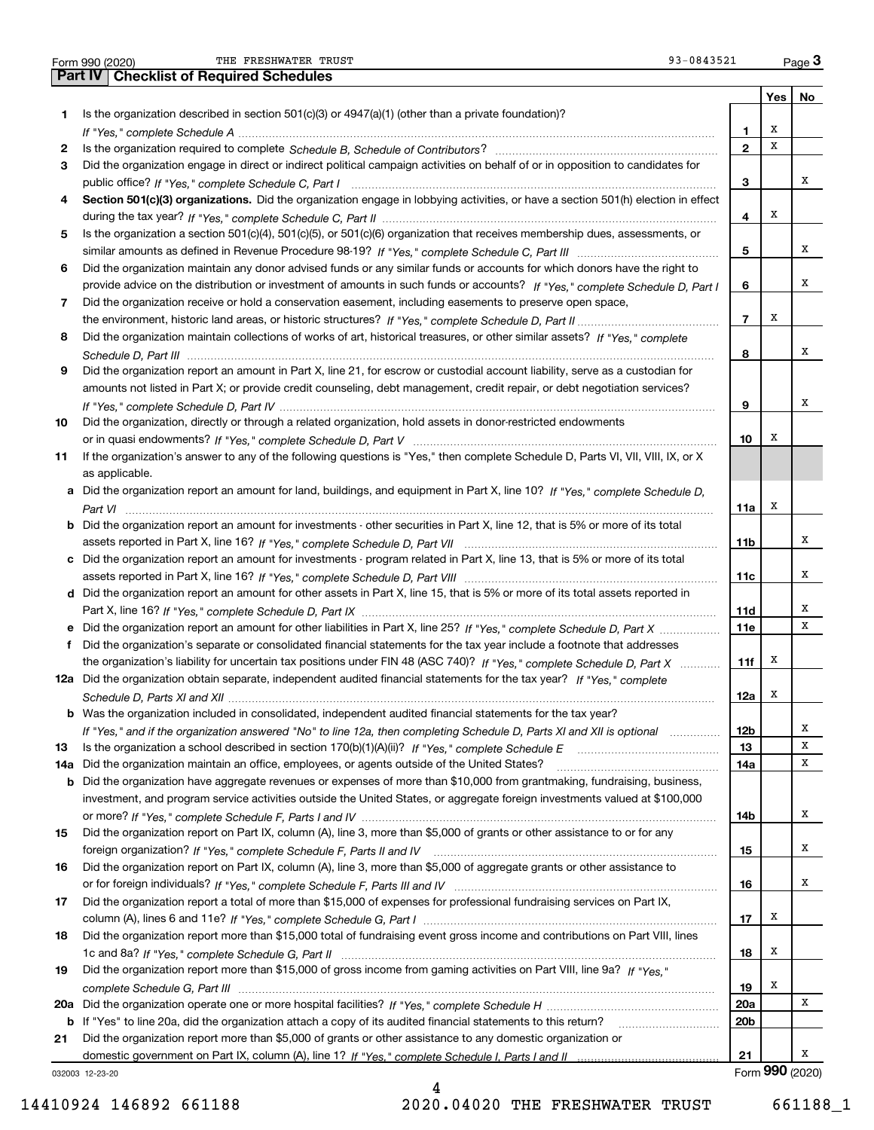|  | Form 990 (2020) |
|--|-----------------|

THE FRESHWATER TRUST **12000** CHERRY 13000 CHERRY 13000 CHERRY 13000 CHERRY 13000 CHERRY 13000 CHERRY 13000 CHERRY 13000 CHERRY 13000 CHERRY 13000 CHERRY 13000 CHERRY 13000 CHERRY 13000 CHERRY 13000 CHERRY 13000 CHERRY 1300

|     | 93-0843521<br>THE FRESHWATER TRUST<br>Form 990 (2020)                                                                                 |                 |     | $Page$ <sup>3</sup> |
|-----|---------------------------------------------------------------------------------------------------------------------------------------|-----------------|-----|---------------------|
|     | <b>Part IV   Checklist of Required Schedules</b>                                                                                      |                 |     |                     |
|     |                                                                                                                                       |                 | Yes | No                  |
| 1   | Is the organization described in section $501(c)(3)$ or $4947(a)(1)$ (other than a private foundation)?                               |                 |     |                     |
|     |                                                                                                                                       | 1               | х   |                     |
| 2   |                                                                                                                                       | $\mathbf{2}$    | X   |                     |
| 3   | Did the organization engage in direct or indirect political campaign activities on behalf of or in opposition to candidates for       |                 |     |                     |
|     |                                                                                                                                       | 3               |     | х                   |
| 4   | Section 501(c)(3) organizations. Did the organization engage in lobbying activities, or have a section 501(h) election in effect      |                 |     |                     |
|     |                                                                                                                                       | 4               | х   |                     |
| 5   | Is the organization a section 501(c)(4), 501(c)(5), or 501(c)(6) organization that receives membership dues, assessments, or          |                 |     |                     |
|     |                                                                                                                                       | 5               |     | х                   |
| 6   | Did the organization maintain any donor advised funds or any similar funds or accounts for which donors have the right to             |                 |     |                     |
|     | provide advice on the distribution or investment of amounts in such funds or accounts? If "Yes," complete Schedule D, Part I          | 6               |     | х                   |
|     |                                                                                                                                       |                 |     |                     |
| 7   | Did the organization receive or hold a conservation easement, including easements to preserve open space,                             |                 | х   |                     |
|     |                                                                                                                                       | $\overline{7}$  |     |                     |
| 8   | Did the organization maintain collections of works of art, historical treasures, or other similar assets? If "Yes," complete          |                 |     |                     |
|     |                                                                                                                                       | 8               |     | х                   |
| 9   | Did the organization report an amount in Part X, line 21, for escrow or custodial account liability, serve as a custodian for         |                 |     |                     |
|     | amounts not listed in Part X; or provide credit counseling, debt management, credit repair, or debt negotiation services?             |                 |     |                     |
|     |                                                                                                                                       | 9               |     | х                   |
| 10  | Did the organization, directly or through a related organization, hold assets in donor-restricted endowments                          |                 |     |                     |
|     |                                                                                                                                       | 10              | х   |                     |
| 11  | If the organization's answer to any of the following questions is "Yes," then complete Schedule D, Parts VI, VII, VIII, IX, or X      |                 |     |                     |
|     | as applicable.                                                                                                                        |                 |     |                     |
|     | a Did the organization report an amount for land, buildings, and equipment in Part X, line 10? If "Yes," complete Schedule D,         |                 |     |                     |
|     |                                                                                                                                       | 11a             | Х   |                     |
|     | <b>b</b> Did the organization report an amount for investments - other securities in Part X, line 12, that is 5% or more of its total |                 |     |                     |
|     |                                                                                                                                       | 11b             |     | х                   |
|     | c Did the organization report an amount for investments - program related in Part X, line 13, that is 5% or more of its total         |                 |     |                     |
|     |                                                                                                                                       | 11c             |     | х                   |
|     | d Did the organization report an amount for other assets in Part X, line 15, that is 5% or more of its total assets reported in       |                 |     |                     |
|     |                                                                                                                                       | 11d             |     | х                   |
|     | e Did the organization report an amount for other liabilities in Part X, line 25? If "Yes," complete Schedule D, Part X               | 11e             |     | x                   |
| f   | Did the organization's separate or consolidated financial statements for the tax year include a footnote that addresses               |                 |     |                     |
|     | the organization's liability for uncertain tax positions under FIN 48 (ASC 740)? If "Yes," complete Schedule D, Part X                | 11f             | X   |                     |
|     | 12a Did the organization obtain separate, independent audited financial statements for the tax year? If "Yes," complete               |                 |     |                     |
|     |                                                                                                                                       | 12a             | x   |                     |
|     |                                                                                                                                       |                 |     |                     |
| b   | Was the organization included in consolidated, independent audited financial statements for the tax year?                             |                 |     |                     |
|     | If "Yes," and if the organization answered "No" to line 12a, then completing Schedule D, Parts XI and XII is optional manum           | 12b             |     | x<br>х              |
| 13  |                                                                                                                                       | 13              |     |                     |
| 14a | Did the organization maintain an office, employees, or agents outside of the United States?                                           | 14a             |     | х                   |
| b   | Did the organization have aggregate revenues or expenses of more than \$10,000 from grantmaking, fundraising, business,               |                 |     |                     |
|     | investment, and program service activities outside the United States, or aggregate foreign investments valued at \$100,000            |                 |     |                     |
|     |                                                                                                                                       | 14b             |     | х                   |
| 15  | Did the organization report on Part IX, column (A), line 3, more than \$5,000 of grants or other assistance to or for any             |                 |     |                     |
|     |                                                                                                                                       | 15              |     | х                   |
| 16  | Did the organization report on Part IX, column (A), line 3, more than \$5,000 of aggregate grants or other assistance to              |                 |     |                     |
|     |                                                                                                                                       | 16              |     | х                   |
| 17  | Did the organization report a total of more than \$15,000 of expenses for professional fundraising services on Part IX,               |                 |     |                     |
|     |                                                                                                                                       | 17              | х   |                     |
| 18  | Did the organization report more than \$15,000 total of fundraising event gross income and contributions on Part VIII, lines          |                 |     |                     |
|     |                                                                                                                                       | 18              | х   |                     |
| 19  | Did the organization report more than \$15,000 of gross income from gaming activities on Part VIII, line 9a? If "Yes."                |                 |     |                     |
|     |                                                                                                                                       | 19              | X   |                     |
|     |                                                                                                                                       | 20a             |     | х                   |
| b   | If "Yes" to line 20a, did the organization attach a copy of its audited financial statements to this return?                          | 20 <sub>b</sub> |     |                     |
| 21  | Did the organization report more than \$5,000 of grants or other assistance to any domestic organization or                           |                 |     |                     |
|     |                                                                                                                                       | 21              |     | х                   |
|     |                                                                                                                                       |                 |     | Form 990 (2020)     |
|     | 032003 12-23-20                                                                                                                       |                 |     |                     |

032003 12-23-20

4 14410924 146892 661188 2020.04020 THE FRESHWATER TRUST 661188\_1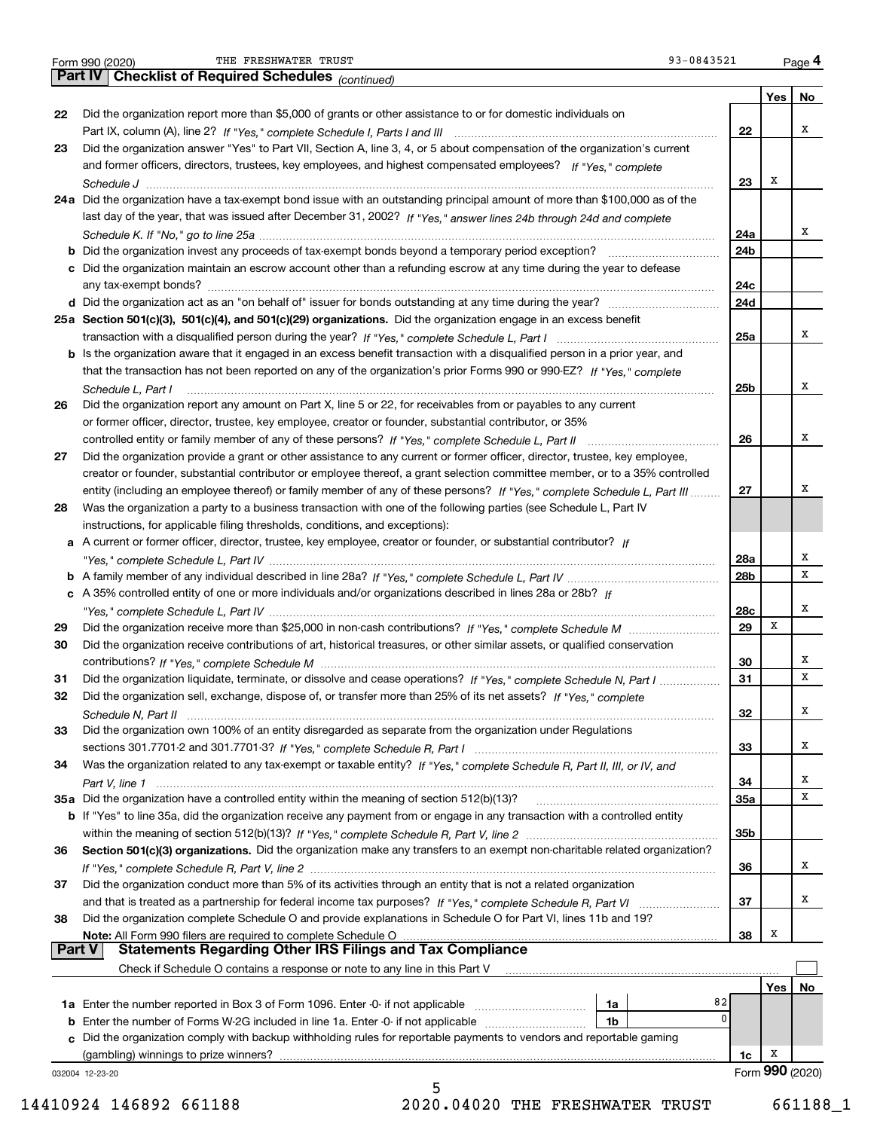|  | Form 990 (2020) |
|--|-----------------|
|  |                 |

THE FRESHWATER TRUST **12000** CHECK 12000 CHECK 1399-0843521

032004 12-23-20 **Yes No 22**Did the organization report more than \$5,000 of grants or other assistance to or for domestic individuals on **2324a**Did the organization have a tax-exempt bond issue with an outstanding principal amount of more than \$100,000 as of the **25aSection 501(c)(3), 501(c)(4), and 501(c)(29) organizations.**  Did the organization engage in an excess benefit **26272829303132333435a** Did the organization have a controlled entity within the meaning of section 512(b)(13)? **363738222324a24b24c24d25a25b262728a28b28c29303132333435a35b363738b** Did the organization invest any proceeds of tax-exempt bonds beyond a temporary period exception? \_\_\_\_\_\_\_\_\_\_\_\_\_\_\_\_\_ **c**Did the organization maintain an escrow account other than a refunding escrow at any time during the year to defease **d** Did the organization act as an "on behalf of" issuer for bonds outstanding at any time during the year? www.communically **b** Is the organization aware that it engaged in an excess benefit transaction with a disqualified person in a prior year, and **ab***If "Yes," complete Schedule L, Part IV* A family member of any individual described in line 28a? ~~~~~~~~~~~~~~~**c***If* A 35% controlled entity of one or more individuals and/or organizations described in lines 28a or 28b? **b** If "Yes" to line 35a, did the organization receive any payment from or engage in any transaction with a controlled entity **Section 501(c)(3) organizations.** Did the organization make any transfers to an exempt non-charitable related organization? **Note:**  All Form 990 filers are required to complete Schedule O **Yes No 1a** Enter the number reported in Box 3 of Form 1096. Enter -0- if not applicable  $\ldots$  $\ldots$  $\ldots$  $\ldots$  $\ldots$ **b** Enter the number of Forms W-2G included in line 1a. Enter -0- if not applicable  $\ldots$  $\ldots$  $\ldots$  $\ldots$  ${\bf c}$  Did the organization comply with backup withholding rules for reportable payments to vendors and reportable gaming **1a1b1c** Form (2020) **990** *(continued)* Part IX, column (A), line 2? H "Yes," complete Schedule I, Parts I and III **www.www.www.www.www.www.www.ww** *If "Yes," complete* and former officers, directors, trustees, key employees, and highest compensated employees? *Schedule J* last day of the year, that was issued after December 31, 2002? If "Yes," answer lines 24b through 24d and complete *Schedule K. If "No," go to line 25a* ~~~~~~~~~~~~~~~~~~~~~~~~~~~~~~~~~~~~~~~~~~~~~ transaction with a disqualified person during the year? If "Yes," complete Schedule L, Part I multimated and the *If "Yes," complete* that the transaction has not been reported on any of the organization's prior Forms 990 or 990-EZ? *Schedule L, Part I* controlled entity or family member of any of these persons?  $H$  "Yes," complete Schedule L, Part II www.www.www.www. entity (including an employee thereof) or family member of any of these persons? If "Yes," c*omplete Schedule L, Part III* ......... A current or former officer, director, trustee, key employee, creator or founder, or substantial contributor? If *"Yes," complete Schedule L, Part IV* ~~~~~~~~~~~~~~~~~~~~~~~~~~~~~~~~~~~~~~~~~~~~*"Yes," complete Schedule L, Part IV* ~~~~~~~~~~~~~~~~~~~~~~~~~~~~~~~~~~~~~~~~~~~~ Did the organization receive more than \$25,000 in non-cash contributions? If "Yes," complete Schedule M ........................... *If "Yes," complete Schedule M* contributions? ~~~~~~~~~~~~~~~~~~~~~~~~~~~~~~~~~~~~~~~Did the organization liquidate, terminate, or dissolve and cease operations? If "Yes," c*omplete Schedule N, Part I If "Yes," complete* Did the organization sell, exchange, dispose of, or transfer more than 25% of its net assets? *Schedule N, Part II* ~~~~~~~~~~~~~~~~~~~~~~~~~~~~~~~~~~~~~~~~~~~~~~~~~~~~ *If "Yes," complete Schedule R, Part I* sections 301.7701-2 and 301.7701-3? ~~~~~~~~~~~~~~~~~~~~~~~~ Was the organization related to any tax-exempt or taxable entity? If "Yes," complete Schedule R, Part II, III, or IV, and *Part V, line 1* within the meaning of section 512(b)(13)? If "Yes," complete Schedule R, Part V, line 2 ……………………………………………… If "Yes," complete Schedule R, Part V, line 2 …………………………………………………………………………………………… and that is treated as a partnership for federal income tax purposes? *H* "Yes," complete Schedule R, Part VI ......................... Form 990 (2020) THE FRESHWATER TRUST 93-0843521 <sub>Page</sub> 4<br>**Part IV | Checklist of Required Schedules** <sub>(continued)</sub> 93-0843521 <sub>Page</sub> 4 Did the organization answer "Yes" to Part VII, Section A, line 3, 4, or 5 about compensation of the organization's current any tax-exempt bonds? ~~~~~~~~~~~~~~~~~~~~~~~~~~~~~~~~~~~~~~~~~~~~~~~~~~ Did the organization report any amount on Part X, line 5 or 22, for receivables from or payables to any current or former officer, director, trustee, key employee, creator or founder, substantial contributor, or 35% Did the organization provide a grant or other assistance to any current or former officer, director, trustee, key employee, creator or founder, substantial contributor or employee thereof, a grant selection committee member, or to a 35% controlled Was the organization a party to a business transaction with one of the following parties (see Schedule L, Part IV instructions, for applicable filing thresholds, conditions, and exceptions): Did the organization receive contributions of art, historical treasures, or other similar assets, or qualified conservation Did the organization own 100% of an entity disregarded as separate from the organization under Regulations Did the organization conduct more than 5% of its activities through an entity that is not a related organization Did the organization complete Schedule O and provide explanations in Schedule O for Part VI, lines 11b and 19? Check if Schedule O contains a response or note to any line in this Part V (gambling) winnings to prize winners? **Part V** | Statements Regarding Other IRS Filings and Tax Compliance  $\mathcal{L}^{\text{max}}$ XXXXXXXXXXXX82 $\overline{0}$ XXXXXXXXX5 14410924 146892 661188 2020.04020 THE FRESHWATER TRUST 661188\_1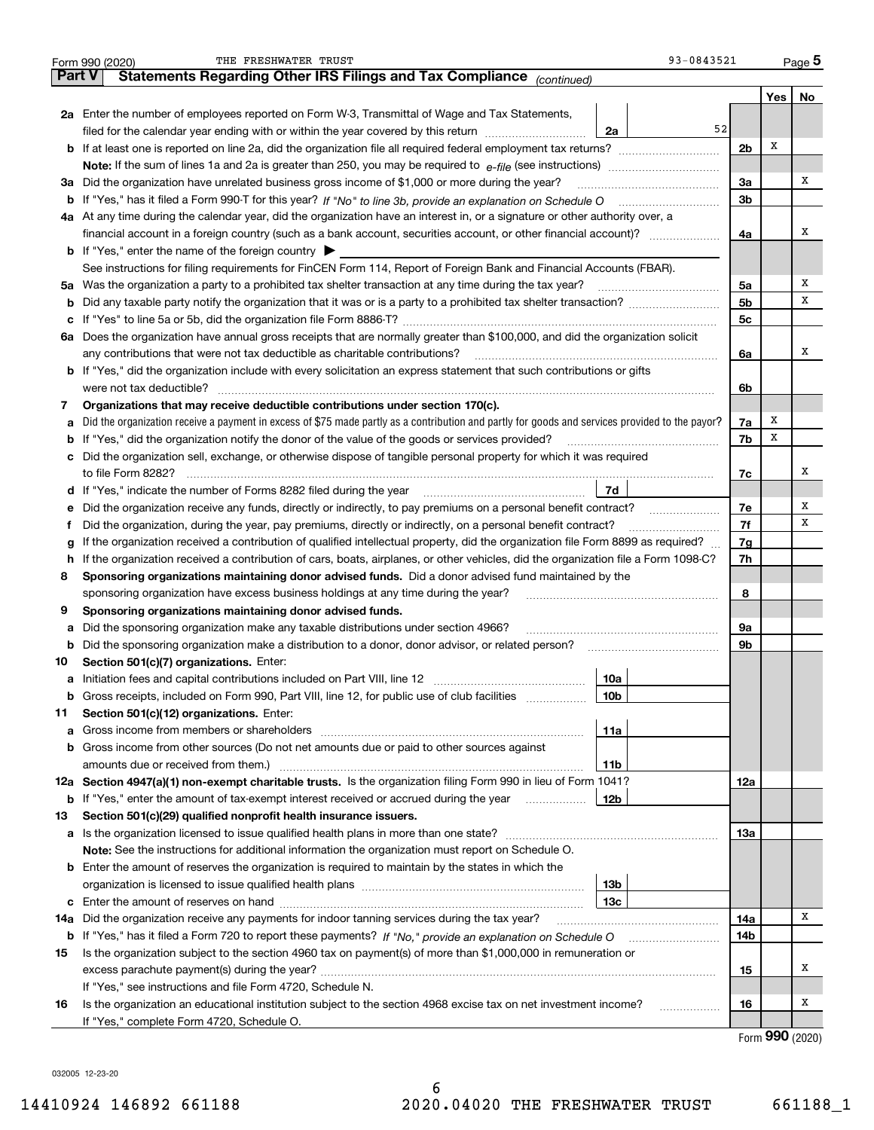|        | 93-0843521<br>THE FRESHWATER TRUST<br>Form 990 (2020)                                                                                                                                                                                 |                |       | $_{\text{Page}}$ 5 |  |  |  |  |  |
|--------|---------------------------------------------------------------------------------------------------------------------------------------------------------------------------------------------------------------------------------------|----------------|-------|--------------------|--|--|--|--|--|
| Part V | Statements Regarding Other IRS Filings and Tax Compliance (continued)                                                                                                                                                                 |                |       |                    |  |  |  |  |  |
|        |                                                                                                                                                                                                                                       |                | Yes   | No                 |  |  |  |  |  |
|        | 2a Enter the number of employees reported on Form W-3, Transmittal of Wage and Tax Statements,                                                                                                                                        |                |       |                    |  |  |  |  |  |
|        | 52<br>filed for the calendar year ending with or within the year covered by this return<br>2a                                                                                                                                         |                |       |                    |  |  |  |  |  |
|        | <b>b</b> If at least one is reported on line 2a, did the organization file all required federal employment tax returns?                                                                                                               | 2 <sub>b</sub> | Х     |                    |  |  |  |  |  |
|        | <b>Note:</b> If the sum of lines 1a and 2a is greater than 250, you may be required to $e$ -file (see instructions) <i>manimummmmmm</i>                                                                                               |                |       |                    |  |  |  |  |  |
|        | 3a Did the organization have unrelated business gross income of \$1,000 or more during the year?                                                                                                                                      | 3a             |       | х                  |  |  |  |  |  |
|        | <b>b</b> If "Yes," has it filed a Form 990-T for this year? If "No" to line 3b, provide an explanation on Schedule O                                                                                                                  | 3 <sub>b</sub> |       |                    |  |  |  |  |  |
|        | 4a At any time during the calendar year, did the organization have an interest in, or a signature or other authority over, a                                                                                                          |                |       |                    |  |  |  |  |  |
|        |                                                                                                                                                                                                                                       | 4a             |       | х                  |  |  |  |  |  |
|        | <b>b</b> If "Yes," enter the name of the foreign country $\triangleright$                                                                                                                                                             |                |       |                    |  |  |  |  |  |
|        | See instructions for filing requirements for FinCEN Form 114, Report of Foreign Bank and Financial Accounts (FBAR).                                                                                                                   |                |       |                    |  |  |  |  |  |
|        | 5a Was the organization a party to a prohibited tax shelter transaction at any time during the tax year?                                                                                                                              | 5a             |       | х                  |  |  |  |  |  |
|        |                                                                                                                                                                                                                                       | 5 <sub>b</sub> |       | х                  |  |  |  |  |  |
|        |                                                                                                                                                                                                                                       | 5c             |       |                    |  |  |  |  |  |
|        | 6a Does the organization have annual gross receipts that are normally greater than \$100,000, and did the organization solicit                                                                                                        |                |       |                    |  |  |  |  |  |
|        | any contributions that were not tax deductible as charitable contributions?                                                                                                                                                           | 6a             |       | x                  |  |  |  |  |  |
|        | <b>b</b> If "Yes," did the organization include with every solicitation an express statement that such contributions or gifts                                                                                                         |                |       |                    |  |  |  |  |  |
|        | were not tax deductible?                                                                                                                                                                                                              | 6b             |       |                    |  |  |  |  |  |
| 7      | Organizations that may receive deductible contributions under section 170(c).                                                                                                                                                         |                |       |                    |  |  |  |  |  |
| а      | Did the organization receive a payment in excess of \$75 made partly as a contribution and partly for goods and services provided to the payor?                                                                                       | 7a             | х     |                    |  |  |  |  |  |
|        | <b>b</b> If "Yes," did the organization notify the donor of the value of the goods or services provided?                                                                                                                              | 7b             | х     |                    |  |  |  |  |  |
|        | c Did the organization sell, exchange, or otherwise dispose of tangible personal property for which it was required                                                                                                                   |                |       |                    |  |  |  |  |  |
|        | to file Form 8282?                                                                                                                                                                                                                    | 7с             |       | x                  |  |  |  |  |  |
|        | 7d                                                                                                                                                                                                                                    |                |       |                    |  |  |  |  |  |
| е      | Did the organization receive any funds, directly or indirectly, to pay premiums on a personal benefit contract?                                                                                                                       | 7e             |       | х                  |  |  |  |  |  |
| Ť      | Did the organization, during the year, pay premiums, directly or indirectly, on a personal benefit contract?                                                                                                                          | 7f             |       | х                  |  |  |  |  |  |
| g      | If the organization received a contribution of qualified intellectual property, did the organization file Form 8899 as required?                                                                                                      | 7g             |       |                    |  |  |  |  |  |
| h.     | If the organization received a contribution of cars, boats, airplanes, or other vehicles, did the organization file a Form 1098-C?                                                                                                    |                |       |                    |  |  |  |  |  |
| 8      | Sponsoring organizations maintaining donor advised funds. Did a donor advised fund maintained by the                                                                                                                                  |                |       |                    |  |  |  |  |  |
|        | sponsoring organization have excess business holdings at any time during the year?                                                                                                                                                    | 8              |       |                    |  |  |  |  |  |
| 9      | Sponsoring organizations maintaining donor advised funds.                                                                                                                                                                             |                |       |                    |  |  |  |  |  |
| а      | Did the sponsoring organization make any taxable distributions under section 4966?                                                                                                                                                    | 9а             |       |                    |  |  |  |  |  |
| b      | Did the sponsoring organization make a distribution to a donor, donor advisor, or related person?                                                                                                                                     | 9b             |       |                    |  |  |  |  |  |
| 10     | Section 501(c)(7) organizations. Enter:                                                                                                                                                                                               |                |       |                    |  |  |  |  |  |
|        | 10a                                                                                                                                                                                                                                   |                |       |                    |  |  |  |  |  |
|        | <b>b</b> Gross receipts, included on Form 990, Part VIII, line 12, for public use of club facilities <i>manument</i><br>10b                                                                                                           |                |       |                    |  |  |  |  |  |
| 11     | Section 501(c)(12) organizations. Enter:                                                                                                                                                                                              |                |       |                    |  |  |  |  |  |
| а      | 11a<br>Gross income from members or shareholders [111] [12] content to the state of the state of the state of the state of the state of the state of the state of the state of the state of the state of the state of the state of th |                |       |                    |  |  |  |  |  |
|        | <b>b</b> Gross income from other sources (Do not net amounts due or paid to other sources against                                                                                                                                     |                |       |                    |  |  |  |  |  |
|        | amounts due or received from them.)<br>11b                                                                                                                                                                                            |                |       |                    |  |  |  |  |  |
|        | 12a Section 4947(a)(1) non-exempt charitable trusts. Is the organization filing Form 990 in lieu of Form 1041?                                                                                                                        | 12a            |       |                    |  |  |  |  |  |
|        | <b>b</b> If "Yes," enter the amount of tax-exempt interest received or accrued during the year<br>12b                                                                                                                                 |                |       |                    |  |  |  |  |  |
| 13     | Section 501(c)(29) qualified nonprofit health insurance issuers.                                                                                                                                                                      |                |       |                    |  |  |  |  |  |
|        |                                                                                                                                                                                                                                       | 13а            |       |                    |  |  |  |  |  |
|        | Note: See the instructions for additional information the organization must report on Schedule O.                                                                                                                                     |                |       |                    |  |  |  |  |  |
|        | <b>b</b> Enter the amount of reserves the organization is required to maintain by the states in which the                                                                                                                             |                |       |                    |  |  |  |  |  |
|        | 13b                                                                                                                                                                                                                                   |                |       |                    |  |  |  |  |  |
|        | 13с                                                                                                                                                                                                                                   |                |       |                    |  |  |  |  |  |
| 14а    | Did the organization receive any payments for indoor tanning services during the tax year?                                                                                                                                            | 14a            |       | Χ                  |  |  |  |  |  |
|        |                                                                                                                                                                                                                                       | 14b            |       |                    |  |  |  |  |  |
| 15     | Is the organization subject to the section 4960 tax on payment(s) of more than \$1,000,000 in remuneration or                                                                                                                         |                |       |                    |  |  |  |  |  |
|        |                                                                                                                                                                                                                                       | 15             |       | Х                  |  |  |  |  |  |
|        | If "Yes," see instructions and file Form 4720, Schedule N.                                                                                                                                                                            |                |       |                    |  |  |  |  |  |
| 16     | Is the organization an educational institution subject to the section 4968 excise tax on net investment income?<br>.                                                                                                                  | 16             |       | х                  |  |  |  |  |  |
|        | If "Yes," complete Form 4720, Schedule O.                                                                                                                                                                                             |                | റററ ക |                    |  |  |  |  |  |
|        |                                                                                                                                                                                                                                       |                |       |                    |  |  |  |  |  |

Form (2020) **990**

032005 12-23-20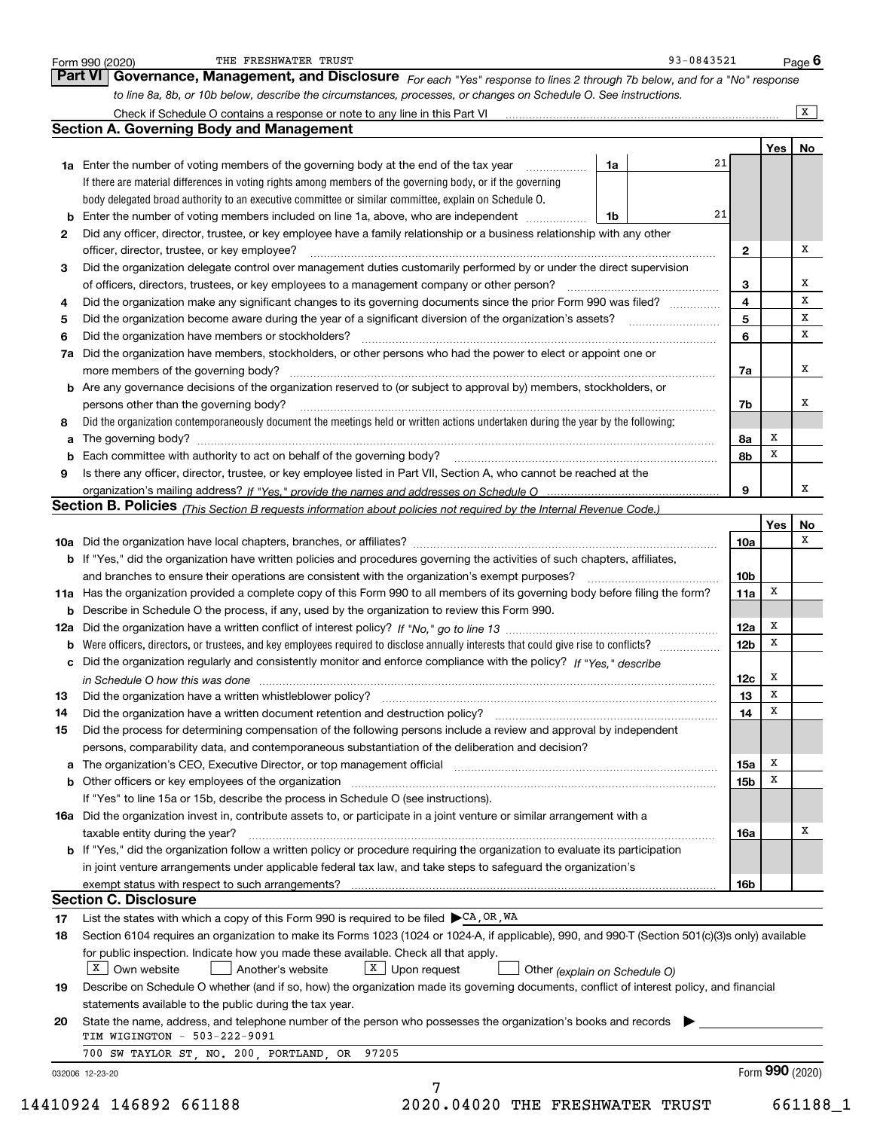|    | Governance, Management, and Disclosure For each "Yes" response to lines 2 through 7b below, and for a "No" response<br>to line 8a, 8b, or 10b below, describe the circumstances, processes, or changes on Schedule O. See instructions. |                 |                 |                |
|----|-----------------------------------------------------------------------------------------------------------------------------------------------------------------------------------------------------------------------------------------|-----------------|-----------------|----------------|
|    |                                                                                                                                                                                                                                         |                 |                 | $\overline{X}$ |
|    | <b>Section A. Governing Body and Management</b>                                                                                                                                                                                         |                 |                 |                |
|    |                                                                                                                                                                                                                                         |                 | Yes             | No             |
|    | 21<br>1a Enter the number of voting members of the governing body at the end of the tax year<br>1a                                                                                                                                      |                 |                 |                |
|    | If there are material differences in voting rights among members of the governing body, or if the governing                                                                                                                             |                 |                 |                |
|    | body delegated broad authority to an executive committee or similar committee, explain on Schedule O.                                                                                                                                   |                 |                 |                |
|    | 21<br>1b                                                                                                                                                                                                                                |                 |                 |                |
| 2  | Did any officer, director, trustee, or key employee have a family relationship or a business relationship with any other                                                                                                                |                 |                 |                |
|    | officer, director, trustee, or key employee?                                                                                                                                                                                            | $\mathbf{2}$    |                 | x              |
| 3  | Did the organization delegate control over management duties customarily performed by or under the direct supervision                                                                                                                   |                 |                 |                |
|    | of officers, directors, trustees, or key employees to a management company or other person?                                                                                                                                             | 3               |                 | х              |
| 4  | Did the organization make any significant changes to its governing documents since the prior Form 990 was filed?                                                                                                                        | 4               |                 | х              |
| 5  |                                                                                                                                                                                                                                         | 5               |                 | х              |
| 6  | Did the organization have members or stockholders?                                                                                                                                                                                      | 6               |                 | x              |
|    | 7a Did the organization have members, stockholders, or other persons who had the power to elect or appoint one or                                                                                                                       |                 |                 |                |
|    | more members of the governing body?                                                                                                                                                                                                     | 7a              |                 | x              |
|    | <b>b</b> Are any governance decisions of the organization reserved to (or subject to approval by) members, stockholders, or                                                                                                             |                 |                 |                |
|    | persons other than the governing body?                                                                                                                                                                                                  | 7b              |                 | х              |
| 8  | Did the organization contemporaneously document the meetings held or written actions undertaken during the year by the following:                                                                                                       |                 |                 |                |
| a  |                                                                                                                                                                                                                                         | 8а              | x               |                |
|    |                                                                                                                                                                                                                                         | 8b              | x               |                |
| 9  | Is there any officer, director, trustee, or key employee listed in Part VII, Section A, who cannot be reached at the                                                                                                                    |                 |                 |                |
|    |                                                                                                                                                                                                                                         | 9               |                 | x              |
|    | Section B. Policies (This Section B requests information about policies not required by the Internal Revenue Code.)                                                                                                                     |                 |                 |                |
|    |                                                                                                                                                                                                                                         |                 | Yes             | No             |
|    |                                                                                                                                                                                                                                         | 10a             |                 | х              |
|    | <b>b</b> If "Yes," did the organization have written policies and procedures governing the activities of such chapters, affiliates,                                                                                                     |                 |                 |                |
|    | and branches to ensure their operations are consistent with the organization's exempt purposes?                                                                                                                                         | 10 <sub>b</sub> |                 |                |
|    | 11a Has the organization provided a complete copy of this Form 990 to all members of its governing body before filing the form?                                                                                                         | 11a             | х               |                |
|    | <b>b</b> Describe in Schedule O the process, if any, used by the organization to review this Form 990.                                                                                                                                  |                 |                 |                |
|    |                                                                                                                                                                                                                                         | 12a             | x               |                |
|    | <b>b</b> Were officers, directors, or trustees, and key employees required to disclose annually interests that could give rise to conflicts?                                                                                            | 12 <sub>b</sub> | x               |                |
|    | c Did the organization regularly and consistently monitor and enforce compliance with the policy? If "Yes," describe                                                                                                                    |                 |                 |                |
|    | in Schedule O how this was done manufactured and continuum control of the state of the state of the state of t                                                                                                                          | 12c             | x               |                |
| 13 | Did the organization have a written whistleblower policy?                                                                                                                                                                               | 13              | х               |                |
| 14 | Did the organization have a written document retention and destruction policy?                                                                                                                                                          | 14              | x               |                |
| 15 | Did the process for determining compensation of the following persons include a review and approval by independent                                                                                                                      |                 |                 |                |
|    | persons, comparability data, and contemporaneous substantiation of the deliberation and decision?                                                                                                                                       |                 |                 |                |
|    |                                                                                                                                                                                                                                         | 15a             | х               |                |
|    |                                                                                                                                                                                                                                         | 15b             | x               |                |
|    | If "Yes" to line 15a or 15b, describe the process in Schedule O (see instructions).                                                                                                                                                     |                 |                 |                |
|    | 16a Did the organization invest in, contribute assets to, or participate in a joint venture or similar arrangement with a                                                                                                               |                 |                 |                |
|    | taxable entity during the year?                                                                                                                                                                                                         | 16a             |                 | х              |
|    | <b>b</b> If "Yes," did the organization follow a written policy or procedure requiring the organization to evaluate its participation                                                                                                   |                 |                 |                |
|    | in joint venture arrangements under applicable federal tax law, and take steps to safeguard the organization's                                                                                                                          |                 |                 |                |
|    |                                                                                                                                                                                                                                         | 16b             |                 |                |
|    | <b>Section C. Disclosure</b>                                                                                                                                                                                                            |                 |                 |                |
| 17 | List the states with which a copy of this Form 990 is required to be filed $\blacktriangleright$ CA, OR, WA                                                                                                                             |                 |                 |                |
| 18 | Section 6104 requires an organization to make its Forms 1023 (1024 or 1024-A, if applicable), 990, and 990-T (Section 501(c)(3)s only) available                                                                                        |                 |                 |                |
|    | for public inspection. Indicate how you made these available. Check all that apply.                                                                                                                                                     |                 |                 |                |
|    | $X$ Own website<br>$X$ Upon request<br>Another's website<br>Other (explain on Schedule O)                                                                                                                                               |                 |                 |                |
| 19 | Describe on Schedule O whether (and if so, how) the organization made its governing documents, conflict of interest policy, and financial                                                                                               |                 |                 |                |
|    | statements available to the public during the tax year.                                                                                                                                                                                 |                 |                 |                |
|    | State the name, address, and telephone number of the person who possesses the organization's books and records                                                                                                                          |                 |                 |                |
| 20 | TIM WIGINGTON - 503-222-9091                                                                                                                                                                                                            |                 |                 |                |
|    |                                                                                                                                                                                                                                         |                 |                 |                |
|    | 700 SW TAYLOR ST, NO. 200, PORTLAND, OR 97205                                                                                                                                                                                           |                 | Form 990 (2020) |                |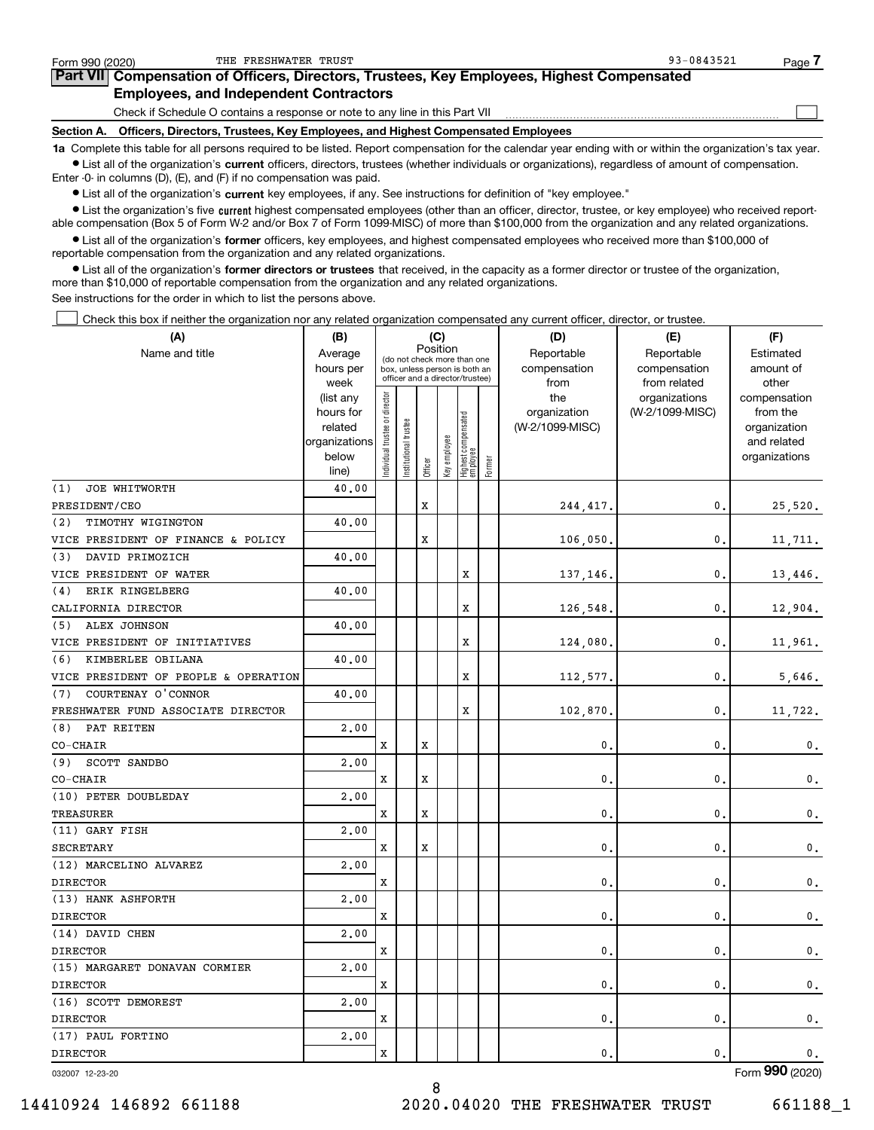| Form 990 (2020)                                                                            | THE FRESHWATER TRUST                                                                                                                                       | 93-0843521 | Page |  |  |  |  |  |  |
|--------------------------------------------------------------------------------------------|------------------------------------------------------------------------------------------------------------------------------------------------------------|------------|------|--|--|--|--|--|--|
| Part VII Compensation of Officers, Directors, Trustees, Key Employees, Highest Compensated |                                                                                                                                                            |            |      |  |  |  |  |  |  |
|                                                                                            | <b>Employees, and Independent Contractors</b>                                                                                                              |            |      |  |  |  |  |  |  |
|                                                                                            | Check if Schedule O contains a response or note to any line in this Part VII                                                                               |            |      |  |  |  |  |  |  |
| <b>Section A.</b>                                                                          | Officers, Directors, Trustees, Key Employees, and Highest Compensated Employees                                                                            |            |      |  |  |  |  |  |  |
|                                                                                            | 1a Complete this table for all persons required to be listed. Report compensation for the calendar year ending with or within the organization's tax year. |            |      |  |  |  |  |  |  |

**•** List all of the organization's current officers, directors, trustees (whether individuals or organizations), regardless of amount of compensation. Enter -0- in columns (D), (E), and (F) if no compensation was paid.

 $\bullet$  List all of the organization's  $\,$ current key employees, if any. See instructions for definition of "key employee."

**•** List the organization's five current highest compensated employees (other than an officer, director, trustee, or key employee) who received reportable compensation (Box 5 of Form W-2 and/or Box 7 of Form 1099-MISC) of more than \$100,000 from the organization and any related organizations.

**•** List all of the organization's former officers, key employees, and highest compensated employees who received more than \$100,000 of reportable compensation from the organization and any related organizations.

**former directors or trustees**  ¥ List all of the organization's that received, in the capacity as a former director or trustee of the organization, more than \$10,000 of reportable compensation from the organization and any related organizations.

See instructions for the order in which to list the persons above.

Check this box if neither the organization nor any related organization compensated any current officer, director, or trustee.  $\mathcal{L}^{\text{max}}$ 

| (A)                                  | (B)                    |                                         |                                                                  |             | (C)          |                                 |        | (D)             | (E)                              | (F)                      |  |  |
|--------------------------------------|------------------------|-----------------------------------------|------------------------------------------------------------------|-------------|--------------|---------------------------------|--------|-----------------|----------------------------------|--------------------------|--|--|
| Name and title                       | Average                | Position<br>(do not check more than one |                                                                  |             |              |                                 |        | Reportable      | Reportable                       | Estimated                |  |  |
|                                      | hours per              |                                         | box, unless person is both an<br>officer and a director/trustee) |             |              |                                 |        | compensation    | compensation                     | amount of                |  |  |
|                                      | week                   |                                         |                                                                  |             |              |                                 |        | from<br>the     | from related                     | other                    |  |  |
|                                      | (list any<br>hours for |                                         |                                                                  |             |              |                                 |        | organization    | organizations<br>(W-2/1099-MISC) | compensation<br>from the |  |  |
|                                      | related                |                                         | trustee                                                          |             |              |                                 |        | (W-2/1099-MISC) |                                  | organization             |  |  |
|                                      | organizations          |                                         |                                                                  |             |              |                                 |        |                 |                                  | and related              |  |  |
|                                      | below                  | ndividual trustee or director           | Institutional t                                                  |             | Key employee | Highest compensated<br>employee |        |                 |                                  | organizations            |  |  |
|                                      | line)                  |                                         |                                                                  | Officer     |              |                                 | Former |                 |                                  |                          |  |  |
| JOE WHITWORTH<br>(1)                 | 40.00                  |                                         |                                                                  |             |              |                                 |        |                 |                                  |                          |  |  |
| PRESIDENT/CEO                        |                        |                                         |                                                                  | X           |              |                                 |        | 244, 417.       | 0.                               | 25,520.                  |  |  |
| (2)<br>TIMOTHY WIGINGTON             | 40.00                  |                                         |                                                                  |             |              |                                 |        |                 |                                  |                          |  |  |
| VICE PRESIDENT OF FINANCE & POLICY   |                        |                                         |                                                                  | X           |              |                                 |        | 106,050         | $\mathbf{0}$ .                   | 11,711.                  |  |  |
| DAVID PRIMOZICH<br>(3)               | 40.00                  |                                         |                                                                  |             |              |                                 |        |                 |                                  |                          |  |  |
| VICE PRESIDENT OF WATER              |                        |                                         |                                                                  |             |              | X                               |        | 137,146         | $\mathbf{0}$ .                   | 13,446.                  |  |  |
| ERIK RINGELBERG<br>(4)               | 40.00                  |                                         |                                                                  |             |              |                                 |        |                 |                                  |                          |  |  |
| CALIFORNIA DIRECTOR                  |                        |                                         |                                                                  |             |              | X                               |        | 126,548         | $\mathbf{0}$ .                   | 12,904.                  |  |  |
| ALEX JOHNSON<br>(5)                  | 40.00                  |                                         |                                                                  |             |              |                                 |        |                 |                                  |                          |  |  |
| VICE PRESIDENT OF INITIATIVES        |                        |                                         |                                                                  |             |              | X                               |        | 124,080         | $\mathbf{0}$ .                   | 11,961.                  |  |  |
| (6)<br>KIMBERLEE OBILANA             | 40.00                  |                                         |                                                                  |             |              |                                 |        |                 |                                  |                          |  |  |
| VICE PRESIDENT OF PEOPLE & OPERATION |                        |                                         |                                                                  |             |              | $\mathbf x$                     |        | 112,577.        | $\mathbf{0}$ .                   | 5,646.                   |  |  |
| COURTENAY O'CONNOR<br>(7)            | 40.00                  |                                         |                                                                  |             |              |                                 |        |                 |                                  |                          |  |  |
| FRESHWATER FUND ASSOCIATE DIRECTOR   |                        |                                         |                                                                  |             |              | X                               |        | 102,870         | $\mathbf{0}$                     | 11,722.                  |  |  |
| PAT REITEN<br>(8)                    | 2.00                   |                                         |                                                                  |             |              |                                 |        |                 |                                  |                          |  |  |
| CO-CHAIR                             |                        | X                                       |                                                                  | $\mathbf x$ |              |                                 |        | 0               | $\mathbf{0}$ .                   | $\mathbf{0}$ .           |  |  |
| (9)<br>SCOTT SANDBO                  | 2.00                   |                                         |                                                                  |             |              |                                 |        |                 |                                  |                          |  |  |
| CO-CHAIR                             |                        | X                                       |                                                                  | X           |              |                                 |        | $\mathbf{0}$    | $\mathbf{0}$                     | $\mathbf{0}$ .           |  |  |
| (10) PETER DOUBLEDAY                 | 2.00                   |                                         |                                                                  |             |              |                                 |        |                 |                                  |                          |  |  |
| TREASURER                            |                        | $\mathbf x$                             |                                                                  | $\mathbf x$ |              |                                 |        | $\mathbf{0}$    | $\mathbf{0}$ .                   | $\mathbf{0}$ .           |  |  |
| (11) GARY FISH                       | 2,00                   |                                         |                                                                  |             |              |                                 |        |                 |                                  |                          |  |  |
| <b>SECRETARY</b>                     |                        | X                                       |                                                                  | X           |              |                                 |        | $\mathbf{0}$    | $\mathbf{0}$                     | $\mathbf 0$ .            |  |  |
| (12) MARCELINO ALVAREZ               | 2,00                   |                                         |                                                                  |             |              |                                 |        |                 |                                  |                          |  |  |
| <b>DIRECTOR</b>                      |                        | X                                       |                                                                  |             |              |                                 |        | $\mathbf{0}$    | $\mathbf{0}$ .                   | $\mathbf 0$ .            |  |  |
| (13) HANK ASHFORTH                   | 2,00                   |                                         |                                                                  |             |              |                                 |        |                 |                                  |                          |  |  |
| <b>DIRECTOR</b>                      |                        | X                                       |                                                                  |             |              |                                 |        | $\mathbf 0$     | $\mathbf{0}$ .                   | $\mathbf 0$ .            |  |  |
| (14) DAVID CHEN                      | 2,00                   |                                         |                                                                  |             |              |                                 |        |                 |                                  |                          |  |  |
| <b>DIRECTOR</b>                      |                        | $\mathbf x$                             |                                                                  |             |              |                                 |        | 0               | 0.                               | $\mathbf{0}$ .           |  |  |
| (15) MARGARET DONAVAN CORMIER        | 2,00                   |                                         |                                                                  |             |              |                                 |        |                 |                                  |                          |  |  |
| <b>DIRECTOR</b>                      |                        | X                                       |                                                                  |             |              |                                 |        | $\mathbf 0$     | $\mathbf{0}$ .                   | $\mathbf 0$ .            |  |  |
| (16) SCOTT DEMOREST                  | 2,00                   |                                         |                                                                  |             |              |                                 |        |                 |                                  |                          |  |  |
| <b>DIRECTOR</b>                      |                        | x                                       |                                                                  |             |              |                                 |        | $\mathbf 0$     | $\mathbf{0}$ .                   | 0.                       |  |  |
| (17) PAUL FORTINO                    | 2,00                   |                                         |                                                                  |             |              |                                 |        |                 |                                  |                          |  |  |
| <b>DIRECTOR</b>                      |                        | X                                       |                                                                  |             |              |                                 |        | $\mathbf{0}$ .  | $\mathbf{0}$ .                   | $\mathbf 0$ .            |  |  |

8

032007 12-23-20

Form (2020) **990**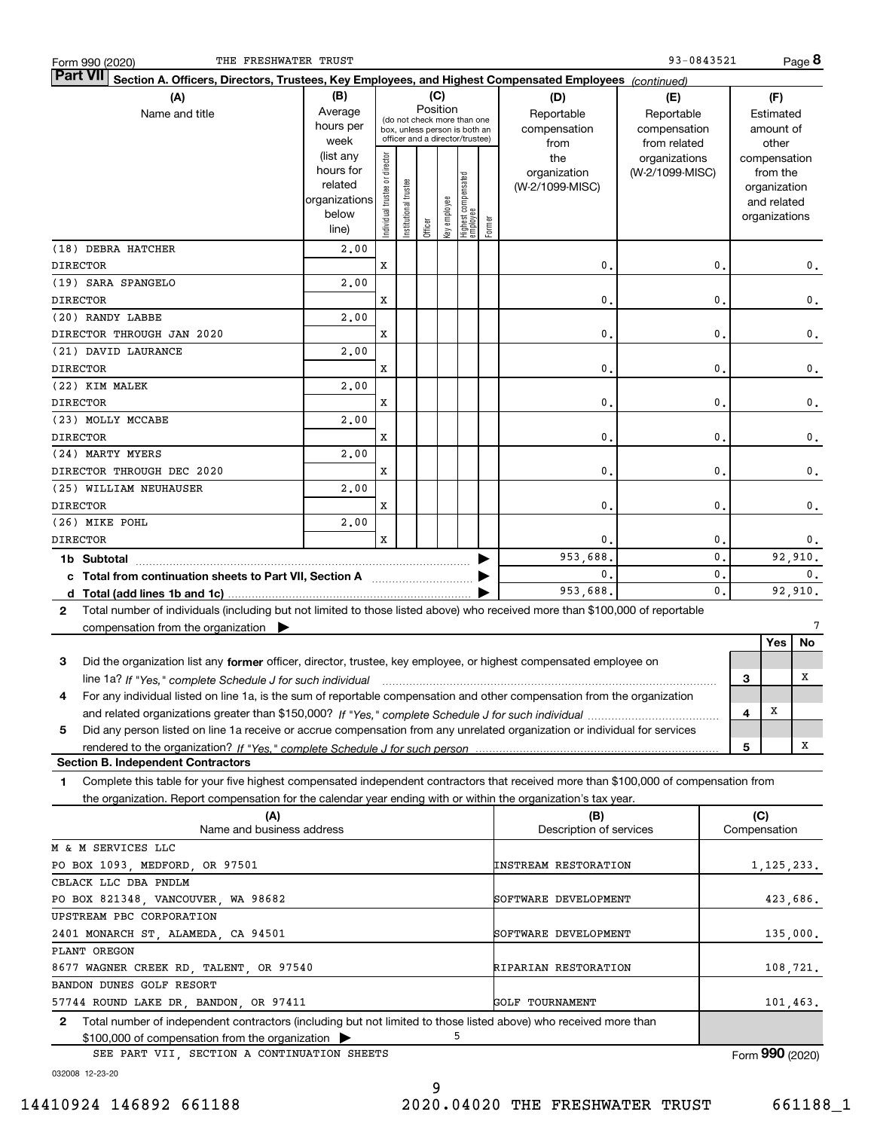| 93-0843521<br>THE FRESHWATER TRUST<br>Form 990 (2020)                                                                                           |               |                       |                       |                                                              |              |                                 |          |                             |                 |                |         |               | Page 8          |
|-------------------------------------------------------------------------------------------------------------------------------------------------|---------------|-----------------------|-----------------------|--------------------------------------------------------------|--------------|---------------------------------|----------|-----------------------------|-----------------|----------------|---------|---------------|-----------------|
| <b>Part VII</b><br>Section A. Officers, Directors, Trustees, Key Employees, and Highest Compensated Employees (continued)                       |               |                       |                       |                                                              |              |                                 |          |                             |                 |                |         |               |                 |
| (A)<br>(B)<br>(C)<br>(D)<br>(E)                                                                                                                 |               |                       |                       |                                                              |              |                                 |          |                             |                 |                |         | (F)           |                 |
| Name and title                                                                                                                                  | Average       |                       |                       | Position                                                     |              |                                 |          | Reportable                  | Reportable      |                |         | Estimated     |                 |
|                                                                                                                                                 | hours per     |                       |                       | (do not check more than one<br>box, unless person is both an |              |                                 |          | compensation                | compensation    |                |         | amount of     |                 |
|                                                                                                                                                 | week          |                       |                       | officer and a director/trustee)                              |              |                                 |          | from                        | from related    |                |         | other         |                 |
|                                                                                                                                                 | (list any     |                       |                       |                                                              |              |                                 |          | the                         | organizations   |                |         | compensation  |                 |
|                                                                                                                                                 | hours for     | director              |                       |                                                              |              |                                 |          | organization                | (W-2/1099-MISC) |                |         | from the      |                 |
|                                                                                                                                                 | related       |                       |                       |                                                              |              |                                 |          | (W-2/1099-MISC)             |                 |                |         | organization  |                 |
|                                                                                                                                                 | organizations |                       |                       |                                                              |              |                                 |          |                             |                 |                |         | and related   |                 |
|                                                                                                                                                 | below         | Individual trustee or | Institutional trustee |                                                              |              |                                 |          |                             |                 |                |         | organizations |                 |
|                                                                                                                                                 | line)         |                       |                       | Officer                                                      | Key employee | Highest compensated<br>employee | Former   |                             |                 |                |         |               |                 |
| (18) DEBRA HATCHER                                                                                                                              | 2,00          |                       |                       |                                                              |              |                                 |          |                             |                 |                |         |               |                 |
| <b>DIRECTOR</b>                                                                                                                                 |               | X                     |                       |                                                              |              |                                 |          | 0.                          |                 | $\mathbf 0$    |         |               | 0.              |
| (19) SARA SPANGELO                                                                                                                              | 2,00          |                       |                       |                                                              |              |                                 |          |                             |                 |                |         |               |                 |
| <b>DIRECTOR</b>                                                                                                                                 |               | X                     |                       |                                                              |              |                                 |          | 0.                          |                 | 0              |         |               | 0.              |
| (20) RANDY LABBE                                                                                                                                | 2,00          |                       |                       |                                                              |              |                                 |          |                             |                 |                |         |               |                 |
| DIRECTOR THROUGH JAN 2020                                                                                                                       |               | X                     |                       |                                                              |              |                                 |          | 0.                          |                 | 0              |         |               | $\mathbf 0$ .   |
| (21) DAVID LAURANCE                                                                                                                             | 2,00          |                       |                       |                                                              |              |                                 |          |                             |                 |                |         |               |                 |
| <b>DIRECTOR</b>                                                                                                                                 |               | X                     |                       |                                                              |              |                                 |          | 0.                          |                 | 0              |         |               | $\mathbf 0$ .   |
| (22) KIM MALEK                                                                                                                                  | 2,00          |                       |                       |                                                              |              |                                 |          |                             |                 |                |         |               |                 |
|                                                                                                                                                 |               |                       |                       |                                                              |              |                                 |          |                             |                 |                |         |               |                 |
| <b>DIRECTOR</b>                                                                                                                                 |               | X                     |                       |                                                              |              |                                 |          | 0.                          |                 | 0              |         |               | $\mathbf 0$ .   |
| (23) MOLLY MCCABE                                                                                                                               | 2,00          |                       |                       |                                                              |              |                                 |          |                             |                 |                |         |               |                 |
| <b>DIRECTOR</b>                                                                                                                                 |               | X                     |                       |                                                              |              |                                 |          | 0.                          |                 | 0              |         |               | 0.              |
| (24) MARTY MYERS                                                                                                                                | 2,00          |                       |                       |                                                              |              |                                 |          |                             |                 |                |         |               |                 |
| DIRECTOR THROUGH DEC 2020                                                                                                                       |               | X                     |                       |                                                              |              |                                 |          | 0.                          |                 | 0              |         |               | $\mathbf 0$ .   |
| (25) WILLIAM NEUHAUSER                                                                                                                          | 2,00          |                       |                       |                                                              |              |                                 |          |                             |                 |                |         |               |                 |
| <b>DIRECTOR</b>                                                                                                                                 |               | x                     |                       |                                                              |              |                                 |          | 0.                          |                 | 0              |         |               | 0.              |
| (26) MIKE POHL                                                                                                                                  | 2,00          |                       |                       |                                                              |              |                                 |          |                             |                 |                |         |               |                 |
| <b>DIRECTOR</b>                                                                                                                                 |               | $\mathbf x$           |                       |                                                              |              |                                 |          | 0.                          |                 | $\mathbf{0}$ . |         |               | 0.              |
| 1b Subtotal                                                                                                                                     |               |                       |                       |                                                              |              |                                 | 953,688. |                             | $\mathbf{0}$ .  |                |         | 92,910.       |                 |
| 0.<br>c Total from continuation sheets to Part VII, Section A manuscreen continuum                                                              |               |                       |                       |                                                              |              |                                 |          | 0.                          |                 |                | 0.      |               |                 |
|                                                                                                                                                 |               |                       |                       |                                                              |              |                                 |          | 953,688.                    |                 | $\mathbf{0}$ . | 92,910. |               |                 |
| Total number of individuals (including but not limited to those listed above) who received more than \$100,000 of reportable<br>2               |               |                       |                       |                                                              |              |                                 |          |                             |                 |                |         |               |                 |
| compensation from the organization $\blacktriangleright$                                                                                        |               |                       |                       |                                                              |              |                                 |          |                             |                 |                |         |               | 7               |
|                                                                                                                                                 |               |                       |                       |                                                              |              |                                 |          |                             |                 |                |         | Yes           | No              |
| Did the organization list any former officer, director, trustee, key employee, or highest compensated employee on<br>3                          |               |                       |                       |                                                              |              |                                 |          |                             |                 |                |         |               |                 |
|                                                                                                                                                 |               |                       |                       |                                                              |              |                                 |          |                             |                 |                |         |               | х               |
| line 1a? If "Yes," complete Schedule J for such individual manufactured contained and the 1a? If "Yes," complete Schedule J for such individual |               |                       |                       |                                                              |              |                                 |          |                             |                 |                | З       |               |                 |
| For any individual listed on line 1a, is the sum of reportable compensation and other compensation from the organization<br>4                   |               |                       |                       |                                                              |              |                                 |          |                             |                 |                |         |               |                 |
|                                                                                                                                                 |               |                       |                       |                                                              |              |                                 |          |                             |                 |                | 4       | x             |                 |
| Did any person listed on line 1a receive or accrue compensation from any unrelated organization or individual for services<br>5                 |               |                       |                       |                                                              |              |                                 |          |                             |                 |                |         |               |                 |
|                                                                                                                                                 |               |                       |                       |                                                              |              |                                 |          |                             |                 |                | 5       |               | x               |
| <b>Section B. Independent Contractors</b>                                                                                                       |               |                       |                       |                                                              |              |                                 |          |                             |                 |                |         |               |                 |
| Complete this table for your five highest compensated independent contractors that received more than \$100,000 of compensation from<br>1       |               |                       |                       |                                                              |              |                                 |          |                             |                 |                |         |               |                 |
| the organization. Report compensation for the calendar year ending with or within the organization's tax year.                                  |               |                       |                       |                                                              |              |                                 |          |                             |                 |                |         |               |                 |
| (A)                                                                                                                                             |               |                       |                       |                                                              |              |                                 |          | (B)                         |                 |                |         | (C)           |                 |
| Name and business address                                                                                                                       |               |                       |                       |                                                              |              |                                 |          | Description of services     |                 |                |         | Compensation  |                 |
| M & M SERVICES LLC                                                                                                                              |               |                       |                       |                                                              |              |                                 |          |                             |                 |                |         |               |                 |
| PO BOX 1093, MEDFORD, OR 97501                                                                                                                  |               |                       |                       |                                                              |              |                                 |          | <b>INSTREAM RESTORATION</b> |                 |                |         | 1,125,233.    |                 |
| CBLACK LLC DBA PNDLM                                                                                                                            |               |                       |                       |                                                              |              |                                 |          |                             |                 |                |         |               |                 |
| PO BOX 821348, VANCOUVER, WA 98682                                                                                                              |               |                       |                       |                                                              |              |                                 |          | SOFTWARE DEVELOPMENT        |                 |                |         | 423,686.      |                 |
| UPSTREAM PBC CORPORATION                                                                                                                        |               |                       |                       |                                                              |              |                                 |          |                             |                 |                |         |               |                 |
| 2401 MONARCH ST, ALAMEDA, CA 94501                                                                                                              |               |                       |                       |                                                              |              |                                 |          | SOFTWARE DEVELOPMENT        |                 |                |         | 135,000.      |                 |
| PLANT OREGON                                                                                                                                    |               |                       |                       |                                                              |              |                                 |          |                             |                 |                |         |               |                 |
|                                                                                                                                                 |               |                       |                       |                                                              |              |                                 |          |                             |                 |                |         |               |                 |
| 8677 WAGNER CREEK RD, TALENT, OR 97540                                                                                                          |               |                       |                       |                                                              |              |                                 |          | RIPARIAN RESTORATION        |                 |                |         | 108,721.      |                 |
| BANDON DUNES GOLF RESORT                                                                                                                        |               |                       |                       |                                                              |              |                                 |          |                             |                 |                |         |               |                 |
| 57744 ROUND LAKE DR, BANDON, OR 97411                                                                                                           |               |                       |                       |                                                              |              |                                 |          | GOLF TOURNAMENT             |                 |                |         | 101,463.      |                 |
| Total number of independent contractors (including but not limited to those listed above) who received more than<br>2                           |               |                       |                       |                                                              |              |                                 |          |                             |                 |                |         |               |                 |
| \$100,000 of compensation from the organization                                                                                                 |               |                       |                       |                                                              |              | 5                               |          |                             |                 |                |         |               |                 |
| SEE PART VII, SECTION A CONTINUATION SHEETS                                                                                                     |               |                       |                       |                                                              |              |                                 |          |                             |                 |                |         |               | Form 990 (2020) |

9

032008 12-23-20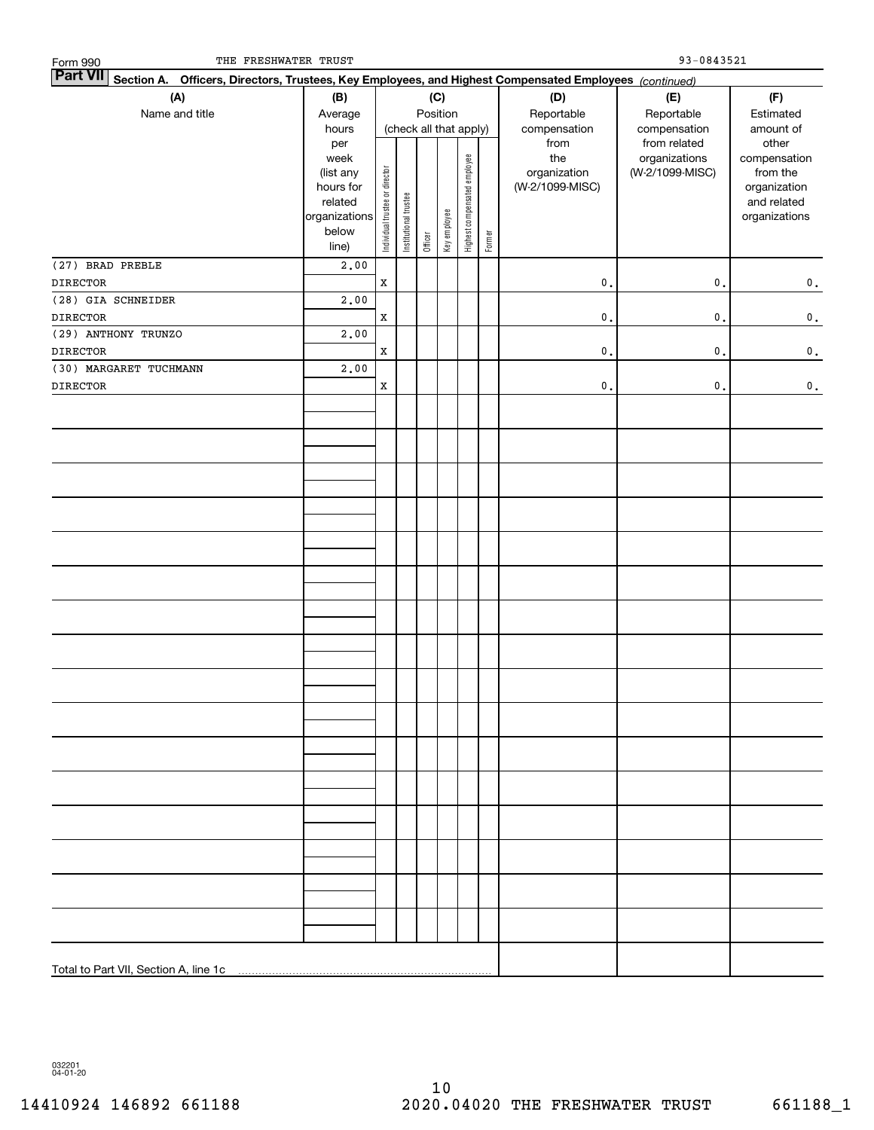| THE FRESHWATER TRUST<br>Form 990                                                                                          |                      |                                |                       |         |                        |                              |        |                      | 93-0843521                   |                             |
|---------------------------------------------------------------------------------------------------------------------------|----------------------|--------------------------------|-----------------------|---------|------------------------|------------------------------|--------|----------------------|------------------------------|-----------------------------|
| <b>Part VII</b><br>Section A. Officers, Directors, Trustees, Key Employees, and Highest Compensated Employees (continued) |                      |                                |                       |         |                        |                              |        |                      |                              |                             |
| (A)                                                                                                                       | (B)                  |                                |                       |         | (C)                    |                              |        | (D)                  | (E)                          | (F)                         |
| Name and title                                                                                                            | Average              |                                |                       |         | Position               |                              |        | Reportable           | Reportable                   | Estimated                   |
|                                                                                                                           | hours<br>per         |                                |                       |         | (check all that apply) |                              |        | compensation<br>from | compensation<br>from related | amount of<br>other          |
|                                                                                                                           | week                 |                                |                       |         |                        |                              |        | the                  | organizations                | compensation                |
|                                                                                                                           | (list any            |                                |                       |         |                        |                              |        | organization         | (W-2/1099-MISC)              | from the                    |
|                                                                                                                           | hours for<br>related |                                |                       |         |                        |                              |        | (W-2/1099-MISC)      |                              | organization<br>and related |
|                                                                                                                           | organizations        | Individual trustee or director | Institutional trustee |         |                        | Highest compensated employee |        |                      |                              | organizations               |
|                                                                                                                           | below                |                                |                       |         | Key employee           |                              |        |                      |                              |                             |
|                                                                                                                           | line)                |                                |                       | Officer |                        |                              | Former |                      |                              |                             |
| (27) BRAD PREBLE                                                                                                          | 2,00                 |                                |                       |         |                        |                              |        |                      |                              |                             |
| <b>DIRECTOR</b>                                                                                                           |                      | $\mathbf x$                    |                       |         |                        |                              |        | $\mathfrak o$ .      | $\mathfrak o$ .              | $\mathbf 0$ .               |
| (28) GIA SCHNEIDER                                                                                                        | 2,00                 |                                |                       |         |                        |                              |        |                      |                              |                             |
| <b>DIRECTOR</b>                                                                                                           |                      | $\mathbf X$                    |                       |         |                        |                              |        | $\mathfrak o$ .      | $\mathbf{0}$ .               | $\mathbf 0$ .               |
| (29) ANTHONY TRUNZO                                                                                                       | 2,00                 |                                |                       |         |                        |                              |        |                      |                              |                             |
| <b>DIRECTOR</b><br>(30) MARGARET TUCHMANN                                                                                 | 2,00                 | $\mathbf X$                    |                       |         |                        |                              |        | $\mathfrak o$ .      | $\mathsf{o}\,$ .             | $\mathbf 0$ .               |
| DIRECTOR                                                                                                                  |                      | $\mathbf x$                    |                       |         |                        |                              |        | $\mathfrak o$ .      | $\mathbf{0}$ .               | $\mathbf 0$ .               |
|                                                                                                                           |                      |                                |                       |         |                        |                              |        |                      |                              |                             |
|                                                                                                                           |                      |                                |                       |         |                        |                              |        |                      |                              |                             |
|                                                                                                                           |                      |                                |                       |         |                        |                              |        |                      |                              |                             |
|                                                                                                                           |                      |                                |                       |         |                        |                              |        |                      |                              |                             |
|                                                                                                                           |                      |                                |                       |         |                        |                              |        |                      |                              |                             |
|                                                                                                                           |                      |                                |                       |         |                        |                              |        |                      |                              |                             |
|                                                                                                                           |                      |                                |                       |         |                        |                              |        |                      |                              |                             |
|                                                                                                                           |                      |                                |                       |         |                        |                              |        |                      |                              |                             |
|                                                                                                                           |                      |                                |                       |         |                        |                              |        |                      |                              |                             |
|                                                                                                                           |                      |                                |                       |         |                        |                              |        |                      |                              |                             |
|                                                                                                                           |                      |                                |                       |         |                        |                              |        |                      |                              |                             |
|                                                                                                                           |                      |                                |                       |         |                        |                              |        |                      |                              |                             |
|                                                                                                                           |                      |                                |                       |         |                        |                              |        |                      |                              |                             |
|                                                                                                                           |                      |                                |                       |         |                        |                              |        |                      |                              |                             |
|                                                                                                                           |                      |                                |                       |         |                        |                              |        |                      |                              |                             |
|                                                                                                                           |                      |                                |                       |         |                        |                              |        |                      |                              |                             |
|                                                                                                                           |                      |                                |                       |         |                        |                              |        |                      |                              |                             |
|                                                                                                                           |                      |                                |                       |         |                        |                              |        |                      |                              |                             |
|                                                                                                                           |                      |                                |                       |         |                        |                              |        |                      |                              |                             |
|                                                                                                                           |                      |                                |                       |         |                        |                              |        |                      |                              |                             |
|                                                                                                                           |                      |                                |                       |         |                        |                              |        |                      |                              |                             |
|                                                                                                                           |                      |                                |                       |         |                        |                              |        |                      |                              |                             |
|                                                                                                                           |                      |                                |                       |         |                        |                              |        |                      |                              |                             |
|                                                                                                                           |                      |                                |                       |         |                        |                              |        |                      |                              |                             |
|                                                                                                                           |                      |                                |                       |         |                        |                              |        |                      |                              |                             |
|                                                                                                                           |                      |                                |                       |         |                        |                              |        |                      |                              |                             |
|                                                                                                                           |                      |                                |                       |         |                        |                              |        |                      |                              |                             |
|                                                                                                                           |                      |                                |                       |         |                        |                              |        |                      |                              |                             |
|                                                                                                                           |                      |                                |                       |         |                        |                              |        |                      |                              |                             |
|                                                                                                                           |                      |                                |                       |         |                        |                              |        |                      |                              |                             |
|                                                                                                                           |                      |                                |                       |         |                        |                              |        |                      |                              |                             |
|                                                                                                                           |                      |                                |                       |         |                        |                              |        |                      |                              |                             |

032201 04-01-20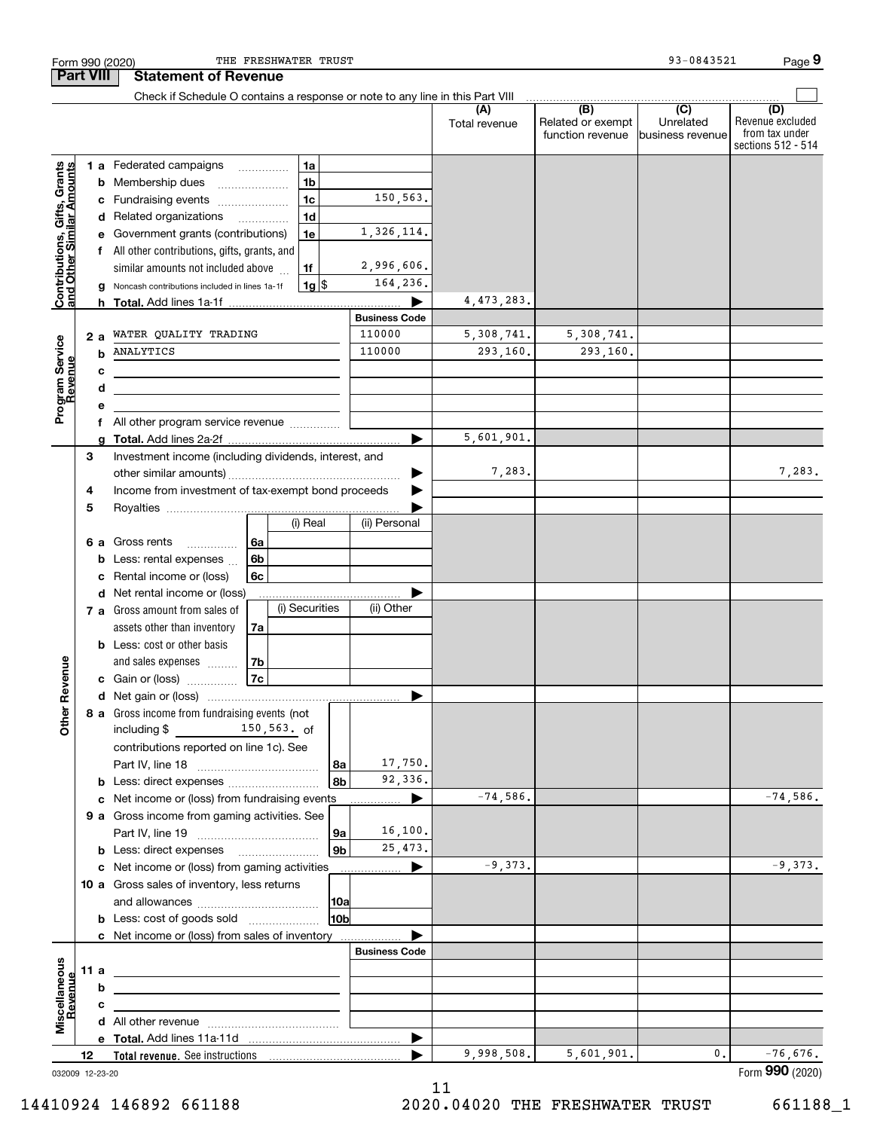|                                                           |      |     | THE FRESHWATER TRUST<br>Form 990 (2020)                                                                              |                |                                |                      |                                              | 93-0843521                                       | Page 9                                                          |
|-----------------------------------------------------------|------|-----|----------------------------------------------------------------------------------------------------------------------|----------------|--------------------------------|----------------------|----------------------------------------------|--------------------------------------------------|-----------------------------------------------------------------|
| <b>Part VIII</b>                                          |      |     | <b>Statement of Revenue</b>                                                                                          |                |                                |                      |                                              |                                                  |                                                                 |
|                                                           |      |     | Check if Schedule O contains a response or note to any line in this Part VIII                                        |                |                                |                      |                                              |                                                  |                                                                 |
|                                                           |      |     |                                                                                                                      |                |                                | (A)<br>Total revenue | (B)<br>Related or exempt<br>function revenue | $\overline{C}$<br>Unrelated<br>Ibusiness revenue | (D)<br>Revenue excluded<br>from tax under<br>sections 512 - 514 |
|                                                           |      |     | 1a<br>1 a Federated campaigns                                                                                        |                |                                |                      |                                              |                                                  |                                                                 |
| Contributions, Gifts, Grants<br>and Other Similar Amounts |      | b   | 1 <sub>b</sub><br>Membership dues<br>$\ldots \ldots \ldots \ldots \ldots$                                            |                |                                |                      |                                              |                                                  |                                                                 |
|                                                           |      | c   | 1 <sub>c</sub><br>Fundraising events                                                                                 |                | 150,563.                       |                      |                                              |                                                  |                                                                 |
|                                                           |      |     | 1 <sub>d</sub><br>d Related organizations                                                                            |                |                                |                      |                                              |                                                  |                                                                 |
|                                                           |      |     | 1e                                                                                                                   |                | 1,326,114.                     |                      |                                              |                                                  |                                                                 |
|                                                           |      |     | e Government grants (contributions)                                                                                  |                |                                |                      |                                              |                                                  |                                                                 |
|                                                           |      |     | All other contributions, gifts, grants, and<br>1f                                                                    |                | 2,996,606.                     |                      |                                              |                                                  |                                                                 |
|                                                           |      |     | similar amounts not included above                                                                                   |                | 164,236.                       |                      |                                              |                                                  |                                                                 |
|                                                           |      | a   | $1g$ \$<br>Noncash contributions included in lines 1a-1f                                                             |                |                                |                      |                                              |                                                  |                                                                 |
|                                                           |      |     |                                                                                                                      |                |                                | 4,473,283.           |                                              |                                                  |                                                                 |
|                                                           |      |     |                                                                                                                      |                | <b>Business Code</b><br>110000 |                      |                                              |                                                  |                                                                 |
| Program Service<br>Revenue                                |      | 2 a | WATER QUALITY TRADING                                                                                                |                |                                | 5,308,741.           | 5,308,741.                                   |                                                  |                                                                 |
|                                                           |      | b   | ANALYTICS                                                                                                            |                | 110000                         | 293,160.             | 293,160.                                     |                                                  |                                                                 |
|                                                           |      | c   | the control of the control of the control of the control of the control of the control of                            |                |                                |                      |                                              |                                                  |                                                                 |
|                                                           |      | d   | the control of the control of the control of the control of the control of                                           |                |                                |                      |                                              |                                                  |                                                                 |
|                                                           |      | е   |                                                                                                                      |                |                                |                      |                                              |                                                  |                                                                 |
|                                                           |      | f   | All other program service revenue                                                                                    |                |                                |                      |                                              |                                                  |                                                                 |
|                                                           |      | a   |                                                                                                                      |                |                                | 5,601,901.           |                                              |                                                  |                                                                 |
|                                                           | 3    |     | Investment income (including dividends, interest, and                                                                |                |                                |                      |                                              |                                                  |                                                                 |
|                                                           |      |     |                                                                                                                      |                |                                | 7,283.               |                                              |                                                  | 7,283.                                                          |
|                                                           | 4    |     | Income from investment of tax-exempt bond proceeds                                                                   |                |                                |                      |                                              |                                                  |                                                                 |
|                                                           | 5    |     |                                                                                                                      |                |                                |                      |                                              |                                                  |                                                                 |
|                                                           |      |     | (i) Real                                                                                                             |                | (ii) Personal                  |                      |                                              |                                                  |                                                                 |
|                                                           |      | 6а  | 6a<br>Gross rents                                                                                                    |                |                                |                      |                                              |                                                  |                                                                 |
|                                                           |      | b   | 6b<br>Less: rental expenses                                                                                          |                |                                |                      |                                              |                                                  |                                                                 |
|                                                           |      | c   | 6c<br>Rental income or (loss)                                                                                        |                |                                |                      |                                              |                                                  |                                                                 |
|                                                           |      |     | d Net rental income or (loss)                                                                                        |                |                                |                      |                                              |                                                  |                                                                 |
|                                                           |      |     | (i) Securities<br>7 a Gross amount from sales of                                                                     |                | (ii) Other                     |                      |                                              |                                                  |                                                                 |
|                                                           |      |     | assets other than inventory<br>7a                                                                                    |                |                                |                      |                                              |                                                  |                                                                 |
|                                                           |      |     | <b>b</b> Less: cost or other basis                                                                                   |                |                                |                      |                                              |                                                  |                                                                 |
|                                                           |      |     | 7b<br>and sales expenses                                                                                             |                |                                |                      |                                              |                                                  |                                                                 |
| evenue                                                    |      |     | 7c<br>c Gain or (loss)                                                                                               |                |                                |                      |                                              |                                                  |                                                                 |
|                                                           |      |     |                                                                                                                      |                |                                |                      |                                              |                                                  |                                                                 |
| œ                                                         |      |     | 8 a Gross income from fundraising events (not                                                                        |                |                                |                      |                                              |                                                  |                                                                 |
| Other                                                     |      |     | including \$ 150,563. of                                                                                             |                |                                |                      |                                              |                                                  |                                                                 |
|                                                           |      |     | contributions reported on line 1c). See                                                                              |                |                                |                      |                                              |                                                  |                                                                 |
|                                                           |      |     |                                                                                                                      | 8а             | 17,750.                        |                      |                                              |                                                  |                                                                 |
|                                                           |      |     |                                                                                                                      | 8b             | 92,336.                        |                      |                                              |                                                  |                                                                 |
|                                                           |      |     |                                                                                                                      |                |                                | $-74,586.$           |                                              |                                                  | $-74,586.$                                                      |
|                                                           |      |     |                                                                                                                      |                |                                |                      |                                              |                                                  |                                                                 |
|                                                           |      |     | 9 a Gross income from gaming activities. See                                                                         |                |                                |                      |                                              |                                                  |                                                                 |
|                                                           |      |     |                                                                                                                      | 9а             | 16, 100.                       |                      |                                              |                                                  |                                                                 |
|                                                           |      |     | <b>b</b> Less: direct expenses <b>manually</b>                                                                       | 9 <sub>b</sub> | 25, 473.                       |                      |                                              |                                                  |                                                                 |
|                                                           |      |     | c Net income or (loss) from gaming activities                                                                        |                |                                | $-9,373.$            |                                              |                                                  | $-9,373.$                                                       |
|                                                           |      |     | 10 a Gross sales of inventory, less returns                                                                          |                |                                |                      |                                              |                                                  |                                                                 |
|                                                           |      |     |                                                                                                                      | 10a            |                                |                      |                                              |                                                  |                                                                 |
|                                                           |      |     | <b>b</b> Less: cost of goods sold                                                                                    | 10bl           |                                |                      |                                              |                                                  |                                                                 |
|                                                           |      |     | c Net income or (loss) from sales of inventory                                                                       |                |                                |                      |                                              |                                                  |                                                                 |
|                                                           |      |     |                                                                                                                      |                | <b>Business Code</b>           |                      |                                              |                                                  |                                                                 |
|                                                           | 11 a |     | the control of the control of the control of the control of the control of the control of                            |                |                                |                      |                                              |                                                  |                                                                 |
| Revenue                                                   |      | b   |                                                                                                                      |                |                                |                      |                                              |                                                  |                                                                 |
|                                                           |      | c   | <u> 1989 - Johann Stein, marwolaethau a bhann an t-Amhair an t-Amhair an t-Amhair an t-Amhair an t-Amhair an t-A</u> |                |                                |                      |                                              |                                                  |                                                                 |
| Miscellaneous                                             |      |     |                                                                                                                      |                |                                |                      |                                              |                                                  |                                                                 |
|                                                           |      |     |                                                                                                                      |                | ▶                              |                      |                                              |                                                  |                                                                 |
|                                                           | 12   |     |                                                                                                                      |                |                                | 9,998,508.           | 5,601,901.                                   | 0.                                               | $-76,676.$                                                      |
| 032009 12-23-20                                           |      |     |                                                                                                                      |                |                                |                      |                                              |                                                  | Form 990 (2020)                                                 |

11

14410924 146892 661188 2020.04020 THE FRESHWATER TRUST 661188\_1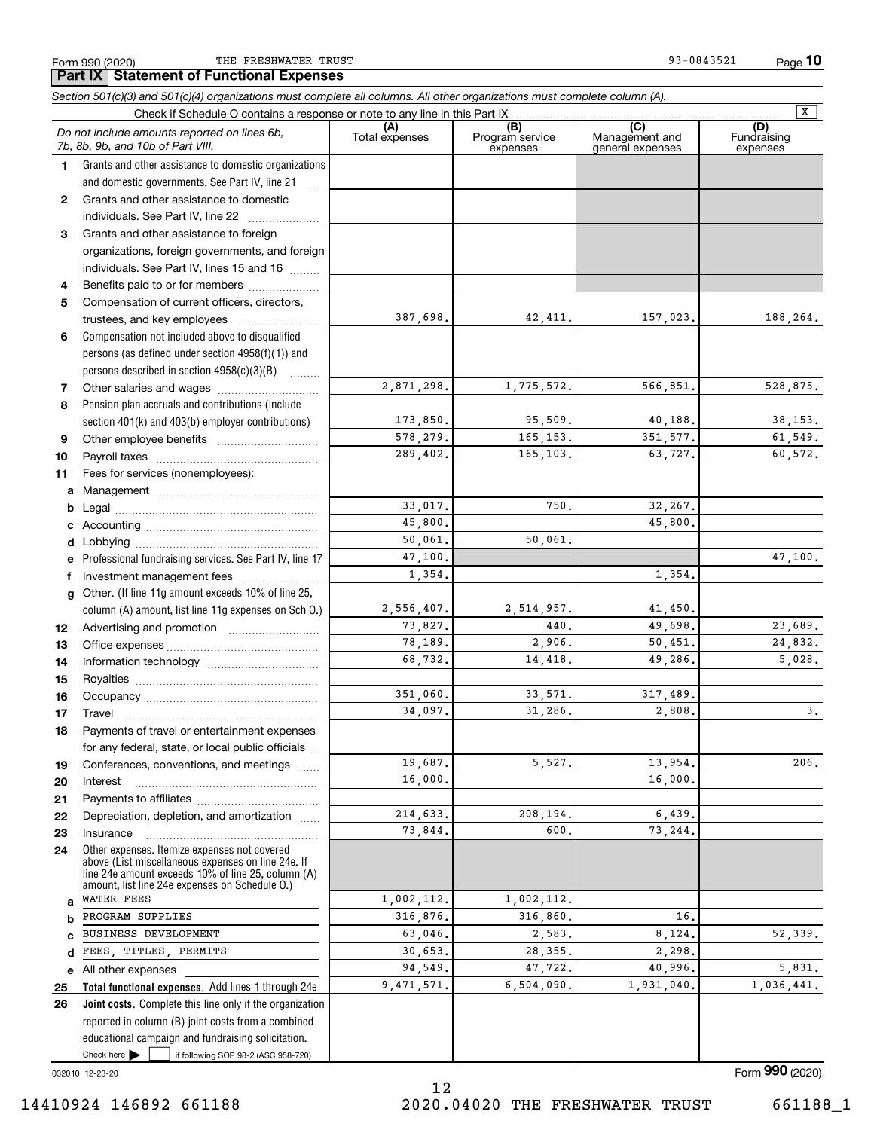Form 990 (2020) Page **Part IX Statement of Functional Expenses** THE FRESHWATER TRUST **1999-0843521** 93-0843521

**10**

|              | Section 501(c)(3) and 501(c)(4) organizations must complete all columns. All other organizations must complete column (A).  |                |                             |                                    | $\overline{X}$          |
|--------------|-----------------------------------------------------------------------------------------------------------------------------|----------------|-----------------------------|------------------------------------|-------------------------|
|              | Check if Schedule O contains a response or note to any line in this Part IX<br>Do not include amounts reported on lines 6b, | (A)            | (B)                         | (C)                                | (D)                     |
|              | 7b, 8b, 9b, and 10b of Part VIII.                                                                                           | Total expenses | Program service<br>expenses | Management and<br>general expenses | Fundraising<br>expenses |
| 1.           | Grants and other assistance to domestic organizations                                                                       |                |                             |                                    |                         |
|              | and domestic governments. See Part IV, line 21                                                                              |                |                             |                                    |                         |
| $\mathbf{2}$ | Grants and other assistance to domestic                                                                                     |                |                             |                                    |                         |
|              | individuals. See Part IV, line 22                                                                                           |                |                             |                                    |                         |
| 3            | Grants and other assistance to foreign                                                                                      |                |                             |                                    |                         |
|              | organizations, foreign governments, and foreign                                                                             |                |                             |                                    |                         |
|              | individuals. See Part IV, lines 15 and 16                                                                                   |                |                             |                                    |                         |
| 4            | Benefits paid to or for members                                                                                             |                |                             |                                    |                         |
| 5            | Compensation of current officers, directors,                                                                                |                |                             |                                    |                         |
|              | trustees, and key employees                                                                                                 | 387,698.       | 42,411.                     | 157,023.                           | 188,264.                |
| 6            | Compensation not included above to disqualified                                                                             |                |                             |                                    |                         |
|              | persons (as defined under section $4958(f)(1)$ ) and                                                                        |                |                             |                                    |                         |
|              | persons described in section 4958(c)(3)(B)<br>1.1.1.1.1.1.1                                                                 |                |                             |                                    |                         |
| 7            |                                                                                                                             | 2,871,298.     | 1,775,572.                  | 566,851.                           | 528,875.                |
| 8            | Pension plan accruals and contributions (include                                                                            |                |                             |                                    |                         |
|              | section 401(k) and 403(b) employer contributions)                                                                           | 173,850.       | 95,509.                     | 40,188.                            | 38, 153.                |
| 9            |                                                                                                                             | 578,279.       | 165, 153.                   | 351, 577.                          | 61,549.                 |
| 10           |                                                                                                                             | 289,402.       | 165,103.                    | 63,727.                            | 60,572.                 |
| 11           | Fees for services (nonemployees):                                                                                           |                |                             |                                    |                         |
|              |                                                                                                                             |                |                             |                                    |                         |
| b            |                                                                                                                             | 33,017.        | 750.                        | 32,267.                            |                         |
|              |                                                                                                                             | 45,800.        |                             | 45,800.                            |                         |
|              |                                                                                                                             | 50,061.        | 50,061.                     |                                    |                         |
|              | e Professional fundraising services. See Part IV, line 17                                                                   | 47,100.        |                             |                                    | 47,100.                 |
| f.           | Investment management fees                                                                                                  | 1,354.         |                             | 1,354.                             |                         |
| g            | Other. (If line 11g amount exceeds 10% of line 25,                                                                          |                |                             |                                    |                         |
|              | column (A) amount, list line 11g expenses on Sch O.)                                                                        | 2,556,407.     | 2,514,957.                  | 41,450.                            |                         |
| 12           |                                                                                                                             | 73,827.        | 440.                        | 49,698.                            | 23,689.                 |
| 13           |                                                                                                                             | 78,189.        | 2,906.                      | 50,451.                            | 24,832.                 |
| 14           |                                                                                                                             | 68,732.        | 14,418.                     | 49,286.                            | 5,028.                  |
| 15           |                                                                                                                             |                |                             |                                    |                         |
| 16           |                                                                                                                             | 351,060.       | 33,571.                     | 317,489.                           |                         |
| 17           |                                                                                                                             | 34,097.        | 31,286.                     | 2,808.                             | 3.                      |
| 18           | Payments of travel or entertainment expenses                                                                                |                |                             |                                    |                         |
|              | for any federal, state, or local public officials                                                                           |                |                             |                                    |                         |
| 19           | Conferences, conventions, and meetings                                                                                      | 19,687.        | 5,527.                      | 13,954.                            | 206.                    |
| 20           | Interest                                                                                                                    | 16,000.        |                             | 16,000.                            |                         |
| 21           |                                                                                                                             | 214,633.       |                             | 6,439.                             |                         |
| 22           | Depreciation, depletion, and amortization                                                                                   | 73,844.        | 208,194.<br>600.            | 73,244.                            |                         |
| 23           | Insurance<br>Other expenses. Itemize expenses not covered                                                                   |                |                             |                                    |                         |
| 24           | above (List miscellaneous expenses on line 24e. If                                                                          |                |                             |                                    |                         |
|              | line 24e amount exceeds 10% of line 25, column (A)                                                                          |                |                             |                                    |                         |
|              | amount, list line 24e expenses on Schedule O.)<br><b>WATER FEES</b>                                                         | 1,002,112.     | 1,002,112.                  |                                    |                         |
| b            | PROGRAM SUPPLIES                                                                                                            | 316,876.       | 316,860.                    | 16.                                |                         |
|              | BUSINESS DEVELOPMENT                                                                                                        | 63,046.        | 2,583.                      | 8,124.                             | 52,339.                 |
| d            | FEES, TITLES, PERMITS                                                                                                       | 30,653.        | 28, 355.                    | 2,298.                             |                         |
| е            | All other expenses                                                                                                          | 94,549.        | 47,722.                     | 40,996.                            | 5,831.                  |
| 25           | Total functional expenses. Add lines 1 through 24e                                                                          | 9,471,571.     | 6,504,090.                  | 1,931,040.                         | 1,036,441.              |
| 26           | Joint costs. Complete this line only if the organization                                                                    |                |                             |                                    |                         |
|              | reported in column (B) joint costs from a combined                                                                          |                |                             |                                    |                         |
|              | educational campaign and fundraising solicitation.                                                                          |                |                             |                                    |                         |
|              | Check here $\blacktriangleright$<br>if following SOP 98-2 (ASC 958-720)                                                     |                |                             |                                    |                         |

032010 12-23-20

12 14410924 146892 661188 2020.04020 THE FRESHWATER TRUST 661188\_1

Form (2020) **990**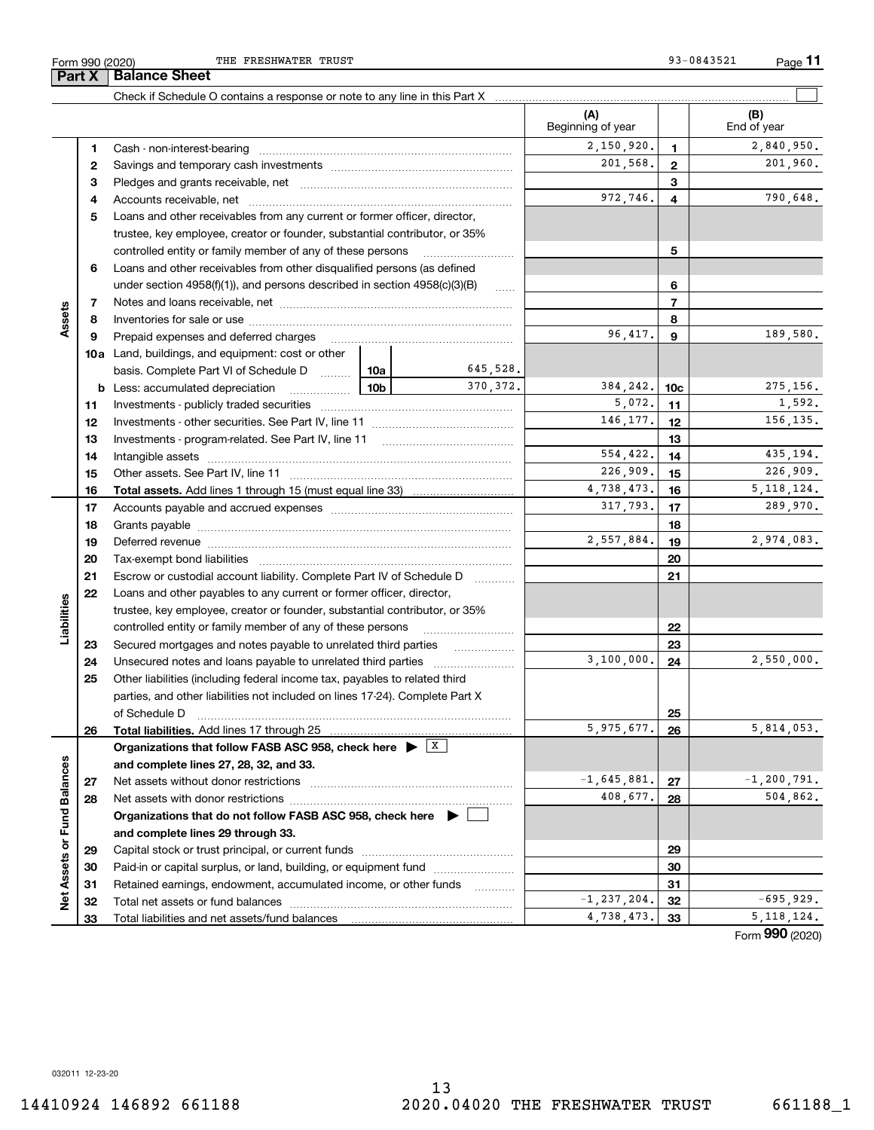**Part X Balance Sheet**

THE FRESHWATER TRUST **12000** 23-0843521

|                             |    | Check if Schedule O contains a response or note to any line in this Part X                                                                                                                                                     |                 |               |                            |                 |                    |
|-----------------------------|----|--------------------------------------------------------------------------------------------------------------------------------------------------------------------------------------------------------------------------------|-----------------|---------------|----------------------------|-----------------|--------------------|
|                             |    |                                                                                                                                                                                                                                |                 |               | (A)<br>Beginning of year   |                 | (B)<br>End of year |
|                             | 1  |                                                                                                                                                                                                                                |                 |               | $\overline{2}$ , 150, 920. | $\mathbf{1}$    | 2,840,950.         |
|                             | 2  |                                                                                                                                                                                                                                |                 |               | 201,568.                   | $\mathbf{2}$    | 201,960.           |
|                             | 3  |                                                                                                                                                                                                                                |                 |               |                            | 3               |                    |
|                             | 4  |                                                                                                                                                                                                                                |                 |               | 972,746.                   | 4               | 790,648.           |
|                             | 5  | Loans and other receivables from any current or former officer, director,                                                                                                                                                      |                 |               |                            |                 |                    |
|                             |    | trustee, key employee, creator or founder, substantial contributor, or 35%                                                                                                                                                     |                 |               |                            |                 |                    |
|                             |    | controlled entity or family member of any of these persons                                                                                                                                                                     |                 |               |                            | 5               |                    |
|                             | 6  | Loans and other receivables from other disqualified persons (as defined                                                                                                                                                        |                 |               |                            |                 |                    |
|                             |    | under section $4958(f)(1)$ , and persons described in section $4958(c)(3)(B)$                                                                                                                                                  |                 | <b>Secure</b> |                            | 6               |                    |
|                             | 7  |                                                                                                                                                                                                                                |                 |               |                            | $\overline{7}$  |                    |
| Assets                      | 8  |                                                                                                                                                                                                                                |                 |               |                            | 8               |                    |
|                             | 9  | Prepaid expenses and deferred charges                                                                                                                                                                                          |                 |               | 96,417.                    | 9               | 189,580.           |
|                             |    | <b>10a</b> Land, buildings, and equipment: cost or other                                                                                                                                                                       |                 |               |                            |                 |                    |
|                             |    | basis. Complete Part VI of Schedule D                                                                                                                                                                                          | 10a             | 645,528.      |                            |                 |                    |
|                             |    | <b>b</b> Less: accumulated depreciation                                                                                                                                                                                        | 10 <sub>b</sub> | 370.372.      | 384,242.                   | 10 <sub>c</sub> | 275,156.           |
|                             | 11 |                                                                                                                                                                                                                                |                 |               | 5,072.                     | 11              | 1,592.             |
|                             | 12 |                                                                                                                                                                                                                                |                 |               | 146,177.                   | 12              | 156,135.           |
|                             | 13 |                                                                                                                                                                                                                                |                 |               |                            | 13              |                    |
|                             | 14 |                                                                                                                                                                                                                                |                 |               | 554,422.                   | 14              | 435,194.           |
|                             | 15 |                                                                                                                                                                                                                                |                 |               | 226,909.                   | 15              | 226,909.           |
|                             | 16 |                                                                                                                                                                                                                                |                 |               | 4,738,473.                 | 16              | 5, 118, 124.       |
|                             | 17 |                                                                                                                                                                                                                                |                 |               | 317,793.                   | 17              | 289,970.           |
|                             | 18 |                                                                                                                                                                                                                                |                 |               |                            | 18              |                    |
|                             | 19 | Deferred revenue manual contracts and contracts are all the contracts and contracts are contracted and contracts are contracted and contract are contracted and contract are contracted and contract are contracted and contra |                 |               | 2,557,884.                 | 19              | 2,974,083.         |
|                             | 20 |                                                                                                                                                                                                                                |                 |               |                            | 20              |                    |
|                             | 21 | Escrow or custodial account liability. Complete Part IV of Schedule D                                                                                                                                                          |                 |               |                            | 21              |                    |
|                             | 22 | Loans and other payables to any current or former officer, director,                                                                                                                                                           |                 |               |                            |                 |                    |
| Liabilities                 |    | trustee, key employee, creator or founder, substantial contributor, or 35%                                                                                                                                                     |                 |               |                            |                 |                    |
|                             |    | controlled entity or family member of any of these persons                                                                                                                                                                     |                 |               |                            | 22              |                    |
|                             | 23 | Secured mortgages and notes payable to unrelated third parties                                                                                                                                                                 |                 |               |                            | 23              |                    |
|                             | 24 |                                                                                                                                                                                                                                |                 |               | 3,100,000.                 | 24              | 2,550,000.         |
|                             | 25 | Other liabilities (including federal income tax, payables to related third                                                                                                                                                     |                 |               |                            |                 |                    |
|                             |    | parties, and other liabilities not included on lines 17-24). Complete Part X                                                                                                                                                   |                 |               |                            |                 |                    |
|                             |    | of Schedule D                                                                                                                                                                                                                  |                 |               |                            | 25              |                    |
|                             | 26 | Total liabilities. Add lines 17 through 25                                                                                                                                                                                     |                 |               | 5,975,677.                 | 26              | 5,814,053.         |
|                             |    | Organizations that follow FASB ASC 958, check here $\blacktriangleright \begin{array}{c} \perp X \end{array}$                                                                                                                  |                 |               |                            |                 |                    |
|                             |    | and complete lines 27, 28, 32, and 33.                                                                                                                                                                                         |                 |               |                            |                 |                    |
|                             | 27 |                                                                                                                                                                                                                                |                 |               | $-1,645,881.$              | 27              | $-1, 200, 791.$    |
|                             | 28 |                                                                                                                                                                                                                                |                 |               | 408,677.                   | 28              | 504,862.           |
|                             |    | Organizations that do not follow FASB ASC 958, check here $\blacktriangleright$                                                                                                                                                |                 |               |                            |                 |                    |
|                             |    | and complete lines 29 through 33.                                                                                                                                                                                              |                 |               |                            |                 |                    |
|                             | 29 |                                                                                                                                                                                                                                |                 |               |                            | 29              |                    |
|                             | 30 | Paid-in or capital surplus, or land, building, or equipment fund                                                                                                                                                               |                 |               |                            | 30              |                    |
| Net Assets or Fund Balances | 31 | Retained earnings, endowment, accumulated income, or other funds                                                                                                                                                               |                 |               |                            | 31              |                    |
|                             | 32 |                                                                                                                                                                                                                                |                 |               | $-1, 237, 204.$            | 32              | $-695,929.$        |
|                             | 33 |                                                                                                                                                                                                                                |                 |               | 4,738,473.                 | 33              | 5, 118, 124.       |

Form (2020) **990**

032011 12-23-20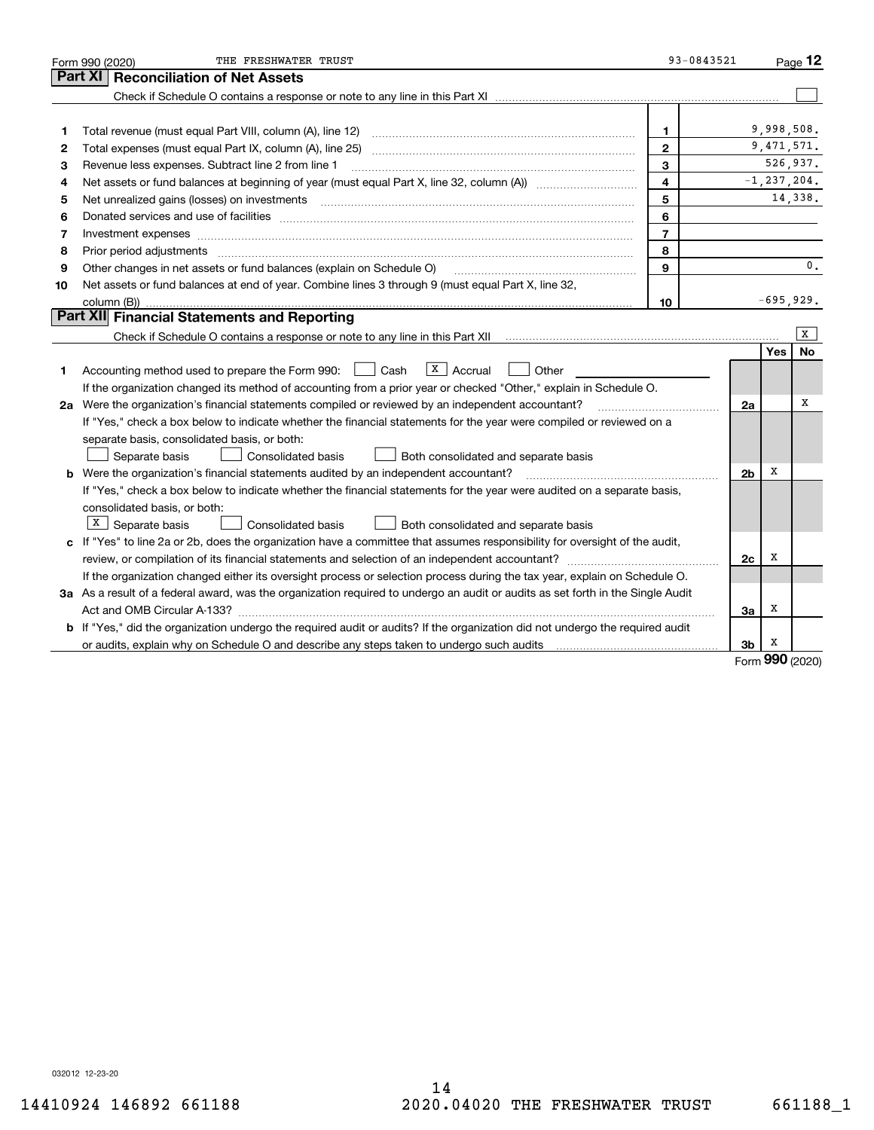| <b>Reconciliation of Net Assets</b><br>Part XI                                                                                                                                                                                           |              |                 |
|------------------------------------------------------------------------------------------------------------------------------------------------------------------------------------------------------------------------------------------|--------------|-----------------|
|                                                                                                                                                                                                                                          |              |                 |
|                                                                                                                                                                                                                                          |              |                 |
|                                                                                                                                                                                                                                          |              |                 |
| $\mathbf{1}$<br>1                                                                                                                                                                                                                        | 9,998,508.   |                 |
| $\mathbf{2}$<br>2                                                                                                                                                                                                                        | 9, 471, 571. |                 |
| 3<br>Revenue less expenses. Subtract line 2 from line 1<br>з                                                                                                                                                                             |              | 526,937.        |
| $\overline{\mathbf{4}}$<br>4                                                                                                                                                                                                             |              | $-1, 237, 204.$ |
| 5<br>5<br>Net unrealized gains (losses) on investments [11] matter continuum matter is a set of the set of the set of the                                                                                                                |              | 14,338.         |
| 6<br>Donated services and use of facilities [111] processes and the service of facilities [11] processes and use of facilities [11] processes and the service of facilities [11] processes and the service of the service of the se<br>6 |              |                 |
| $\overline{7}$<br>Investment expenses www.communication.com/www.communication.com/www.communication.com/www.com<br>7                                                                                                                     |              |                 |
| 8<br>8                                                                                                                                                                                                                                   |              |                 |
| 9<br>Other changes in net assets or fund balances (explain on Schedule O)<br>9                                                                                                                                                           |              | 0.              |
| Net assets or fund balances at end of year. Combine lines 3 through 9 (must equal Part X, line 32,<br>10                                                                                                                                 |              |                 |
| 10                                                                                                                                                                                                                                       | $-695,929.$  |                 |
| Part XII Financial Statements and Reporting                                                                                                                                                                                              |              |                 |
|                                                                                                                                                                                                                                          |              | x               |
|                                                                                                                                                                                                                                          | Yes          | No              |
| $ X $ Accrual<br>Accounting method used to prepare the Form 990: <u>June</u> Cash<br>Other<br>1.                                                                                                                                         |              |                 |
| If the organization changed its method of accounting from a prior year or checked "Other," explain in Schedule O.                                                                                                                        |              |                 |
| 2a Were the organization's financial statements compiled or reviewed by an independent accountant?<br>2a                                                                                                                                 |              | х               |
| If "Yes," check a box below to indicate whether the financial statements for the year were compiled or reviewed on a                                                                                                                     |              |                 |
| separate basis, consolidated basis, or both:                                                                                                                                                                                             |              |                 |
| Separate basis<br>Consolidated basis<br>Both consolidated and separate basis                                                                                                                                                             |              |                 |
| <b>b</b> Were the organization's financial statements audited by an independent accountant?<br>2 <sub>b</sub>                                                                                                                            | х            |                 |
| If "Yes," check a box below to indicate whether the financial statements for the year were audited on a separate basis,                                                                                                                  |              |                 |
| consolidated basis, or both:                                                                                                                                                                                                             |              |                 |
| $X$ Separate basis<br>Consolidated basis<br>Both consolidated and separate basis                                                                                                                                                         |              |                 |
| c If "Yes" to line 2a or 2b, does the organization have a committee that assumes responsibility for oversight of the audit,                                                                                                              |              |                 |
| review, or compilation of its financial statements and selection of an independent accountant?<br>2c                                                                                                                                     | x            |                 |
| If the organization changed either its oversight process or selection process during the tax year, explain on Schedule O.                                                                                                                |              |                 |
| 3a As a result of a federal award, was the organization required to undergo an audit or audits as set forth in the Single Audit                                                                                                          |              |                 |
| За                                                                                                                                                                                                                                       | х            |                 |
| b If "Yes," did the organization undergo the required audit or audits? If the organization did not undergo the required audit                                                                                                            |              |                 |
| 3b<br>or audits, explain why on Schedule O and describe any steps taken to undergo such audits matured contains the successive or and the successive or and the successive or and the successive or and the successive or and the su     | X<br>റററ     |                 |

Form (2020) **990**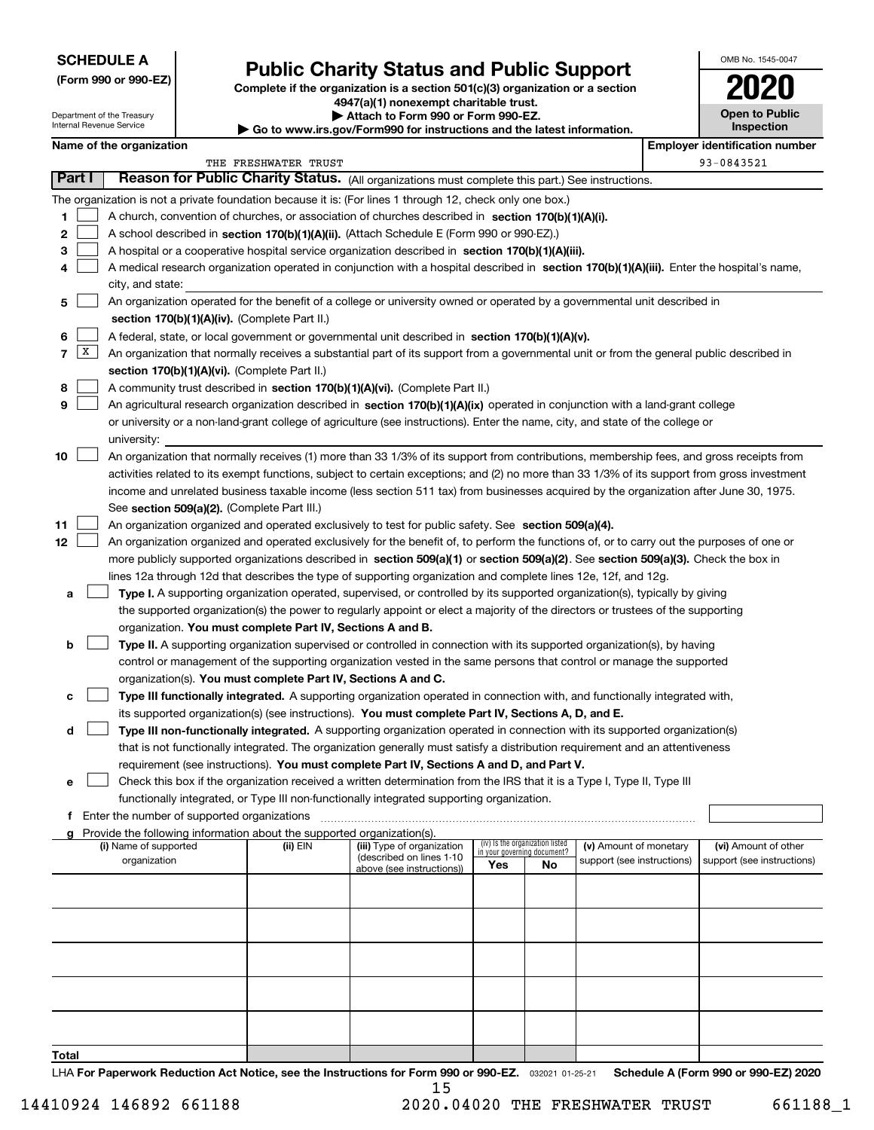## **SCHEDULE A**

Department of the Treasury Internal Revenue Service

**(Form 990 or 990-EZ)**

# **Public Charity Status and Public Support**

**Complete if the organization is a section 501(c)(3) organization or a section 4947(a)(1) nonexempt charitable trust. | Attach to Form 990 or Form 990-EZ. | Go to www.irs.gov/Form990 for instructions and the latest information.**

| <b>Open to Public</b><br>Inspection |  |
|-------------------------------------|--|

OMB No. 1545-0047

## **Name of the organization Employer identification Employer identification number**

|                   |                                                                                                                                                                                       | THE FRESHWATER TRUST |                                                        |                                                                |    |                            |  | 93-0843521                 |
|-------------------|---------------------------------------------------------------------------------------------------------------------------------------------------------------------------------------|----------------------|--------------------------------------------------------|----------------------------------------------------------------|----|----------------------------|--|----------------------------|
| <b>Part I</b>     | Reason for Public Charity Status. (All organizations must complete this part.) See instructions.                                                                                      |                      |                                                        |                                                                |    |                            |  |                            |
|                   | The organization is not a private foundation because it is: (For lines 1 through 12, check only one box.)                                                                             |                      |                                                        |                                                                |    |                            |  |                            |
| 1.                | A church, convention of churches, or association of churches described in section 170(b)(1)(A)(i).                                                                                    |                      |                                                        |                                                                |    |                            |  |                            |
| 2                 | A school described in section 170(b)(1)(A)(ii). (Attach Schedule E (Form 990 or 990-EZ).)                                                                                             |                      |                                                        |                                                                |    |                            |  |                            |
| 3                 | A hospital or a cooperative hospital service organization described in section $170(b)(1)(A)(iii)$ .                                                                                  |                      |                                                        |                                                                |    |                            |  |                            |
| 4                 | A medical research organization operated in conjunction with a hospital described in section 170(b)(1)(A)(iii). Enter the hospital's name,                                            |                      |                                                        |                                                                |    |                            |  |                            |
|                   | city, and state:                                                                                                                                                                      |                      |                                                        |                                                                |    |                            |  |                            |
| 5                 | An organization operated for the benefit of a college or university owned or operated by a governmental unit described in                                                             |                      |                                                        |                                                                |    |                            |  |                            |
|                   | section 170(b)(1)(A)(iv). (Complete Part II.)                                                                                                                                         |                      |                                                        |                                                                |    |                            |  |                            |
| 6                 | A federal, state, or local government or governmental unit described in section 170(b)(1)(A)(v).                                                                                      |                      |                                                        |                                                                |    |                            |  |                            |
| $\mathbf{X}$<br>7 | An organization that normally receives a substantial part of its support from a governmental unit or from the general public described in                                             |                      |                                                        |                                                                |    |                            |  |                            |
|                   | section 170(b)(1)(A)(vi). (Complete Part II.)                                                                                                                                         |                      |                                                        |                                                                |    |                            |  |                            |
| 8                 | A community trust described in section 170(b)(1)(A)(vi). (Complete Part II.)                                                                                                          |                      |                                                        |                                                                |    |                            |  |                            |
| 9                 | An agricultural research organization described in section 170(b)(1)(A)(ix) operated in conjunction with a land-grant college                                                         |                      |                                                        |                                                                |    |                            |  |                            |
|                   | or university or a non-land-grant college of agriculture (see instructions). Enter the name, city, and state of the college or                                                        |                      |                                                        |                                                                |    |                            |  |                            |
|                   | university:                                                                                                                                                                           |                      |                                                        |                                                                |    |                            |  |                            |
| 10                | An organization that normally receives (1) more than 33 1/3% of its support from contributions, membership fees, and gross receipts from                                              |                      |                                                        |                                                                |    |                            |  |                            |
|                   | activities related to its exempt functions, subject to certain exceptions; and (2) no more than 33 1/3% of its support from gross investment                                          |                      |                                                        |                                                                |    |                            |  |                            |
|                   | income and unrelated business taxable income (less section 511 tax) from businesses acquired by the organization after June 30, 1975.                                                 |                      |                                                        |                                                                |    |                            |  |                            |
|                   | See section 509(a)(2). (Complete Part III.)                                                                                                                                           |                      |                                                        |                                                                |    |                            |  |                            |
| 11                | An organization organized and operated exclusively to test for public safety. See section 509(a)(4).                                                                                  |                      |                                                        |                                                                |    |                            |  |                            |
| 12                | An organization organized and operated exclusively for the benefit of, to perform the functions of, or to carry out the purposes of one or                                            |                      |                                                        |                                                                |    |                            |  |                            |
|                   | more publicly supported organizations described in section 509(a)(1) or section 509(a)(2). See section 509(a)(3). Check the box in                                                    |                      |                                                        |                                                                |    |                            |  |                            |
|                   | lines 12a through 12d that describes the type of supporting organization and complete lines 12e, 12f, and 12g.                                                                        |                      |                                                        |                                                                |    |                            |  |                            |
| а                 | Type I. A supporting organization operated, supervised, or controlled by its supported organization(s), typically by giving                                                           |                      |                                                        |                                                                |    |                            |  |                            |
|                   | the supported organization(s) the power to regularly appoint or elect a majority of the directors or trustees of the supporting                                                       |                      |                                                        |                                                                |    |                            |  |                            |
| b                 | organization. You must complete Part IV, Sections A and B.<br>Type II. A supporting organization supervised or controlled in connection with its supported organization(s), by having |                      |                                                        |                                                                |    |                            |  |                            |
|                   | control or management of the supporting organization vested in the same persons that control or manage the supported                                                                  |                      |                                                        |                                                                |    |                            |  |                            |
|                   | organization(s). You must complete Part IV, Sections A and C.                                                                                                                         |                      |                                                        |                                                                |    |                            |  |                            |
| с                 | Type III functionally integrated. A supporting organization operated in connection with, and functionally integrated with,                                                            |                      |                                                        |                                                                |    |                            |  |                            |
|                   | its supported organization(s) (see instructions). You must complete Part IV, Sections A, D, and E.                                                                                    |                      |                                                        |                                                                |    |                            |  |                            |
| d                 | Type III non-functionally integrated. A supporting organization operated in connection with its supported organization(s)                                                             |                      |                                                        |                                                                |    |                            |  |                            |
|                   | that is not functionally integrated. The organization generally must satisfy a distribution requirement and an attentiveness                                                          |                      |                                                        |                                                                |    |                            |  |                            |
|                   | requirement (see instructions). You must complete Part IV, Sections A and D, and Part V.                                                                                              |                      |                                                        |                                                                |    |                            |  |                            |
| е                 | Check this box if the organization received a written determination from the IRS that it is a Type I, Type II, Type III                                                               |                      |                                                        |                                                                |    |                            |  |                            |
|                   | functionally integrated, or Type III non-functionally integrated supporting organization.                                                                                             |                      |                                                        |                                                                |    |                            |  |                            |
|                   | Enter the number of supported organizations                                                                                                                                           |                      |                                                        |                                                                |    |                            |  |                            |
| a                 | Provide the following information about the supported organization(s).                                                                                                                |                      |                                                        |                                                                |    |                            |  |                            |
|                   | (i) Name of supported                                                                                                                                                                 | (ii) EIN             | (iii) Type of organization<br>(described on lines 1-10 | (iv) Is the organization listed<br>in your governing document? |    | (v) Amount of monetary     |  | (vi) Amount of other       |
|                   | organization                                                                                                                                                                          |                      | above (see instructions))                              | Yes                                                            | No | support (see instructions) |  | support (see instructions) |
|                   |                                                                                                                                                                                       |                      |                                                        |                                                                |    |                            |  |                            |
|                   |                                                                                                                                                                                       |                      |                                                        |                                                                |    |                            |  |                            |
|                   |                                                                                                                                                                                       |                      |                                                        |                                                                |    |                            |  |                            |
|                   |                                                                                                                                                                                       |                      |                                                        |                                                                |    |                            |  |                            |
|                   |                                                                                                                                                                                       |                      |                                                        |                                                                |    |                            |  |                            |
|                   |                                                                                                                                                                                       |                      |                                                        |                                                                |    |                            |  |                            |
|                   |                                                                                                                                                                                       |                      |                                                        |                                                                |    |                            |  |                            |
|                   |                                                                                                                                                                                       |                      |                                                        |                                                                |    |                            |  |                            |
|                   |                                                                                                                                                                                       |                      |                                                        |                                                                |    |                            |  |                            |
| <b>Total</b>      |                                                                                                                                                                                       |                      |                                                        |                                                                |    |                            |  |                            |
|                   |                                                                                                                                                                                       |                      |                                                        |                                                                |    |                            |  |                            |

LHA For Paperwork Reduction Act Notice, see the Instructions for Form 990 or 990-EZ. <sub>032021</sub> o1-25-21 Schedule A (Form 990 or 990-EZ) 2020 15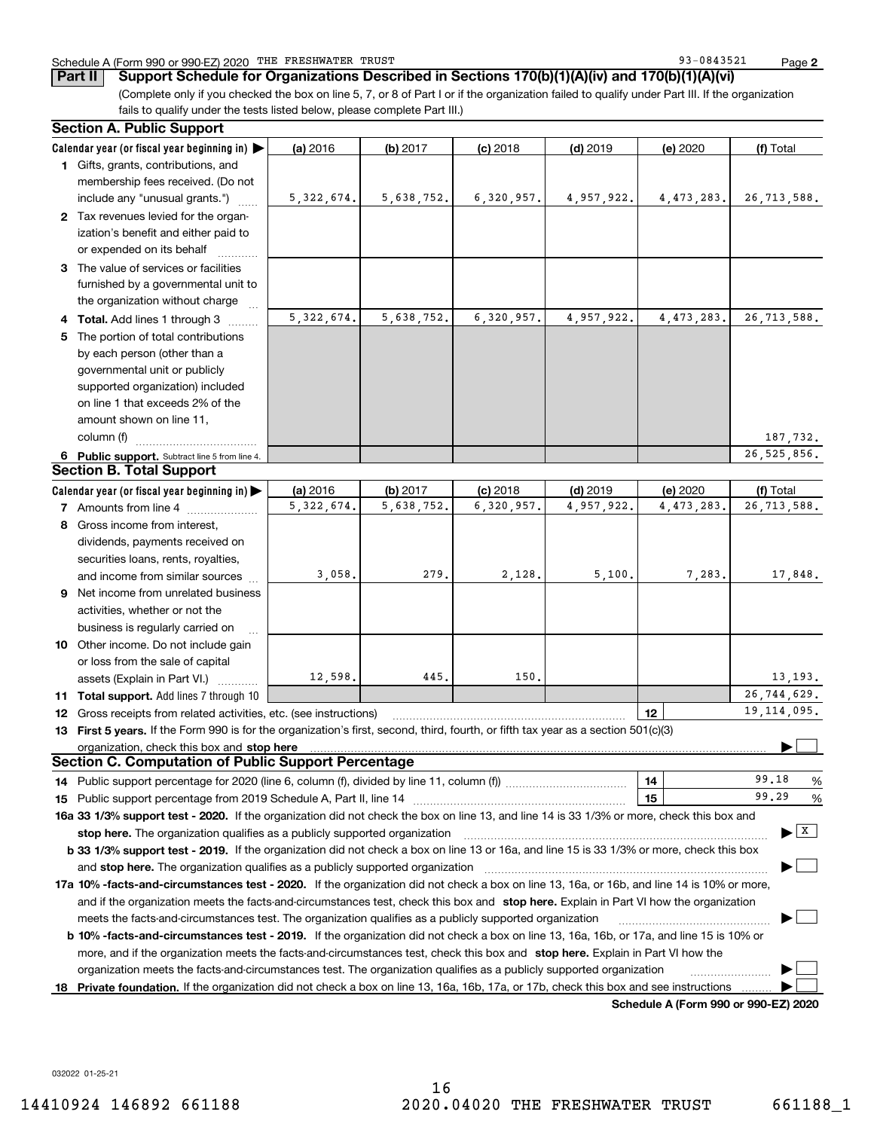### Schedule A (Form 990 or 990-EZ) 2020 Page THE FRESHWATER TRUST 93-0843521

**2**

**Part II Support Schedule for Organizations Described in Sections 170(b)(1)(A)(iv) and 170(b)(1)(A)(vi)**

(Complete only if you checked the box on line 5, 7, or 8 of Part I or if the organization failed to qualify under Part III. If the organization fails to qualify under the tests listed below, please complete Part III.)

|    | <b>Section A. Public Support</b>                                                                                                               |              |            |            |            |                                      |                                          |
|----|------------------------------------------------------------------------------------------------------------------------------------------------|--------------|------------|------------|------------|--------------------------------------|------------------------------------------|
|    | Calendar year (or fiscal year beginning in) $\blacktriangleright$                                                                              | (a) 2016     | (b) 2017   | $(c)$ 2018 | $(d)$ 2019 | (e) 2020                             | (f) Total                                |
|    | 1 Gifts, grants, contributions, and                                                                                                            |              |            |            |            |                                      |                                          |
|    | membership fees received. (Do not                                                                                                              |              |            |            |            |                                      |                                          |
|    | include any "unusual grants.")                                                                                                                 | 5, 322, 674. | 5,638,752. | 6,320,957. | 4,957,922. | 4,473,283.                           | 26,713,588.                              |
|    | 2 Tax revenues levied for the organ-                                                                                                           |              |            |            |            |                                      |                                          |
|    | ization's benefit and either paid to                                                                                                           |              |            |            |            |                                      |                                          |
|    | or expended on its behalf                                                                                                                      |              |            |            |            |                                      |                                          |
|    | 3 The value of services or facilities                                                                                                          |              |            |            |            |                                      |                                          |
|    | furnished by a governmental unit to                                                                                                            |              |            |            |            |                                      |                                          |
|    | the organization without charge                                                                                                                |              |            |            |            |                                      |                                          |
|    | 4 Total. Add lines 1 through 3                                                                                                                 | 5, 322, 674. | 5,638,752. | 6,320,957. | 4,957,922. | 4, 473, 283.                         | 26,713,588.                              |
| 5. | The portion of total contributions                                                                                                             |              |            |            |            |                                      |                                          |
|    | by each person (other than a                                                                                                                   |              |            |            |            |                                      |                                          |
|    | governmental unit or publicly                                                                                                                  |              |            |            |            |                                      |                                          |
|    | supported organization) included                                                                                                               |              |            |            |            |                                      |                                          |
|    | on line 1 that exceeds 2% of the                                                                                                               |              |            |            |            |                                      |                                          |
|    | amount shown on line 11,                                                                                                                       |              |            |            |            |                                      |                                          |
|    | column (f)                                                                                                                                     |              |            |            |            |                                      | 187,732.                                 |
|    | 6 Public support. Subtract line 5 from line 4.                                                                                                 |              |            |            |            |                                      | 26, 525, 856.                            |
|    | <b>Section B. Total Support</b>                                                                                                                |              |            |            |            |                                      |                                          |
|    | Calendar year (or fiscal year beginning in) $\blacktriangleright$                                                                              | (a) 2016     | (b) 2017   | $(c)$ 2018 | $(d)$ 2019 | (e) 2020                             | (f) Total                                |
|    | <b>7</b> Amounts from line 4                                                                                                                   | 5, 322, 674. | 5,638,752. | 6,320,957. | 4,957,922. | 4, 473, 283.                         | 26,713,588.                              |
| 8  | Gross income from interest,                                                                                                                    |              |            |            |            |                                      |                                          |
|    | dividends, payments received on                                                                                                                |              |            |            |            |                                      |                                          |
|    | securities loans, rents, royalties,                                                                                                            |              |            |            |            |                                      |                                          |
|    | and income from similar sources                                                                                                                | 3,058.       | 279.       | 2,128.     | 5,100.     | 7,283.                               | 17,848.                                  |
|    | 9 Net income from unrelated business                                                                                                           |              |            |            |            |                                      |                                          |
|    | activities, whether or not the                                                                                                                 |              |            |            |            |                                      |                                          |
|    | business is regularly carried on                                                                                                               |              |            |            |            |                                      |                                          |
|    | 10 Other income. Do not include gain                                                                                                           |              |            |            |            |                                      |                                          |
|    | or loss from the sale of capital                                                                                                               |              |            |            |            |                                      |                                          |
|    | assets (Explain in Part VI.)                                                                                                                   | 12,598.      | 445.       | 150.       |            |                                      | 13, 193.                                 |
|    | 11 Total support. Add lines 7 through 10                                                                                                       |              |            |            |            |                                      | 26,744,629.                              |
|    | <b>12</b> Gross receipts from related activities, etc. (see instructions)                                                                      |              |            |            |            | 12                                   | 19, 114, 095.                            |
|    | 13 First 5 years. If the Form 990 is for the organization's first, second, third, fourth, or fifth tax year as a section 501(c)(3)             |              |            |            |            |                                      |                                          |
|    | organization, check this box and stop here                                                                                                     |              |            |            |            |                                      |                                          |
|    | <b>Section C. Computation of Public Support Percentage</b>                                                                                     |              |            |            |            |                                      |                                          |
|    |                                                                                                                                                |              |            |            |            | 14                                   | 99.18<br>%                               |
|    |                                                                                                                                                |              |            |            |            | 15                                   | 99.29<br>%                               |
|    | 16a 33 1/3% support test - 2020. If the organization did not check the box on line 13, and line 14 is 33 1/3% or more, check this box and      |              |            |            |            |                                      |                                          |
|    | stop here. The organization qualifies as a publicly supported organization                                                                     |              |            |            |            |                                      | $\blacktriangleright$ $\boxed{\text{X}}$ |
|    | b 33 1/3% support test - 2019. If the organization did not check a box on line 13 or 16a, and line 15 is 33 1/3% or more, check this box       |              |            |            |            |                                      |                                          |
|    | and stop here. The organization qualifies as a publicly supported organization                                                                 |              |            |            |            |                                      |                                          |
|    | 17a 10% -facts-and-circumstances test - 2020. If the organization did not check a box on line 13, 16a, or 16b, and line 14 is 10% or more,     |              |            |            |            |                                      |                                          |
|    | and if the organization meets the facts-and-circumstances test, check this box and stop here. Explain in Part VI how the organization          |              |            |            |            |                                      |                                          |
|    | meets the facts-and-circumstances test. The organization qualifies as a publicly supported organization                                        |              |            |            |            |                                      |                                          |
|    | <b>b 10% -facts-and-circumstances test - 2019.</b> If the organization did not check a box on line 13, 16a, 16b, or 17a, and line 15 is 10% or |              |            |            |            |                                      |                                          |
|    | more, and if the organization meets the facts-and-circumstances test, check this box and stop here. Explain in Part VI how the                 |              |            |            |            |                                      |                                          |
|    | organization meets the facts-and-circumstances test. The organization qualifies as a publicly supported organization                           |              |            |            |            |                                      |                                          |
| 18 | Private foundation. If the organization did not check a box on line 13, 16a, 16b, 17a, or 17b, check this box and see instructions             |              |            |            |            |                                      |                                          |
|    |                                                                                                                                                |              |            |            |            | Schedule A (Form 990 or 990-F7) 2020 |                                          |

**Schedule A (Form 990 or 990-EZ) 2020**

032022 01-25-21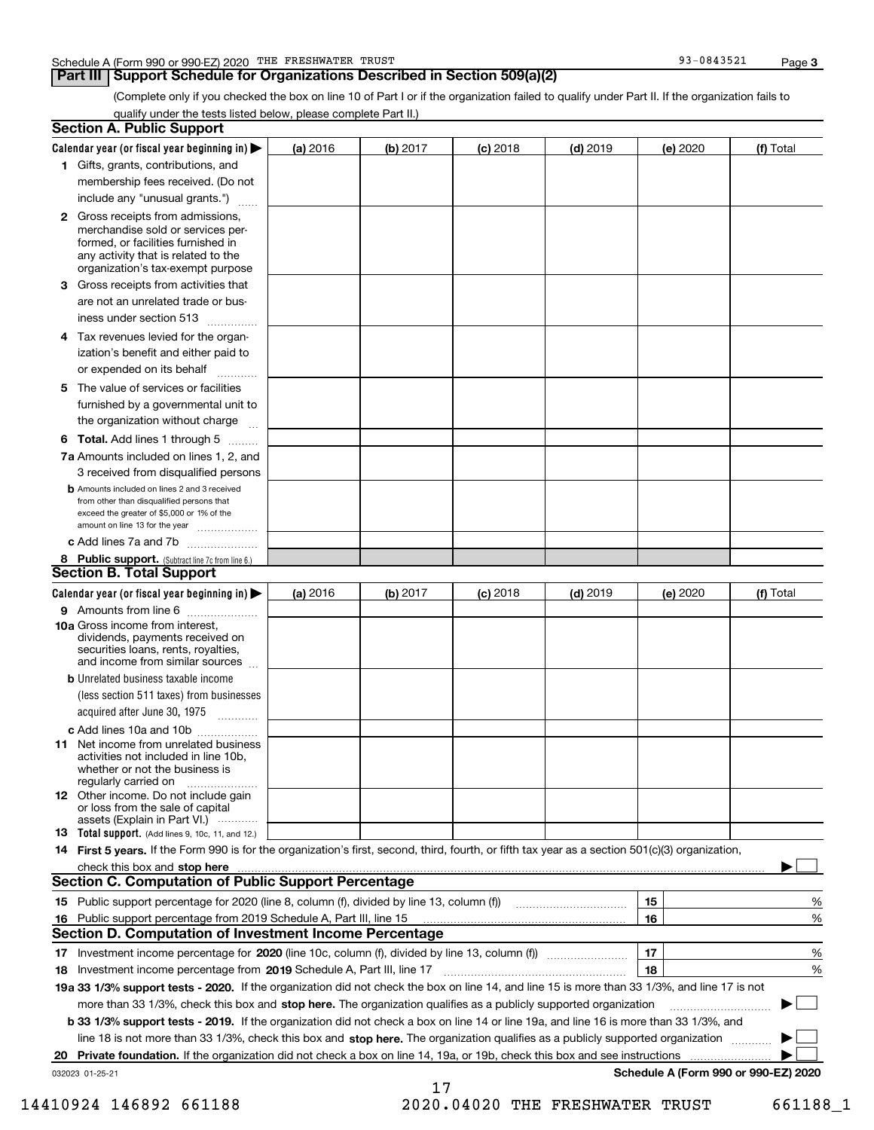## **Part III Support Schedule for Organizations Described in Section 509(a)(2)**

**3**

(Complete only if you checked the box on line 10 of Part I or if the organization failed to qualify under Part II. If the organization fails to qualify under the tests listed below, please complete Part II.)

|     | <b>Section A. Public Support</b>                                                                                                                                                                |          |          |                 |            |          |                                      |
|-----|-------------------------------------------------------------------------------------------------------------------------------------------------------------------------------------------------|----------|----------|-----------------|------------|----------|--------------------------------------|
|     | Calendar year (or fiscal year beginning in) $\blacktriangleright$                                                                                                                               | (a) 2016 | (b) 2017 | <b>(c)</b> 2018 | $(d)$ 2019 | (e) 2020 | (f) Total                            |
|     | 1 Gifts, grants, contributions, and                                                                                                                                                             |          |          |                 |            |          |                                      |
|     | membership fees received. (Do not                                                                                                                                                               |          |          |                 |            |          |                                      |
|     | include any "unusual grants.")                                                                                                                                                                  |          |          |                 |            |          |                                      |
|     | <b>2</b> Gross receipts from admissions,<br>merchandise sold or services per-<br>formed, or facilities furnished in<br>any activity that is related to the<br>organization's tax-exempt purpose |          |          |                 |            |          |                                      |
|     | 3 Gross receipts from activities that<br>are not an unrelated trade or bus-                                                                                                                     |          |          |                 |            |          |                                      |
|     | iness under section 513                                                                                                                                                                         |          |          |                 |            |          |                                      |
|     | 4 Tax revenues levied for the organ-<br>ization's benefit and either paid to<br>or expended on its behalf<br>.                                                                                  |          |          |                 |            |          |                                      |
|     | 5 The value of services or facilities                                                                                                                                                           |          |          |                 |            |          |                                      |
|     | furnished by a governmental unit to<br>the organization without charge                                                                                                                          |          |          |                 |            |          |                                      |
|     | <b>6 Total.</b> Add lines 1 through 5 $\dots$                                                                                                                                                   |          |          |                 |            |          |                                      |
|     | 7a Amounts included on lines 1, 2, and<br>3 received from disqualified persons                                                                                                                  |          |          |                 |            |          |                                      |
|     | <b>b</b> Amounts included on lines 2 and 3 received<br>from other than disqualified persons that<br>exceed the greater of \$5,000 or 1% of the<br>amount on line 13 for the year                |          |          |                 |            |          |                                      |
|     | c Add lines 7a and 7b                                                                                                                                                                           |          |          |                 |            |          |                                      |
|     | 8 Public support. (Subtract line 7c from line 6.)<br><b>Section B. Total Support</b>                                                                                                            |          |          |                 |            |          |                                      |
|     | Calendar year (or fiscal year beginning in)                                                                                                                                                     | (a) 2016 | (b) 2017 | <b>(c)</b> 2018 | $(d)$ 2019 | (e) 2020 | (f) Total                            |
|     | 9 Amounts from line 6                                                                                                                                                                           |          |          |                 |            |          |                                      |
|     | 10a Gross income from interest,<br>dividends, payments received on<br>securities loans, rents, royalties,<br>and income from similar sources                                                    |          |          |                 |            |          |                                      |
|     | <b>b</b> Unrelated business taxable income<br>(less section 511 taxes) from businesses<br>acquired after June 30, 1975 [10001]                                                                  |          |          |                 |            |          |                                      |
|     | c Add lines 10a and 10b                                                                                                                                                                         |          |          |                 |            |          |                                      |
|     | 11 Net income from unrelated business<br>activities not included in line 10b,<br>whether or not the business is<br>regularly carried on                                                         |          |          |                 |            |          |                                      |
|     | <b>12</b> Other income. Do not include gain<br>or loss from the sale of capital<br>assets (Explain in Part VI.)                                                                                 |          |          |                 |            |          |                                      |
|     | 13 Total support. (Add lines 9, 10c, 11, and 12.)                                                                                                                                               |          |          |                 |            |          |                                      |
|     | 14 First 5 years. If the Form 990 is for the organization's first, second, third, fourth, or fifth tax year as a section 501(c)(3) organization,                                                |          |          |                 |            |          |                                      |
|     | check this box and stop here <i>macuum macuum macuum macuum macuum macuum macuum macuum macuum</i>                                                                                              |          |          |                 |            |          |                                      |
|     | <b>Section C. Computation of Public Support Percentage</b>                                                                                                                                      |          |          |                 |            |          |                                      |
|     |                                                                                                                                                                                                 |          |          |                 |            | 15       | %                                    |
| 16. | Public support percentage from 2019 Schedule A, Part III, line 15                                                                                                                               |          |          |                 |            | 16       | %                                    |
|     | <b>Section D. Computation of Investment Income Percentage</b>                                                                                                                                   |          |          |                 |            |          |                                      |
|     | 17 Investment income percentage for 2020 (line 10c, column (f), divided by line 13, column (f))                                                                                                 |          |          |                 |            | 17       | %                                    |
|     | 18 Investment income percentage from 2019 Schedule A, Part III, line 17                                                                                                                         |          |          |                 |            | 18       | %                                    |
|     | 19a 33 1/3% support tests - 2020. If the organization did not check the box on line 14, and line 15 is more than 33 1/3%, and line 17 is not                                                    |          |          |                 |            |          |                                      |
|     | more than 33 1/3%, check this box and stop here. The organization qualifies as a publicly supported organization                                                                                |          |          |                 |            |          | $\sim$ 1                             |
|     | b 33 1/3% support tests - 2019. If the organization did not check a box on line 14 or line 19a, and line 16 is more than 33 1/3%, and                                                           |          |          |                 |            |          |                                      |
|     | line 18 is not more than 33 1/3%, check this box and stop here. The organization qualifies as a publicly supported organization                                                                 |          |          |                 |            |          |                                      |
| 20  | Private foundation. If the organization did not check a box on line 14, 19a, or 19b, check this box and see instructions                                                                        |          |          |                 |            |          |                                      |
|     | 032023 01-25-21                                                                                                                                                                                 |          | 17       |                 |            |          | Schedule A (Form 990 or 990-EZ) 2020 |

14410924 146892 661188 2020.04020 THE FRESHWATER TRUST 661188\_1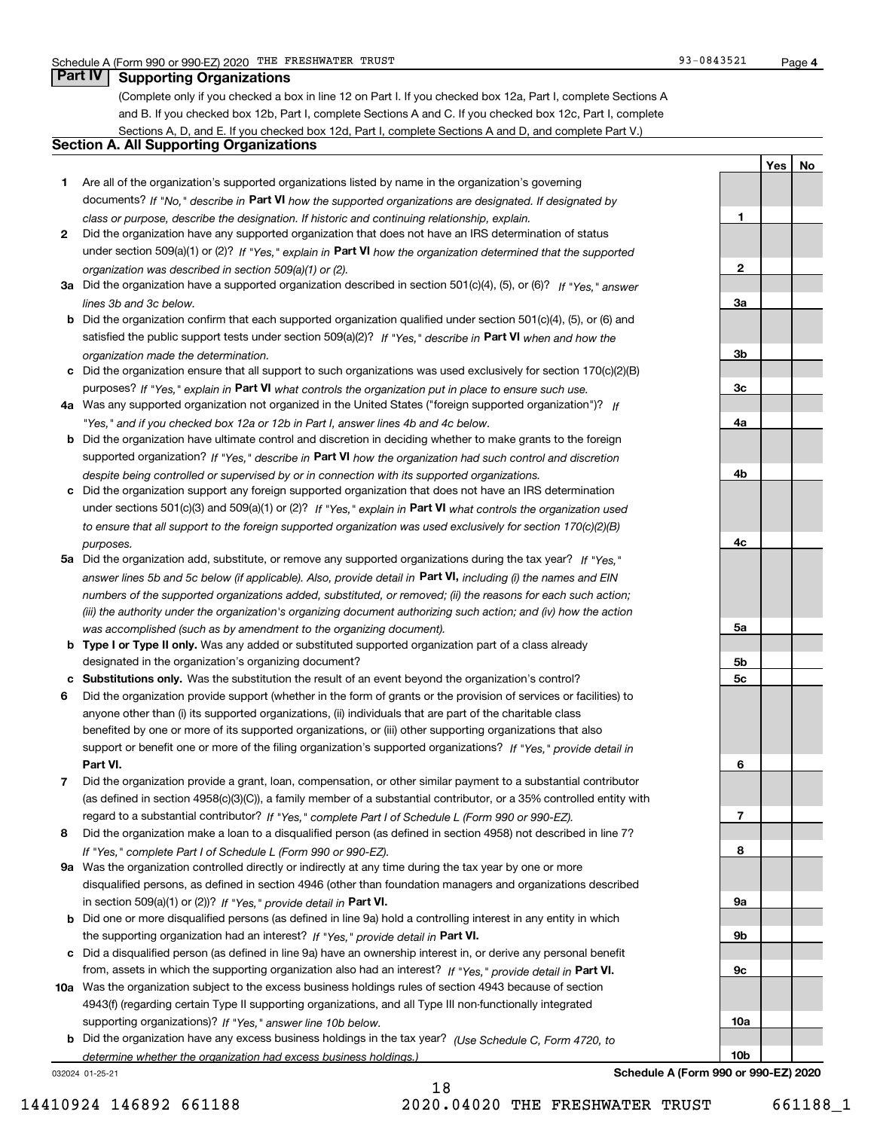**1**

**2**

**3a**

**YesNo**

## **Part IV Supporting Organizations**

(Complete only if you checked a box in line 12 on Part I. If you checked box 12a, Part I, complete Sections A and B. If you checked box 12b, Part I, complete Sections A and C. If you checked box 12c, Part I, complete Sections A, D, and E. If you checked box 12d, Part I, complete Sections A and D, and complete Part V.)

## **Section A. All Supporting Organizations**

- **1** Are all of the organization's supported organizations listed by name in the organization's governing documents? If "No," describe in **Part VI** how the supported organizations are designated. If designated by *class or purpose, describe the designation. If historic and continuing relationship, explain.*
- **2** Did the organization have any supported organization that does not have an IRS determination of status under section 509(a)(1) or (2)? If "Yes," explain in Part VI how the organization determined that the supported *organization was described in section 509(a)(1) or (2).*
- **3a** Did the organization have a supported organization described in section 501(c)(4), (5), or (6)? If "Yes," answer *lines 3b and 3c below.*
- **b** Did the organization confirm that each supported organization qualified under section 501(c)(4), (5), or (6) and satisfied the public support tests under section 509(a)(2)? If "Yes," describe in **Part VI** when and how the *organization made the determination.*
- **c**Did the organization ensure that all support to such organizations was used exclusively for section 170(c)(2)(B) purposes? If "Yes," explain in **Part VI** what controls the organization put in place to ensure such use.
- **4a***If* Was any supported organization not organized in the United States ("foreign supported organization")? *"Yes," and if you checked box 12a or 12b in Part I, answer lines 4b and 4c below.*
- **b** Did the organization have ultimate control and discretion in deciding whether to make grants to the foreign supported organization? If "Yes," describe in **Part VI** how the organization had such control and discretion *despite being controlled or supervised by or in connection with its supported organizations.*
- **c** Did the organization support any foreign supported organization that does not have an IRS determination under sections 501(c)(3) and 509(a)(1) or (2)? If "Yes," explain in **Part VI** what controls the organization used *to ensure that all support to the foreign supported organization was used exclusively for section 170(c)(2)(B) purposes.*
- **5a** Did the organization add, substitute, or remove any supported organizations during the tax year? If "Yes," answer lines 5b and 5c below (if applicable). Also, provide detail in **Part VI,** including (i) the names and EIN *numbers of the supported organizations added, substituted, or removed; (ii) the reasons for each such action; (iii) the authority under the organization's organizing document authorizing such action; and (iv) how the action was accomplished (such as by amendment to the organizing document).*
- **b** Type I or Type II only. Was any added or substituted supported organization part of a class already designated in the organization's organizing document?
- **cSubstitutions only.**  Was the substitution the result of an event beyond the organization's control?
- **6** Did the organization provide support (whether in the form of grants or the provision of services or facilities) to **Part VI.** *If "Yes," provide detail in* support or benefit one or more of the filing organization's supported organizations? anyone other than (i) its supported organizations, (ii) individuals that are part of the charitable class benefited by one or more of its supported organizations, or (iii) other supporting organizations that also
- **7**Did the organization provide a grant, loan, compensation, or other similar payment to a substantial contributor *If "Yes," complete Part I of Schedule L (Form 990 or 990-EZ).* regard to a substantial contributor? (as defined in section 4958(c)(3)(C)), a family member of a substantial contributor, or a 35% controlled entity with
- **8** Did the organization make a loan to a disqualified person (as defined in section 4958) not described in line 7? *If "Yes," complete Part I of Schedule L (Form 990 or 990-EZ).*
- **9a** Was the organization controlled directly or indirectly at any time during the tax year by one or more in section 509(a)(1) or (2))? If "Yes," *provide detail in* <code>Part VI.</code> disqualified persons, as defined in section 4946 (other than foundation managers and organizations described
- **b** Did one or more disqualified persons (as defined in line 9a) hold a controlling interest in any entity in which the supporting organization had an interest? If "Yes," provide detail in P**art VI**.
- **c**Did a disqualified person (as defined in line 9a) have an ownership interest in, or derive any personal benefit from, assets in which the supporting organization also had an interest? If "Yes," provide detail in P**art VI.**
- **10a** Was the organization subject to the excess business holdings rules of section 4943 because of section supporting organizations)? If "Yes," answer line 10b below. 4943(f) (regarding certain Type II supporting organizations, and all Type III non-functionally integrated
- **b** Did the organization have any excess business holdings in the tax year? (Use Schedule C, Form 4720, to *determine whether the organization had excess business holdings.)*

032024 01-25-21

**3b3c4a4b4c5a 5b5c6789a 9b9c10a10b**

**Schedule A (Form 990 or 990-EZ) 2020**

18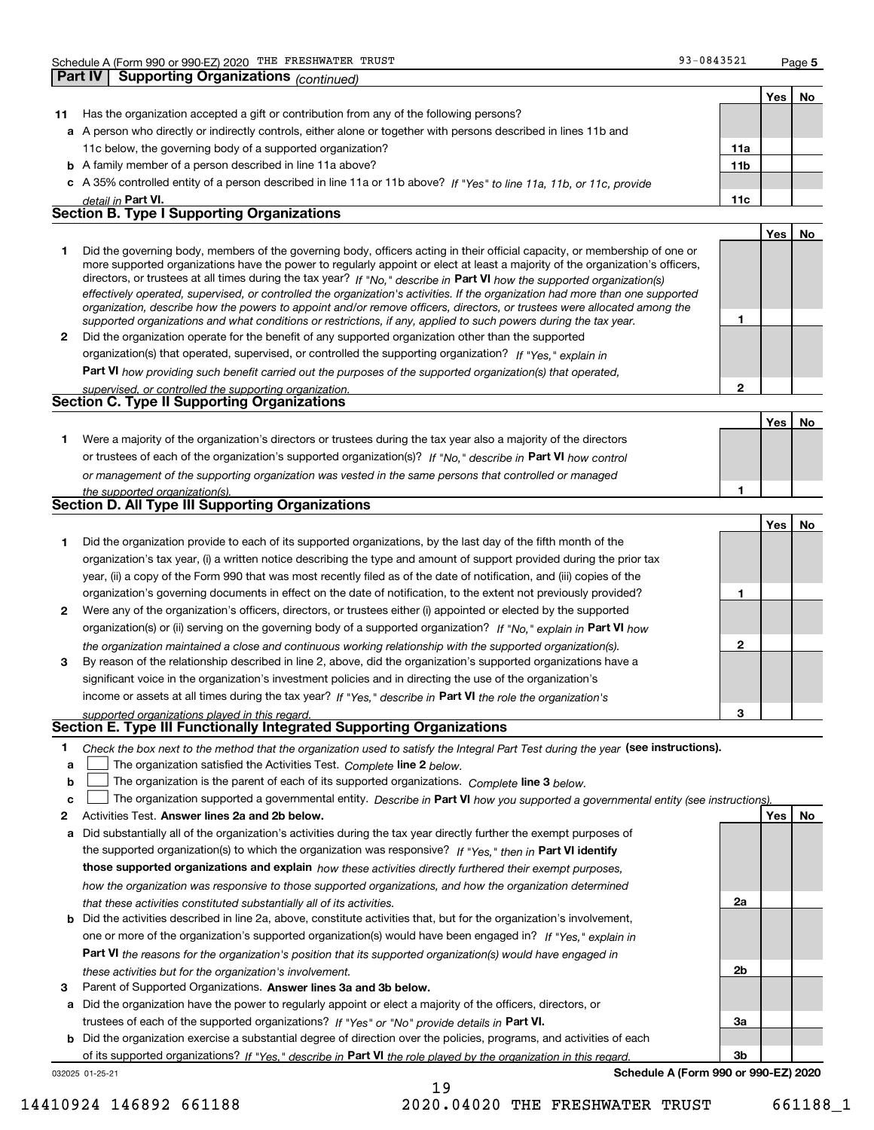**Part IV Supporting Organizations** *(continued)*

**2**

|    |                                                                                                                      |                 | Yes l | No |
|----|----------------------------------------------------------------------------------------------------------------------|-----------------|-------|----|
| 11 | Has the organization accepted a gift or contribution from any of the following persons?                              |                 |       |    |
|    | a A person who directly or indirectly controls, either alone or together with persons described in lines 11b and     |                 |       |    |
|    | 11c below, the governing body of a supported organization?                                                           | 11a             |       |    |
|    | <b>b</b> A family member of a person described in line 11a above?                                                    | 11 <sub>b</sub> |       |    |
|    | c A 35% controlled entity of a person described in line 11a or 11b above? If "Yes" to line 11a, 11b, or 11c, provide |                 |       |    |
|    | detail in Part VI.                                                                                                   | 11c             |       |    |
|    | <b>Section B. Type I Supporting Organizations</b>                                                                    |                 |       |    |
|    |                                                                                                                      |                 | Yes   | No |
|    |                                                                                                                      |                 |       |    |

|              | Did the governing body, members of the governing body, officers acting in their official capacity, or membership of one or<br>more supported organizations have the power to regularly appoint or elect at least a majority of the organization's officers,<br>directors, or trustees at all times during the tax year? If "No," describe in Part VI how the supported organization(s) |  |
|--------------|----------------------------------------------------------------------------------------------------------------------------------------------------------------------------------------------------------------------------------------------------------------------------------------------------------------------------------------------------------------------------------------|--|
|              | effectively operated, supervised, or controlled the organization's activities. If the organization had more than one supported                                                                                                                                                                                                                                                         |  |
|              | organization, describe how the powers to appoint and/or remove officers, directors, or trustees were allocated among the<br>supported organizations and what conditions or restrictions, if any, applied to such powers during the tax year.                                                                                                                                           |  |
| $\mathbf{2}$ | Did the organization operate for the benefit of any supported organization other than the supported                                                                                                                                                                                                                                                                                    |  |
|              | organization(s) that operated, supervised, or controlled the supporting organization? If "Yes," explain in                                                                                                                                                                                                                                                                             |  |

**Part VI**  *how providing such benefit carried out the purposes of the supported organization(s) that operated,*

*supervised, or controlled the supporting organization.*

| <u>sabernsea. Or componed the sabboruna organization.</u> |  |
|-----------------------------------------------------------|--|
| <b>Section C. Type II Supporting Organizations</b>        |  |

**Yes No 1**or trustees of each of the organization's supported organization(s)? If "No," describe in **Part VI** how control **1***or management of the supporting organization was vested in the same persons that controlled or managed the supported organization(s).* Were a majority of the organization's directors or trustees during the tax year also a majority of the directors

|  |  |  |  | Section D. All Type III Supporting Organizations |
|--|--|--|--|--------------------------------------------------|
|--|--|--|--|--------------------------------------------------|

|              |                                                                                                                                                                                                                                                                                                                                                                   |   | Yes   No |  |
|--------------|-------------------------------------------------------------------------------------------------------------------------------------------------------------------------------------------------------------------------------------------------------------------------------------------------------------------------------------------------------------------|---|----------|--|
|              | Did the organization provide to each of its supported organizations, by the last day of the fifth month of the<br>organization's tax year, (i) a written notice describing the type and amount of support provided during the prior tax<br>year, (ii) a copy of the Form 990 that was most recently filed as of the date of notification, and (iii) copies of the |   |          |  |
|              | organization's governing documents in effect on the date of notification, to the extent not previously provided?                                                                                                                                                                                                                                                  |   |          |  |
| $\mathbf{2}$ | Were any of the organization's officers, directors, or trustees either (i) appointed or elected by the supported                                                                                                                                                                                                                                                  |   |          |  |
|              | organization(s) or (ii) serving on the governing body of a supported organization? If "No," explain in Part VI how                                                                                                                                                                                                                                                |   |          |  |
| 3            | the organization maintained a close and continuous working relationship with the supported organization(s).<br>By reason of the relationship described in line 2, above, did the organization's supported organizations have a                                                                                                                                    | 2 |          |  |
|              | significant voice in the organization's investment policies and in directing the use of the organization's                                                                                                                                                                                                                                                        |   |          |  |
|              | income or assets at all times during the tax year? If "Yes," describe in Part VI the role the organization's                                                                                                                                                                                                                                                      |   |          |  |
|              | supported organizations played in this regard.                                                                                                                                                                                                                                                                                                                    | з |          |  |

# *supported organizations played in this regard.* **Section E. Type III Functionally Integrated Supporting Organizations**

- **1**Check the box next to the method that the organization used to satisfy the Integral Part Test during the year (see instructions).
- **alinupy** The organization satisfied the Activities Test. Complete line 2 below.
- **b**The organization is the parent of each of its supported organizations. *Complete* line 3 *below.*  $\mathcal{L}^{\text{max}}$

|  |  |  | c <u>L</u> The organization supported a governmental entity. Describe in Part VI how you supported a governmental entity (see instructions) |  |
|--|--|--|---------------------------------------------------------------------------------------------------------------------------------------------|--|
|--|--|--|---------------------------------------------------------------------------------------------------------------------------------------------|--|

19

- **2Answer lines 2a and 2b below. Yes No** Activities Test.
- **a** Did substantially all of the organization's activities during the tax year directly further the exempt purposes of the supported organization(s) to which the organization was responsive? If "Yes," then in **Part VI identify those supported organizations and explain**  *how these activities directly furthered their exempt purposes, how the organization was responsive to those supported organizations, and how the organization determined that these activities constituted substantially all of its activities.*
- **b** Did the activities described in line 2a, above, constitute activities that, but for the organization's involvement, **Part VI**  *the reasons for the organization's position that its supported organization(s) would have engaged in* one or more of the organization's supported organization(s) would have been engaged in? If "Yes," e*xplain in these activities but for the organization's involvement.*
- **3** Parent of Supported Organizations. Answer lines 3a and 3b below.
- **a** Did the organization have the power to regularly appoint or elect a majority of the officers, directors, or trustees of each of the supported organizations? If "Yes" or "No" provide details in P**art VI.**

**b** Did the organization exercise a substantial degree of direction over the policies, programs, and activities of each of its supported organizations? If "Yes," describe in Part VI the role played by the organization in this regard.

032025 01-25-21

**Schedule A (Form 990 or 990-EZ) 2020**

**2a**

**2b**

**3a**

**3b**

14410924 146892 661188 2020.04020 THE FRESHWATER TRUST 661188\_1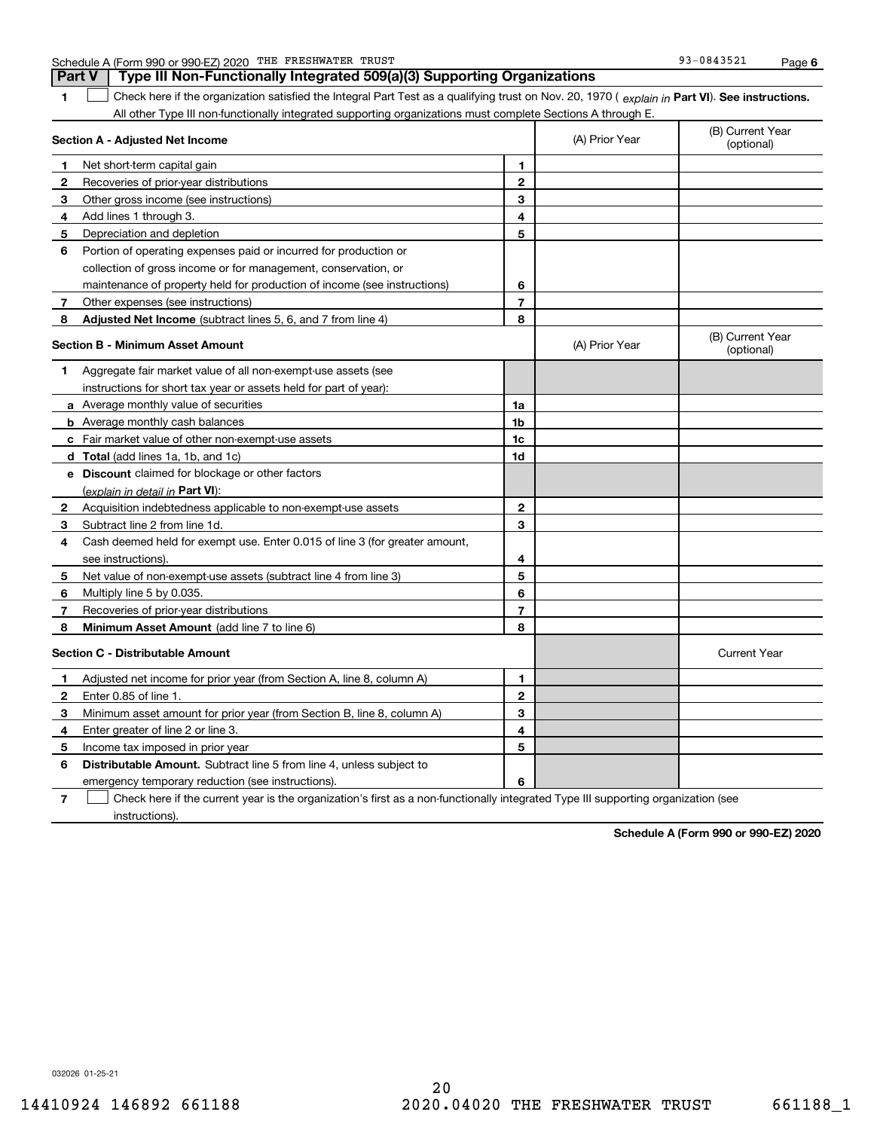|  | Schedule A (Form 990 or 990-EZ) 2020 | THE | <b>FRESHWATER</b> | TRUST | 93-0843521 | Paɑe |  |
|--|--------------------------------------|-----|-------------------|-------|------------|------|--|
|--|--------------------------------------|-----|-------------------|-------|------------|------|--|

**Part V Type III Non-Functionally Integrated 509(a)(3) Supporting Organizations** 

**1Part VI** Check here if the organization satisfied the Integral Part Test as a qualifying trust on Nov. 20, 1970 ( explain in Part **VI**). See instructions. All other Type III non-functionally integrated supporting organizations must complete Sections A through E. ×.

|   | Section A - Adjusted Net Income                                                                                                   |                | (A) Prior Year | (B) Current Year<br>(optional) |
|---|-----------------------------------------------------------------------------------------------------------------------------------|----------------|----------------|--------------------------------|
| 1 | Net short-term capital gain                                                                                                       | 1              |                |                                |
| 2 | Recoveries of prior-year distributions                                                                                            | $\overline{2}$ |                |                                |
| 3 | Other gross income (see instructions)                                                                                             | 3              |                |                                |
| 4 | Add lines 1 through 3.                                                                                                            | 4              |                |                                |
| 5 | Depreciation and depletion                                                                                                        | 5              |                |                                |
| 6 | Portion of operating expenses paid or incurred for production or                                                                  |                |                |                                |
|   | collection of gross income or for management, conservation, or                                                                    |                |                |                                |
|   | maintenance of property held for production of income (see instructions)                                                          | 6              |                |                                |
| 7 | Other expenses (see instructions)                                                                                                 | $\overline{7}$ |                |                                |
| 8 | Adjusted Net Income (subtract lines 5, 6, and 7 from line 4)                                                                      | 8              |                |                                |
|   | <b>Section B - Minimum Asset Amount</b>                                                                                           |                | (A) Prior Year | (B) Current Year<br>(optional) |
| 1 | Aggregate fair market value of all non-exempt-use assets (see                                                                     |                |                |                                |
|   | instructions for short tax year or assets held for part of year):                                                                 |                |                |                                |
|   | <b>a</b> Average monthly value of securities                                                                                      | 1a             |                |                                |
|   | <b>b</b> Average monthly cash balances                                                                                            | 1 <sub>b</sub> |                |                                |
|   | c Fair market value of other non-exempt-use assets                                                                                | 1c             |                |                                |
|   | <b>d</b> Total (add lines 1a, 1b, and 1c)                                                                                         | 1d             |                |                                |
|   | e Discount claimed for blockage or other factors                                                                                  |                |                |                                |
|   | (explain in detail in Part VI):                                                                                                   |                |                |                                |
| 2 | Acquisition indebtedness applicable to non-exempt-use assets                                                                      | $\mathbf{2}$   |                |                                |
| 3 | Subtract line 2 from line 1d.                                                                                                     | 3              |                |                                |
| 4 | Cash deemed held for exempt use. Enter 0.015 of line 3 (for greater amount,                                                       |                |                |                                |
|   | see instructions)                                                                                                                 | 4              |                |                                |
| 5 | Net value of non-exempt-use assets (subtract line 4 from line 3)                                                                  | 5              |                |                                |
| 6 | Multiply line 5 by 0.035.                                                                                                         | 6              |                |                                |
| 7 | Recoveries of prior-year distributions                                                                                            | 7              |                |                                |
| 8 | <b>Minimum Asset Amount</b> (add line 7 to line 6)                                                                                | 8              |                |                                |
|   | <b>Section C - Distributable Amount</b>                                                                                           |                |                | <b>Current Year</b>            |
| 1 | Adjusted net income for prior year (from Section A, line 8, column A)                                                             | 1.             |                |                                |
| 2 | Enter 0.85 of line 1.                                                                                                             | $\overline{2}$ |                |                                |
| 3 | Minimum asset amount for prior year (from Section B, line 8, column A)                                                            | 3              |                |                                |
| 4 | Enter greater of line 2 or line 3.                                                                                                | 4              |                |                                |
| 5 | Income tax imposed in prior year                                                                                                  | 5              |                |                                |
| 6 | <b>Distributable Amount.</b> Subtract line 5 from line 4, unless subject to                                                       |                |                |                                |
|   | emergency temporary reduction (see instructions).                                                                                 | 6              |                |                                |
| 7 | Check here if the current year is the organization's first as a non-functionally integrated Type III supporting organization (see |                |                |                                |

instructions).

**Schedule A (Form 990 or 990-EZ) 2020**

032026 01-25-21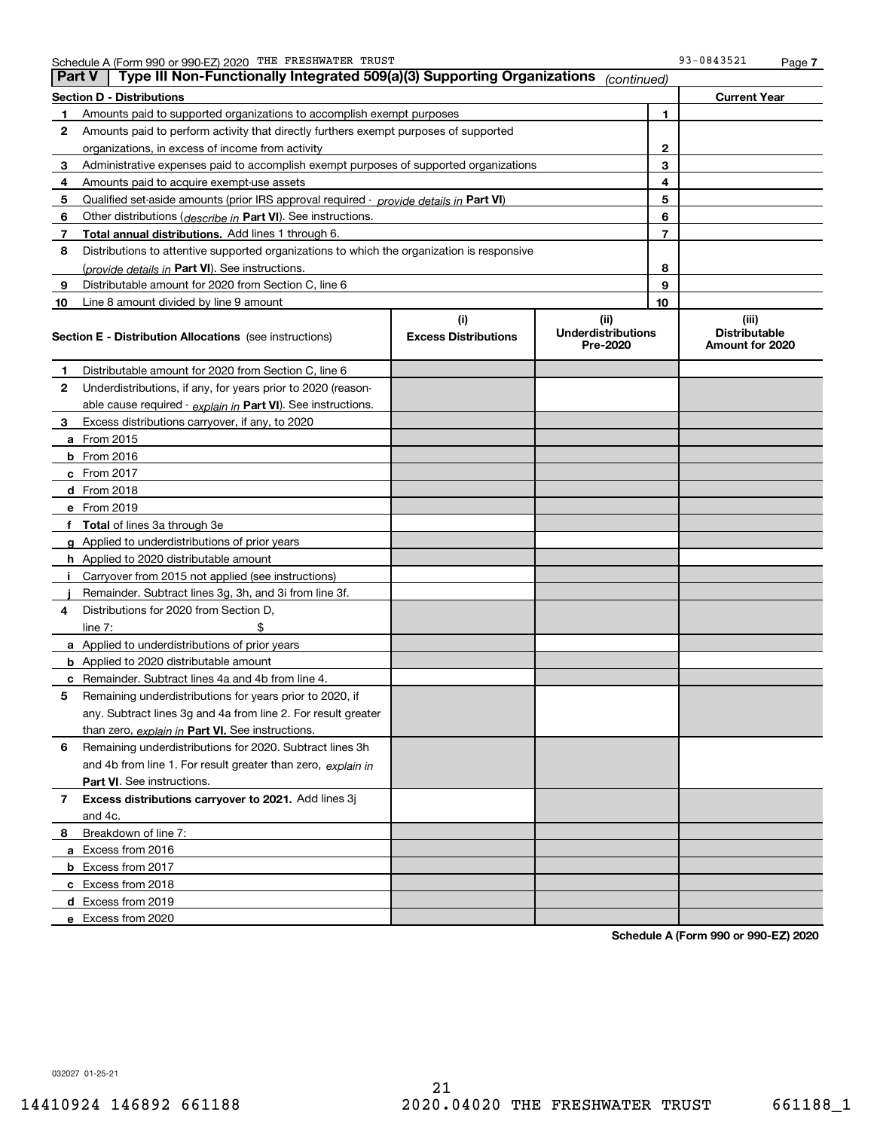|    | Type III Non-Functionally Integrated 509(a)(3) Supporting Organizations<br>∣ Part V<br>(continued) |                             |                                       |              |                                         |  |  |
|----|----------------------------------------------------------------------------------------------------|-----------------------------|---------------------------------------|--------------|-----------------------------------------|--|--|
|    | Section D - Distributions                                                                          |                             |                                       |              | <b>Current Year</b>                     |  |  |
| 1  | Amounts paid to supported organizations to accomplish exempt purposes                              |                             |                                       | 1            |                                         |  |  |
| 2  | Amounts paid to perform activity that directly furthers exempt purposes of supported               |                             |                                       |              |                                         |  |  |
|    | organizations, in excess of income from activity                                                   |                             |                                       | $\mathbf{2}$ |                                         |  |  |
| 3  | Administrative expenses paid to accomplish exempt purposes of supported organizations              |                             |                                       | 3            |                                         |  |  |
| 4  | Amounts paid to acquire exempt-use assets                                                          |                             |                                       | 4            |                                         |  |  |
| 5  | Qualified set aside amounts (prior IRS approval required - provide details in Part VI)             |                             |                                       | 5            |                                         |  |  |
| 6  | Other distributions ( <i>describe in</i> Part VI). See instructions.                               |                             |                                       | 6            |                                         |  |  |
| 7  | Total annual distributions. Add lines 1 through 6.                                                 |                             |                                       | 7            |                                         |  |  |
| 8  | Distributions to attentive supported organizations to which the organization is responsive         |                             |                                       |              |                                         |  |  |
|    | (provide details in Part VI). See instructions.                                                    |                             |                                       | 8            |                                         |  |  |
| 9  | Distributable amount for 2020 from Section C, line 6                                               |                             |                                       | 9            |                                         |  |  |
| 10 | Line 8 amount divided by line 9 amount                                                             |                             |                                       | 10           |                                         |  |  |
|    |                                                                                                    | (i)                         | (ii)                                  |              | (iii)                                   |  |  |
|    | <b>Section E - Distribution Allocations</b> (see instructions)                                     | <b>Excess Distributions</b> | <b>Underdistributions</b><br>Pre-2020 |              | <b>Distributable</b><br>Amount for 2020 |  |  |
| 1  | Distributable amount for 2020 from Section C, line 6                                               |                             |                                       |              |                                         |  |  |
| 2  | Underdistributions, if any, for years prior to 2020 (reason-                                       |                             |                                       |              |                                         |  |  |
|    | able cause required - explain in Part VI). See instructions.                                       |                             |                                       |              |                                         |  |  |
| 3  | Excess distributions carryover, if any, to 2020                                                    |                             |                                       |              |                                         |  |  |
|    | <b>a</b> From 2015                                                                                 |                             |                                       |              |                                         |  |  |
|    | <b>b</b> From 2016                                                                                 |                             |                                       |              |                                         |  |  |
|    | <b>c</b> From 2017                                                                                 |                             |                                       |              |                                         |  |  |
|    | d From 2018                                                                                        |                             |                                       |              |                                         |  |  |
|    | e From 2019                                                                                        |                             |                                       |              |                                         |  |  |
|    | f Total of lines 3a through 3e                                                                     |                             |                                       |              |                                         |  |  |
|    | g Applied to underdistributions of prior years                                                     |                             |                                       |              |                                         |  |  |
|    | <b>h</b> Applied to 2020 distributable amount                                                      |                             |                                       |              |                                         |  |  |
|    | Carryover from 2015 not applied (see instructions)                                                 |                             |                                       |              |                                         |  |  |
|    | Remainder. Subtract lines 3g, 3h, and 3i from line 3f.                                             |                             |                                       |              |                                         |  |  |
| 4  | Distributions for 2020 from Section D,                                                             |                             |                                       |              |                                         |  |  |
|    | line $7:$                                                                                          |                             |                                       |              |                                         |  |  |
|    | a Applied to underdistributions of prior years                                                     |                             |                                       |              |                                         |  |  |
|    | <b>b</b> Applied to 2020 distributable amount                                                      |                             |                                       |              |                                         |  |  |
|    | c Remainder. Subtract lines 4a and 4b from line 4.                                                 |                             |                                       |              |                                         |  |  |
| 5  | Remaining underdistributions for years prior to 2020, if                                           |                             |                                       |              |                                         |  |  |
|    | any. Subtract lines 3g and 4a from line 2. For result greater                                      |                             |                                       |              |                                         |  |  |
|    | than zero, explain in Part VI. See instructions.                                                   |                             |                                       |              |                                         |  |  |
| 6  | Remaining underdistributions for 2020. Subtract lines 3h                                           |                             |                                       |              |                                         |  |  |
|    | and 4b from line 1. For result greater than zero, explain in                                       |                             |                                       |              |                                         |  |  |
|    | Part VI. See instructions.                                                                         |                             |                                       |              |                                         |  |  |
| 7  | Excess distributions carryover to 2021. Add lines 3j                                               |                             |                                       |              |                                         |  |  |
|    | and 4c.                                                                                            |                             |                                       |              |                                         |  |  |
| 8  | Breakdown of line 7:                                                                               |                             |                                       |              |                                         |  |  |
|    | a Excess from 2016                                                                                 |                             |                                       |              |                                         |  |  |
|    | <b>b</b> Excess from 2017                                                                          |                             |                                       |              |                                         |  |  |
|    | c Excess from 2018                                                                                 |                             |                                       |              |                                         |  |  |
|    | d Excess from 2019                                                                                 |                             |                                       |              |                                         |  |  |
|    | e Excess from 2020                                                                                 |                             |                                       |              |                                         |  |  |
|    |                                                                                                    |                             |                                       |              |                                         |  |  |

**Schedule A (Form 990 or 990-EZ) 2020**

032027 01-25-21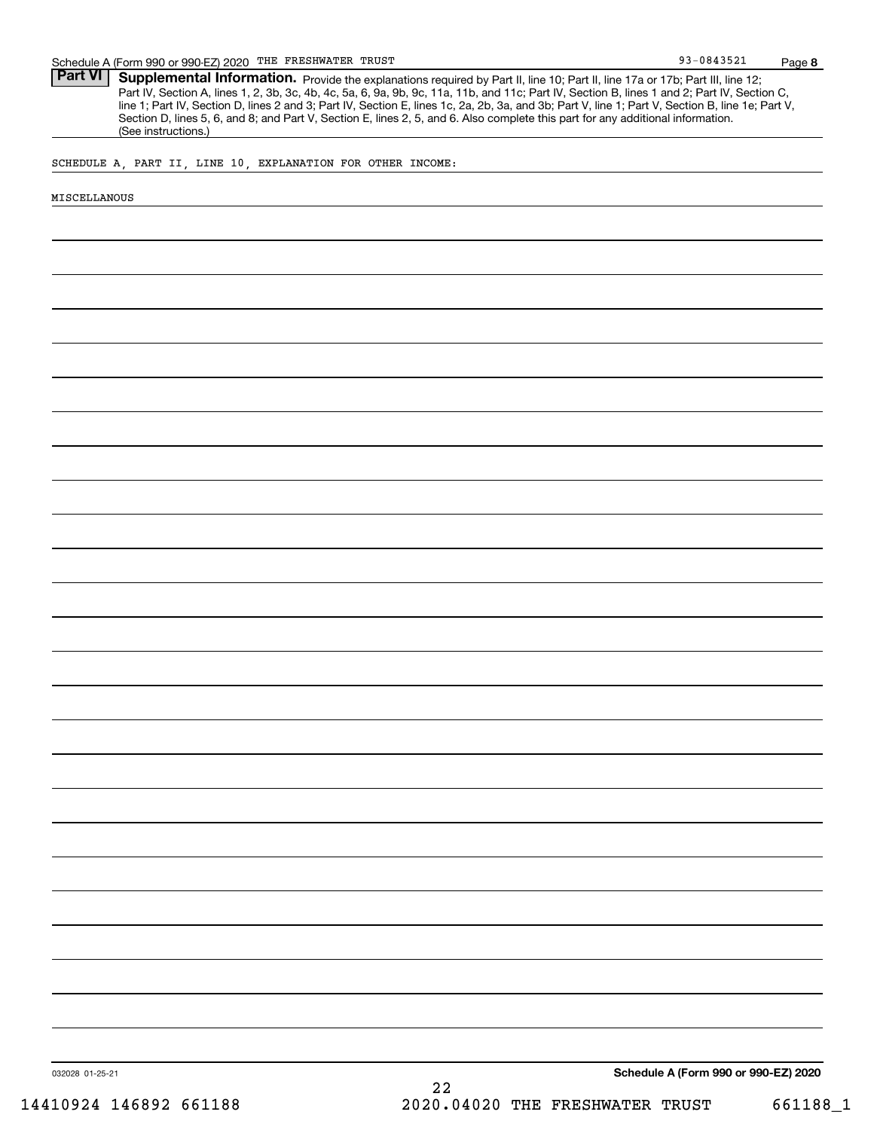Part VI | Supplemental Information. Provide the explanations required by Part II, line 10; Part II, line 17a or 17b; Part III, line 12; Part IV, Section A, lines 1, 2, 3b, 3c, 4b, 4c, 5a, 6, 9a, 9b, 9c, 11a, 11b, and 11c; Part IV, Section B, lines 1 and 2; Part IV, Section C, line 1; Part IV, Section D, lines 2 and 3; Part IV, Section E, lines 1c, 2a, 2b, 3a, and 3b; Part V, line 1; Part V, Section B, line 1e; Part V, Section D, lines 5, 6, and 8; and Part V, Section E, lines 2, 5, and 6. Also complete this part for any additional information. (See instructions.)

SCHEDULE A, PART II, LINE 10, EXPLANATION FOR OTHER INCOME:

#### MISCELLANOUS

**Schedule A (Form 990 or 990-EZ) 2020**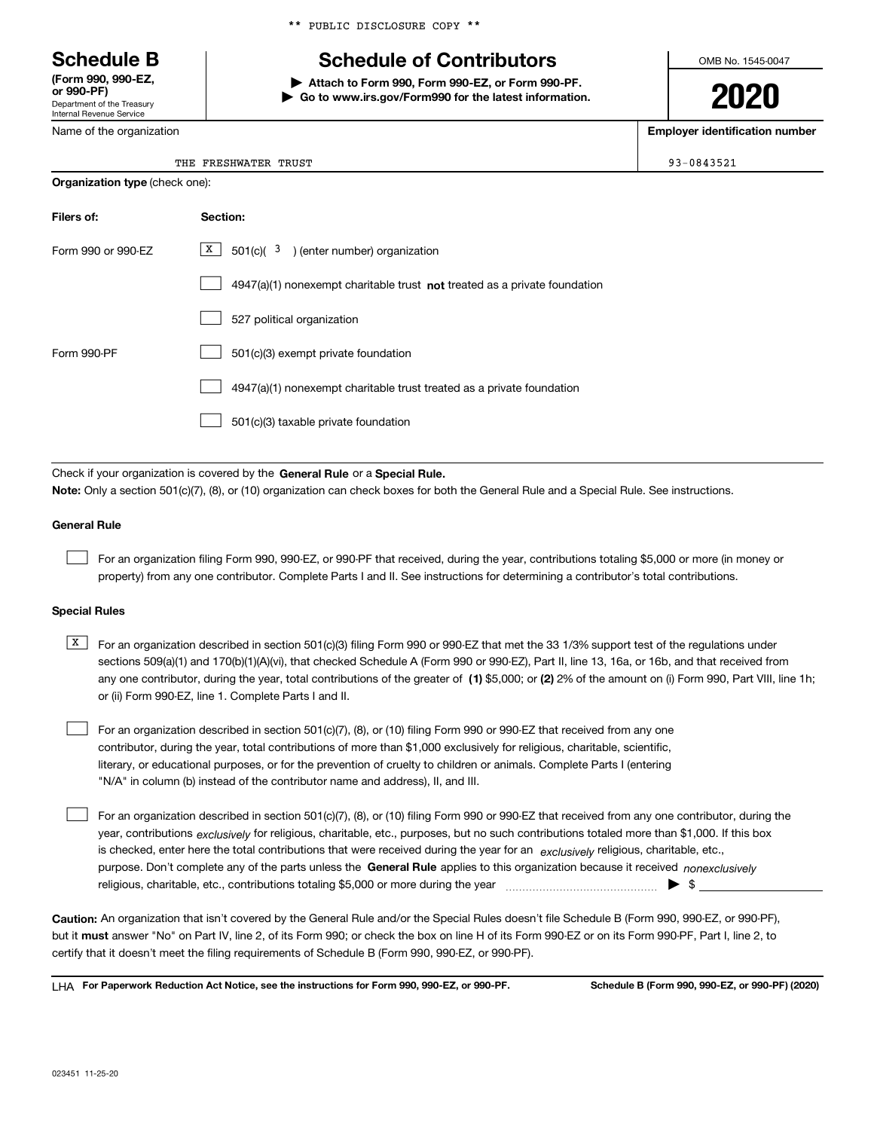Department of the Treasury Internal Revenue Service **(Form 990, 990-EZ, or 990-PF)**

Name of the organization

|  |  | ** PUBLIC DISCLOSURE COPY ** |  |  |
|--|--|------------------------------|--|--|
|--|--|------------------------------|--|--|

# **Schedule B Schedule of Contributors**

**| Attach to Form 990, Form 990-EZ, or Form 990-PF. | Go to www.irs.gov/Form990 for the latest information.** OMB No. 1545-0047

**2020**

**Employer identification number**

93-0843521

| THE FRESHWATER TRUST |  |
|----------------------|--|
|                      |  |

| <b>Organization type (check one):</b>                                              |  |  |  |  |  |
|------------------------------------------------------------------------------------|--|--|--|--|--|
| Section:                                                                           |  |  |  |  |  |
| $X$ 501(c)( $3$ ) (enter number) organization                                      |  |  |  |  |  |
| $4947(a)(1)$ nonexempt charitable trust <b>not</b> treated as a private foundation |  |  |  |  |  |
| 527 political organization                                                         |  |  |  |  |  |
| 501(c)(3) exempt private foundation                                                |  |  |  |  |  |
| 4947(a)(1) nonexempt charitable trust treated as a private foundation              |  |  |  |  |  |
| 501(c)(3) taxable private foundation                                               |  |  |  |  |  |
|                                                                                    |  |  |  |  |  |

Check if your organization is covered by the **General Rule** or a **Special Rule. Note:**  Only a section 501(c)(7), (8), or (10) organization can check boxes for both the General Rule and a Special Rule. See instructions.

### **General Rule**

 $\mathcal{L}^{\text{max}}$ 

For an organization filing Form 990, 990-EZ, or 990-PF that received, during the year, contributions totaling \$5,000 or more (in money or property) from any one contributor. Complete Parts I and II. See instructions for determining a contributor's total contributions.

#### **Special Rules**

any one contributor, during the year, total contributions of the greater of  $\,$  (1) \$5,000; or **(2)** 2% of the amount on (i) Form 990, Part VIII, line 1h;  $\overline{X}$  For an organization described in section 501(c)(3) filing Form 990 or 990-EZ that met the 33 1/3% support test of the regulations under sections 509(a)(1) and 170(b)(1)(A)(vi), that checked Schedule A (Form 990 or 990-EZ), Part II, line 13, 16a, or 16b, and that received from or (ii) Form 990-EZ, line 1. Complete Parts I and II.

For an organization described in section 501(c)(7), (8), or (10) filing Form 990 or 990-EZ that received from any one contributor, during the year, total contributions of more than \$1,000 exclusively for religious, charitable, scientific, literary, or educational purposes, or for the prevention of cruelty to children or animals. Complete Parts I (entering "N/A" in column (b) instead of the contributor name and address), II, and III.  $\mathcal{L}^{\text{max}}$ 

purpose. Don't complete any of the parts unless the **General Rule** applies to this organization because it received *nonexclusively* year, contributions <sub>exclusively</sub> for religious, charitable, etc., purposes, but no such contributions totaled more than \$1,000. If this box is checked, enter here the total contributions that were received during the year for an  $\;$ exclusively religious, charitable, etc., For an organization described in section 501(c)(7), (8), or (10) filing Form 990 or 990-EZ that received from any one contributor, during the religious, charitable, etc., contributions totaling \$5,000 or more during the year  $\Box$ — $\Box$   $\Box$  $\mathcal{L}^{\text{max}}$ 

**Caution:**  An organization that isn't covered by the General Rule and/or the Special Rules doesn't file Schedule B (Form 990, 990-EZ, or 990-PF),  **must** but it answer "No" on Part IV, line 2, of its Form 990; or check the box on line H of its Form 990-EZ or on its Form 990-PF, Part I, line 2, to certify that it doesn't meet the filing requirements of Schedule B (Form 990, 990-EZ, or 990-PF).

**For Paperwork Reduction Act Notice, see the instructions for Form 990, 990-EZ, or 990-PF. Schedule B (Form 990, 990-EZ, or 990-PF) (2020)** LHA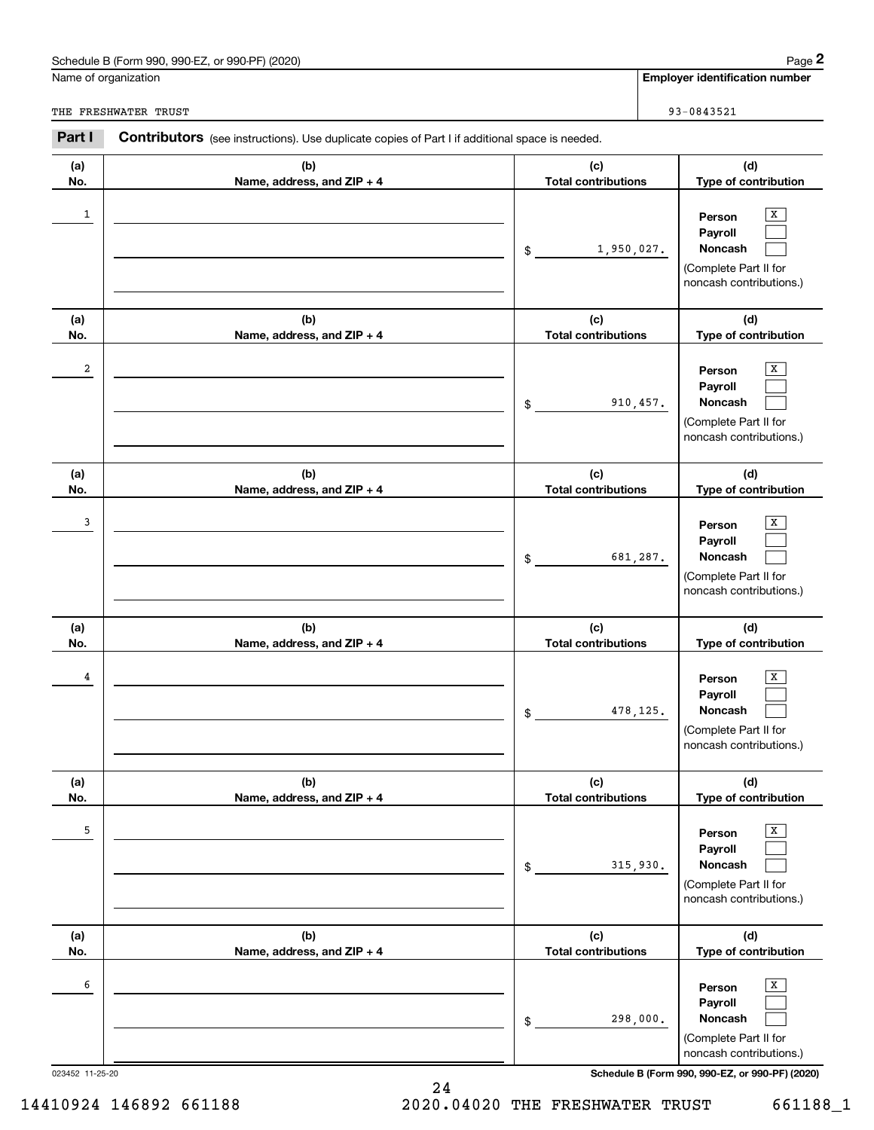## Schedule B (Form 990, 990-EZ, or 990-PF) (2020) Page 2

|                      | Schedule B (Form 990, 990-EZ, or 990-PF) (2020)                                                       |                                   | Page 2                                                                                                                                   |
|----------------------|-------------------------------------------------------------------------------------------------------|-----------------------------------|------------------------------------------------------------------------------------------------------------------------------------------|
| Name of organization |                                                                                                       |                                   | <b>Employer identification number</b>                                                                                                    |
|                      | THE FRESHWATER TRUST                                                                                  |                                   | 93-0843521                                                                                                                               |
| Part I               | <b>Contributors</b> (see instructions). Use duplicate copies of Part I if additional space is needed. |                                   |                                                                                                                                          |
| (a)<br>No.           | (b)<br>Name, address, and ZIP + 4                                                                     | (c)<br><b>Total contributions</b> | (d)<br>Type of contribution                                                                                                              |
| 1                    |                                                                                                       | 1,950,027.<br>\$                  | х<br>Person<br>Payroll<br>Noncash<br>(Complete Part II for<br>noncash contributions.)                                                    |
| (a)<br>No.           | (b)<br>Name, address, and ZIP + 4                                                                     | (c)<br><b>Total contributions</b> | (d)<br>Type of contribution                                                                                                              |
| 2                    |                                                                                                       | 910, 457.<br>\$                   | х<br>Person<br>Payroll<br>Noncash<br>(Complete Part II for<br>noncash contributions.)                                                    |
| (a)<br>No.           | (b)<br>Name, address, and ZIP + 4                                                                     | (c)<br><b>Total contributions</b> | (d)<br>Type of contribution                                                                                                              |
| 3                    |                                                                                                       | 681,287.<br>\$                    | x<br>Person<br>Payroll<br>Noncash<br>(Complete Part II for<br>noncash contributions.)                                                    |
| (a)<br>No.           | (b)<br>Name, address, and ZIP + 4                                                                     | (c)<br><b>Total contributions</b> | (d)<br>Type of contribution                                                                                                              |
| 4                    |                                                                                                       | 478, 125.<br>\$                   | х<br>Person<br>Payroll<br>Noncash<br>(Complete Part II for<br>noncash contributions.)                                                    |
| (a)<br>No.           | (b)<br>Name, address, and ZIP + 4                                                                     | (c)<br><b>Total contributions</b> | (d)<br>Type of contribution                                                                                                              |
| 5                    |                                                                                                       | 315,930.<br>\$                    | Х<br>Person<br>Payroll<br>Noncash<br>(Complete Part II for<br>noncash contributions.)                                                    |
| (a)<br>No.           | (b)<br>Name, address, and ZIP + 4                                                                     | (c)<br><b>Total contributions</b> | (d)<br>Type of contribution                                                                                                              |
| 6                    |                                                                                                       | 298,000.<br>\$                    | Х<br>Person<br>Payroll<br>Noncash<br>(Complete Part II for<br>noncash contributions.)<br>Schedule B (Form 990, 990-EZ, or 990-PF) (2020) |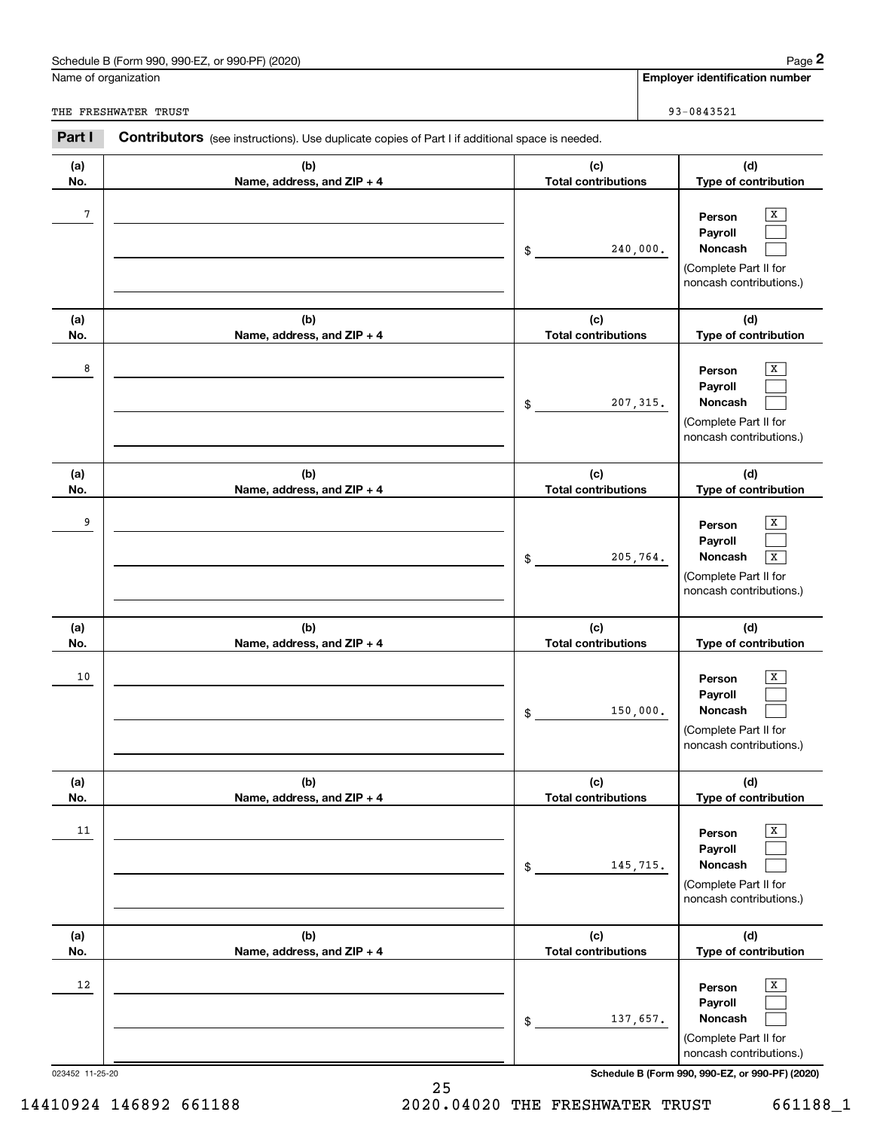## Schedule B (Form 990, 990-EZ, or 990-PF) (2020) Page 2

|                 | Schedule B (Form 990, 990-EZ, or 990-PF) (2020)                                                       |                                   | Page 2                                                                                                  |
|-----------------|-------------------------------------------------------------------------------------------------------|-----------------------------------|---------------------------------------------------------------------------------------------------------|
|                 | Name of organization                                                                                  |                                   | <b>Employer identification number</b>                                                                   |
|                 | THE FRESHWATER TRUST                                                                                  |                                   | 93-0843521                                                                                              |
| Part I          | <b>Contributors</b> (see instructions). Use duplicate copies of Part I if additional space is needed. |                                   |                                                                                                         |
| (a)<br>No.      | (b)<br>Name, address, and ZIP + 4                                                                     | (c)<br><b>Total contributions</b> | (d)<br>Type of contribution                                                                             |
| 7               |                                                                                                       | 240,000.<br>\$                    | х<br>Person<br>Payroll<br>Noncash<br>(Complete Part II for<br>noncash contributions.)                   |
| (a)<br>No.      | (b)<br>Name, address, and ZIP + 4                                                                     | (c)<br><b>Total contributions</b> | (d)<br>Type of contribution                                                                             |
| 8               |                                                                                                       | 207, 315.<br>\$                   | х<br>Person<br>Payroll<br>Noncash<br>(Complete Part II for<br>noncash contributions.)                   |
| (a)<br>No.      | (b)<br>Name, address, and ZIP + 4                                                                     | (c)<br><b>Total contributions</b> | (d)<br>Type of contribution                                                                             |
| 9               |                                                                                                       | 205,764.<br>\$                    | X<br>Person<br>Payroll<br>Noncash<br>$\overline{X}$<br>(Complete Part II for<br>noncash contributions.) |
| (a)<br>No.      | (b)<br>Name, address, and ZIP + 4                                                                     | (c)<br><b>Total contributions</b> | (d)<br>Type of contribution                                                                             |
| 10              |                                                                                                       | 150,000.<br>\$                    | х<br>Person<br>Payroll<br>Noncash<br>(Complete Part II for<br>noncash contributions.)                   |
| (a)<br>No.      | (b)<br>Name, address, and ZIP + 4                                                                     | (c)<br><b>Total contributions</b> | (d)<br>Type of contribution                                                                             |
| 11              |                                                                                                       | 145,715.<br>\$                    | X<br>Person<br>Payroll<br>Noncash<br>(Complete Part II for<br>noncash contributions.)                   |
| (a)<br>No.      | (b)<br>Name, address, and ZIP + 4                                                                     | (c)<br><b>Total contributions</b> | (d)<br>Type of contribution                                                                             |
| 12              |                                                                                                       | 137,657.<br>\$                    | X<br>Person<br>Payroll<br>Noncash<br>(Complete Part II for<br>noncash contributions.)                   |
| 023452 11-25-20 |                                                                                                       |                                   | Schedule B (Form 990, 990-EZ, or 990-PF) (2020)                                                         |

25 14410924 146892 661188 2020.04020 THE FRESHWATER TRUST 661188\_1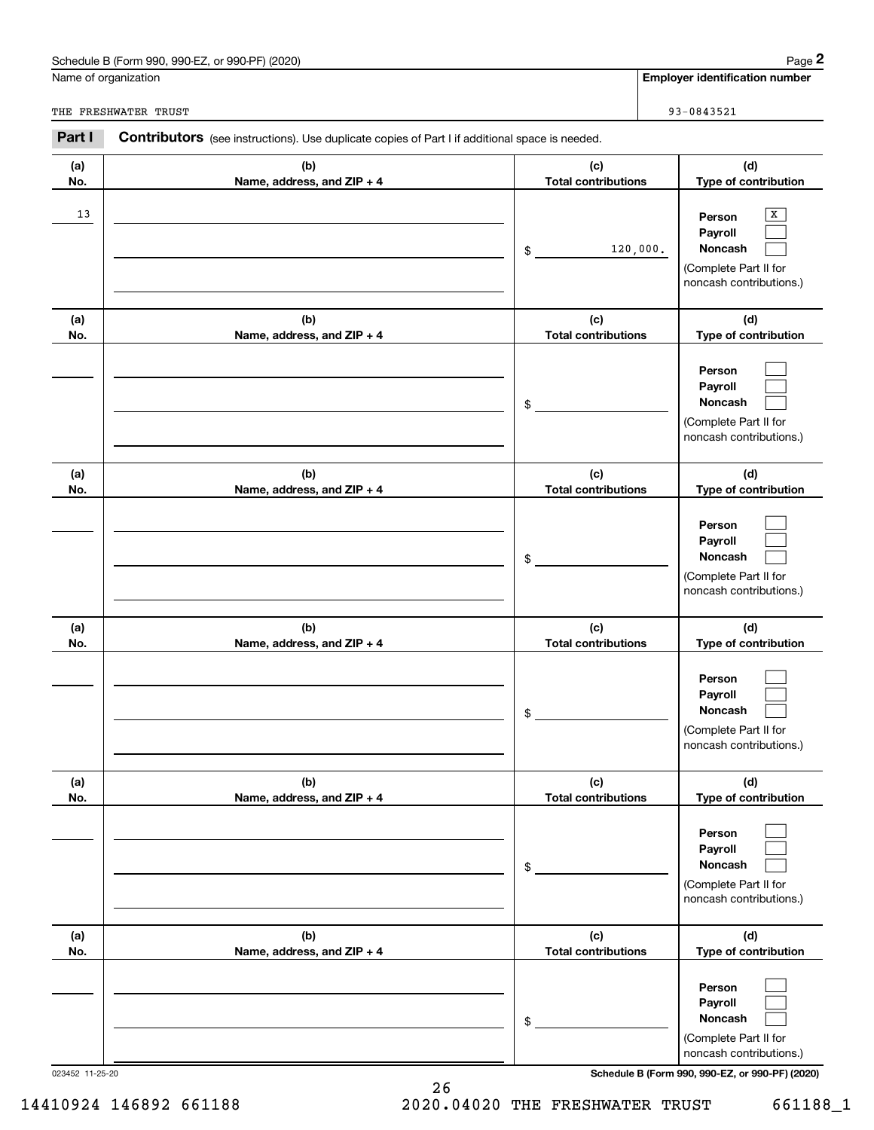## Schedule B (Form 990, 990-EZ, or 990-PF) (2020) Page 2

|                      | Schedule B (Form 990, 990-EZ, or 990-PF) (2020)                                                       |                                   | Page 2                                                                                                                              |
|----------------------|-------------------------------------------------------------------------------------------------------|-----------------------------------|-------------------------------------------------------------------------------------------------------------------------------------|
| Name of organization |                                                                                                       |                                   | <b>Employer identification number</b>                                                                                               |
|                      | THE FRESHWATER TRUST                                                                                  |                                   | 93-0843521                                                                                                                          |
| Part I               | <b>Contributors</b> (see instructions). Use duplicate copies of Part I if additional space is needed. |                                   |                                                                                                                                     |
| (a)<br>No.           | (b)<br>Name, address, and ZIP + 4                                                                     | (c)<br><b>Total contributions</b> | (d)<br>Type of contribution                                                                                                         |
| 13                   |                                                                                                       | 120,000.<br>\$                    | х<br>Person<br>Payroll<br>Noncash<br>(Complete Part II for<br>noncash contributions.)                                               |
| (a)<br>No.           | (b)<br>Name, address, and ZIP + 4                                                                     | (c)<br><b>Total contributions</b> | (d)<br>Type of contribution                                                                                                         |
|                      |                                                                                                       | \$                                | Person<br>Payroll<br>Noncash<br>(Complete Part II for<br>noncash contributions.)                                                    |
| (a)<br>No.           | (b)<br>Name, address, and ZIP + 4                                                                     | (c)<br><b>Total contributions</b> | (d)<br>Type of contribution                                                                                                         |
|                      |                                                                                                       | \$                                | Person<br>Payroll<br>Noncash<br>(Complete Part II for<br>noncash contributions.)                                                    |
| (a)<br>No.           | (b)<br>Name, address, and ZIP + 4                                                                     | (c)<br><b>Total contributions</b> | (d)<br>Type of contribution                                                                                                         |
|                      |                                                                                                       | \$                                | Person<br>Payroll<br>Noncash<br>(Complete Part II for<br>noncash contributions.)                                                    |
| (a)<br>No.           | (b)<br>Name, address, and ZIP + 4                                                                     | (c)<br><b>Total contributions</b> | (d)<br>Type of contribution                                                                                                         |
|                      |                                                                                                       | \$                                | Person<br>Payroll<br>Noncash<br>(Complete Part II for<br>noncash contributions.)                                                    |
| (a)<br>No.           | (b)<br>Name, address, and ZIP + 4                                                                     | (c)<br><b>Total contributions</b> | (d)<br>Type of contribution                                                                                                         |
|                      | 023452 11-25-20                                                                                       | \$                                | Person<br>Payroll<br>Noncash<br>(Complete Part II for<br>noncash contributions.)<br>Schedule B (Form 990, 990-EZ, or 990-PF) (2020) |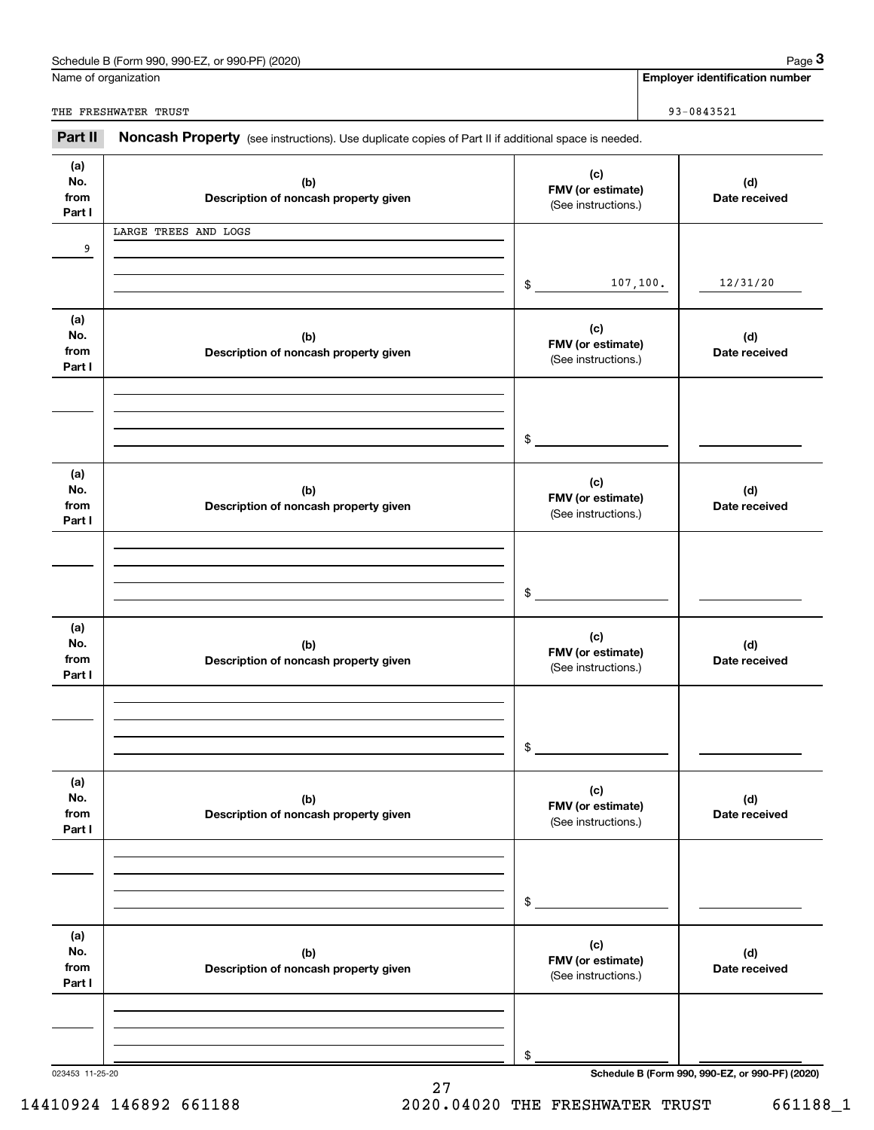| Schedule B (Form 990. 990-EZ. ‹<br>or 990-PF) (2020) | Page |
|------------------------------------------------------|------|
|                                                      |      |

|                              | Schedule B (Form 990, 990-EZ, or 990-PF) (2020)                                                     |                                                 |                                          | Page 3                                          |
|------------------------------|-----------------------------------------------------------------------------------------------------|-------------------------------------------------|------------------------------------------|-------------------------------------------------|
|                              | Name of organization                                                                                |                                                 |                                          | <b>Employer identification number</b>           |
|                              | THE FRESHWATER TRUST                                                                                |                                                 |                                          | 93-0843521                                      |
| Part II                      | Noncash Property (see instructions). Use duplicate copies of Part II if additional space is needed. |                                                 |                                          |                                                 |
| (a)<br>No.<br>from<br>Part I | (c)<br>(b)<br>Description of noncash property given                                                 |                                                 | FMV (or estimate)<br>(See instructions.) |                                                 |
|                              | LARGE TREES AND LOGS                                                                                |                                                 |                                          |                                                 |
| 9                            |                                                                                                     | \$                                              | 107, 100.                                | 12/31/20                                        |
| (a)<br>No.<br>from<br>Part I | (b)<br>Description of noncash property given                                                        | (c)<br>FMV (or estimate)<br>(See instructions.) |                                          | (d)<br>Date received                            |
|                              |                                                                                                     | \$                                              |                                          |                                                 |
| (a)<br>No.<br>from<br>Part I | (b)<br>Description of noncash property given                                                        | (c)<br>FMV (or estimate)<br>(See instructions.) |                                          | (d)<br>Date received                            |
|                              |                                                                                                     | \$                                              |                                          |                                                 |
| (a)<br>No.<br>from<br>Part I | (b)<br>Description of noncash property given                                                        | (c)<br>FMV (or estimate)<br>(See instructions.) |                                          | (d)<br>Date received                            |
|                              |                                                                                                     | \$                                              |                                          |                                                 |
| (a)<br>No.<br>from<br>Part I | (b)<br>Description of noncash property given                                                        | (c)<br>FMV (or estimate)<br>(See instructions.) |                                          | (d)<br>Date received                            |
|                              |                                                                                                     | \$                                              |                                          |                                                 |
| (a)<br>No.<br>from<br>Part I | (b)<br>Description of noncash property given                                                        | (c)<br>FMV (or estimate)<br>(See instructions.) |                                          | (d)<br>Date received                            |
|                              |                                                                                                     | \$                                              |                                          |                                                 |
| 023453 11-25-20              |                                                                                                     |                                                 |                                          | Schedule B (Form 990, 990-EZ, or 990-PF) (2020) |

27 14410924 146892 661188 2020.04020 THE FRESHWATER TRUST 661188\_1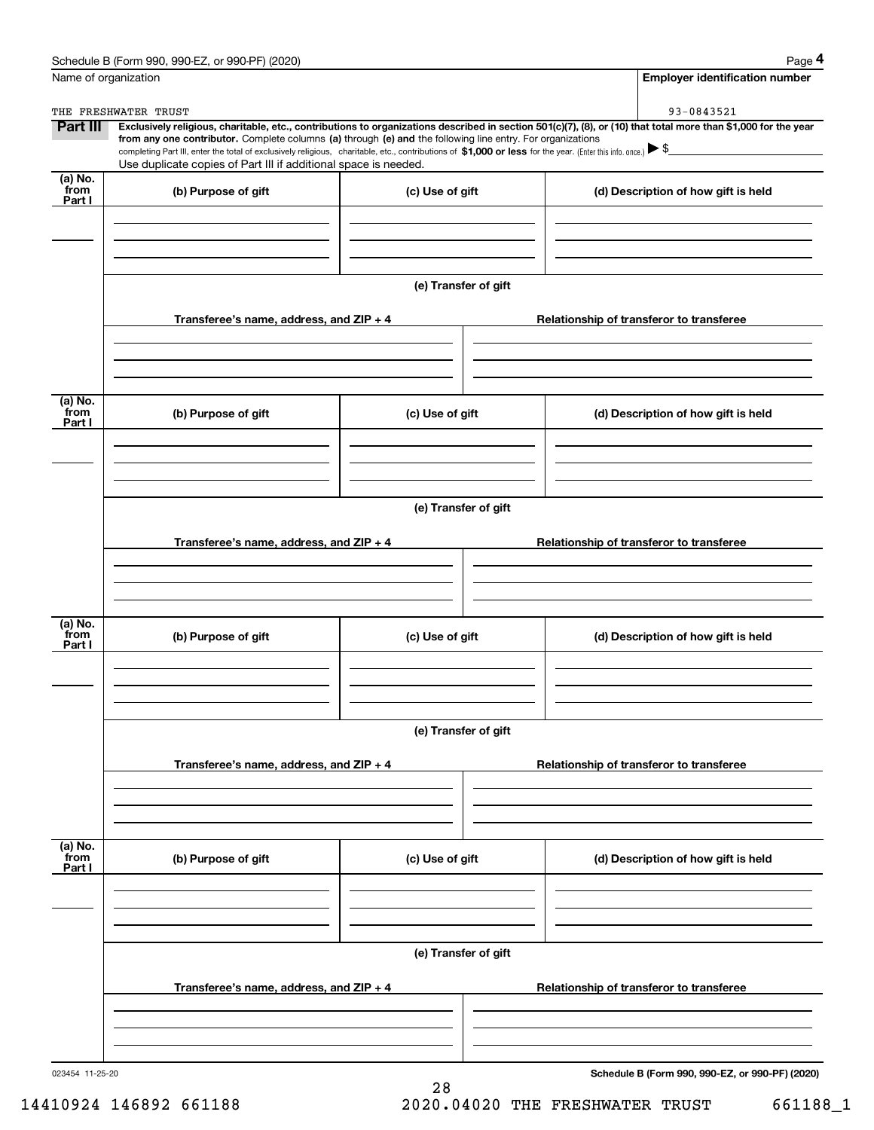|                           | Schedule B (Form 990, 990-EZ, or 990-PF) (2020)                                                                                                              |                      | Page 4                                                                                                                                                         |  |  |  |
|---------------------------|--------------------------------------------------------------------------------------------------------------------------------------------------------------|----------------------|----------------------------------------------------------------------------------------------------------------------------------------------------------------|--|--|--|
|                           | Name of organization                                                                                                                                         |                      | Employer identification number                                                                                                                                 |  |  |  |
|                           | THE FRESHWATER TRUST                                                                                                                                         |                      | 93-0843521                                                                                                                                                     |  |  |  |
| <b>Part III</b>           | from any one contributor. Complete columns (a) through (e) and the following line entry. For organizations                                                   |                      | Exclusively religious, charitable, etc., contributions to organizations described in section 501(c)(7), (8), or (10) that total more than \$1,000 for the year |  |  |  |
|                           | completing Part III, enter the total of exclusively religious, charitable, etc., contributions of \$1,000 or less for the year. (Enter this info. once.) \\$ |                      |                                                                                                                                                                |  |  |  |
| (a) No.                   | Use duplicate copies of Part III if additional space is needed.                                                                                              |                      |                                                                                                                                                                |  |  |  |
| from<br>Part I            | (b) Purpose of gift                                                                                                                                          | (c) Use of gift      | (d) Description of how gift is held                                                                                                                            |  |  |  |
|                           |                                                                                                                                                              |                      |                                                                                                                                                                |  |  |  |
|                           |                                                                                                                                                              |                      |                                                                                                                                                                |  |  |  |
|                           |                                                                                                                                                              |                      |                                                                                                                                                                |  |  |  |
|                           |                                                                                                                                                              | (e) Transfer of gift |                                                                                                                                                                |  |  |  |
|                           |                                                                                                                                                              |                      |                                                                                                                                                                |  |  |  |
|                           | Transferee's name, address, and ZIP + 4                                                                                                                      |                      | Relationship of transferor to transferee                                                                                                                       |  |  |  |
|                           |                                                                                                                                                              |                      |                                                                                                                                                                |  |  |  |
|                           |                                                                                                                                                              |                      |                                                                                                                                                                |  |  |  |
|                           |                                                                                                                                                              |                      |                                                                                                                                                                |  |  |  |
| (a) No.<br>from           | (b) Purpose of gift                                                                                                                                          | (c) Use of gift      | (d) Description of how gift is held                                                                                                                            |  |  |  |
| Part I                    |                                                                                                                                                              |                      |                                                                                                                                                                |  |  |  |
|                           |                                                                                                                                                              |                      |                                                                                                                                                                |  |  |  |
|                           |                                                                                                                                                              |                      |                                                                                                                                                                |  |  |  |
|                           |                                                                                                                                                              |                      |                                                                                                                                                                |  |  |  |
|                           | (e) Transfer of gift                                                                                                                                         |                      |                                                                                                                                                                |  |  |  |
|                           | Transferee's name, address, and ZIP + 4<br>Relationship of transferor to transferee                                                                          |                      |                                                                                                                                                                |  |  |  |
|                           |                                                                                                                                                              |                      |                                                                                                                                                                |  |  |  |
|                           |                                                                                                                                                              |                      |                                                                                                                                                                |  |  |  |
|                           |                                                                                                                                                              |                      |                                                                                                                                                                |  |  |  |
| (a) No.                   |                                                                                                                                                              |                      |                                                                                                                                                                |  |  |  |
| from<br>Part I            | (b) Purpose of gift                                                                                                                                          | (c) Use of gift      | (d) Description of how gift is held                                                                                                                            |  |  |  |
|                           |                                                                                                                                                              |                      |                                                                                                                                                                |  |  |  |
|                           |                                                                                                                                                              |                      |                                                                                                                                                                |  |  |  |
|                           |                                                                                                                                                              |                      |                                                                                                                                                                |  |  |  |
|                           | (e) Transfer of gift                                                                                                                                         |                      |                                                                                                                                                                |  |  |  |
|                           |                                                                                                                                                              |                      |                                                                                                                                                                |  |  |  |
|                           | Transferee's name, address, and $ZIP + 4$                                                                                                                    |                      | Relationship of transferor to transferee                                                                                                                       |  |  |  |
|                           |                                                                                                                                                              |                      |                                                                                                                                                                |  |  |  |
|                           |                                                                                                                                                              |                      |                                                                                                                                                                |  |  |  |
|                           |                                                                                                                                                              |                      |                                                                                                                                                                |  |  |  |
| (a) No.<br>from<br>Part I | (b) Purpose of gift                                                                                                                                          | (c) Use of gift      | (d) Description of how gift is held                                                                                                                            |  |  |  |
|                           |                                                                                                                                                              |                      |                                                                                                                                                                |  |  |  |
|                           |                                                                                                                                                              |                      |                                                                                                                                                                |  |  |  |
|                           |                                                                                                                                                              |                      |                                                                                                                                                                |  |  |  |
|                           |                                                                                                                                                              | (e) Transfer of gift |                                                                                                                                                                |  |  |  |
|                           |                                                                                                                                                              |                      |                                                                                                                                                                |  |  |  |
|                           | Transferee's name, address, and $ZIP + 4$                                                                                                                    |                      | Relationship of transferor to transferee                                                                                                                       |  |  |  |
|                           |                                                                                                                                                              |                      |                                                                                                                                                                |  |  |  |
|                           |                                                                                                                                                              |                      |                                                                                                                                                                |  |  |  |
|                           |                                                                                                                                                              |                      |                                                                                                                                                                |  |  |  |
| 023454 11-25-20           |                                                                                                                                                              |                      | Schedule B (Form 990, 990-EZ, or 990-PF) (2020)                                                                                                                |  |  |  |

28

14410924 146892 661188 2020.04020 THE FRESHWATER TRUST 661188\_1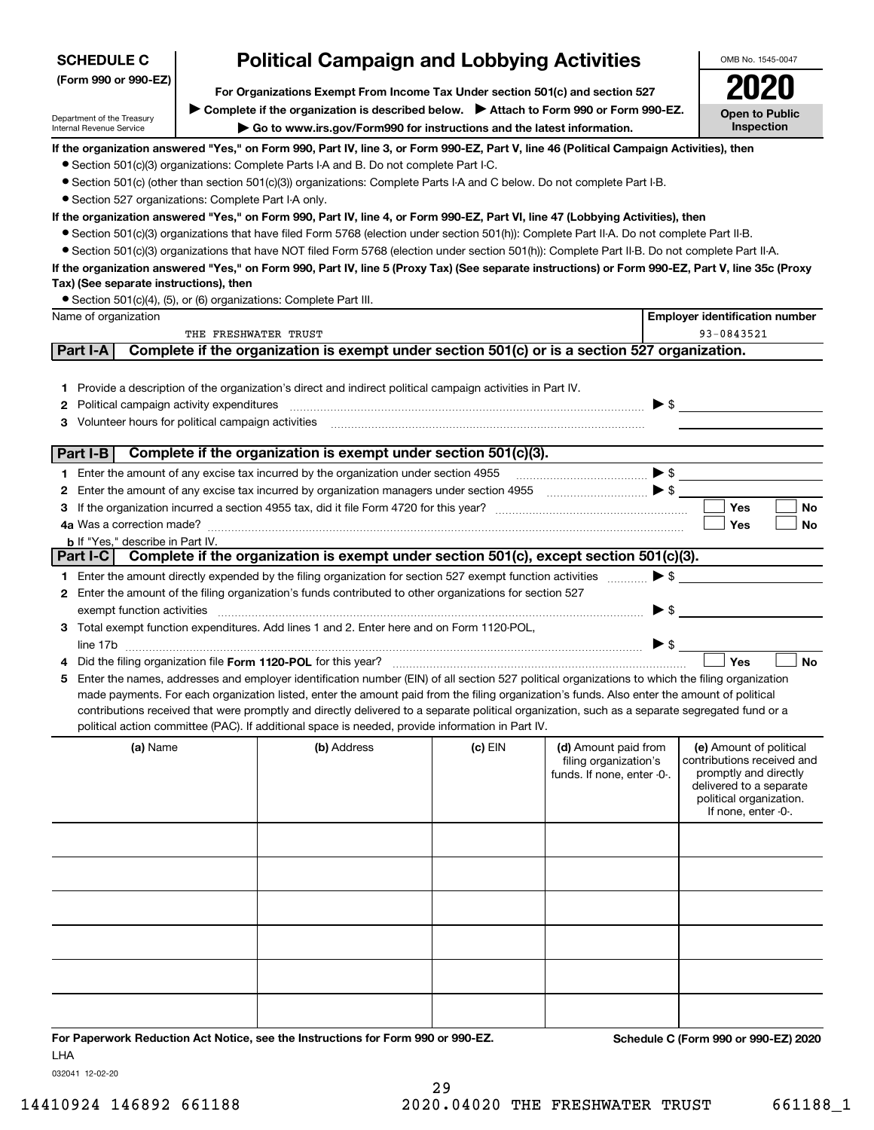| <b>SCHEDULE C</b>                                                                                                                                                                                |                              | <b>Political Campaign and Lobbying Activities</b>                                                                                                                                                                                                                                                                                                                                                                                                                                                                                                                                                                                                          |         |                                                                             | OMB No. 1545-0047                                                                                                                                           |
|--------------------------------------------------------------------------------------------------------------------------------------------------------------------------------------------------|------------------------------|------------------------------------------------------------------------------------------------------------------------------------------------------------------------------------------------------------------------------------------------------------------------------------------------------------------------------------------------------------------------------------------------------------------------------------------------------------------------------------------------------------------------------------------------------------------------------------------------------------------------------------------------------------|---------|-----------------------------------------------------------------------------|-------------------------------------------------------------------------------------------------------------------------------------------------------------|
| (Form 990 or 990-EZ)<br>For Organizations Exempt From Income Tax Under section 501(c) and section 527<br>► Complete if the organization is described below. ► Attach to Form 990 or Form 990-EZ. |                              |                                                                                                                                                                                                                                                                                                                                                                                                                                                                                                                                                                                                                                                            |         |                                                                             |                                                                                                                                                             |
| Department of the Treasury<br>Internal Revenue Service                                                                                                                                           | Open to Public<br>Inspection |                                                                                                                                                                                                                                                                                                                                                                                                                                                                                                                                                                                                                                                            |         |                                                                             |                                                                                                                                                             |
| • Section 527 organizations: Complete Part I-A only.                                                                                                                                             |                              | If the organization answered "Yes," on Form 990, Part IV, line 3, or Form 990-EZ, Part V, line 46 (Political Campaign Activities), then<br>• Section 501(c)(3) organizations: Complete Parts I-A and B. Do not complete Part I-C.<br>• Section 501(c) (other than section 501(c)(3)) organizations: Complete Parts I-A and C below. Do not complete Part I-B.                                                                                                                                                                                                                                                                                              |         |                                                                             |                                                                                                                                                             |
| Tax) (See separate instructions), then                                                                                                                                                           |                              | If the organization answered "Yes," on Form 990, Part IV, line 4, or Form 990-EZ, Part VI, line 47 (Lobbying Activities), then<br>• Section 501(c)(3) organizations that have filed Form 5768 (election under section 501(h)): Complete Part II-A. Do not complete Part II-B.<br>• Section 501(c)(3) organizations that have NOT filed Form 5768 (election under section 501(h)): Complete Part II-B. Do not complete Part II-A.<br>If the organization answered "Yes," on Form 990, Part IV, line 5 (Proxy Tax) (See separate instructions) or Form 990-EZ, Part V, line 35c (Proxy<br>• Section 501(c)(4), (5), or (6) organizations: Complete Part III. |         |                                                                             |                                                                                                                                                             |
| Name of organization                                                                                                                                                                             |                              |                                                                                                                                                                                                                                                                                                                                                                                                                                                                                                                                                                                                                                                            |         |                                                                             | <b>Employer identification number</b>                                                                                                                       |
|                                                                                                                                                                                                  | THE FRESHWATER TRUST         |                                                                                                                                                                                                                                                                                                                                                                                                                                                                                                                                                                                                                                                            |         |                                                                             | 93-0843521                                                                                                                                                  |
| Part I-A                                                                                                                                                                                         |                              | Complete if the organization is exempt under section 501(c) or is a section 527 organization.                                                                                                                                                                                                                                                                                                                                                                                                                                                                                                                                                              |         |                                                                             |                                                                                                                                                             |
| Political campaign activity expenditures<br>2<br>Volunteer hours for political campaign activities<br>3                                                                                          |                              | 1 Provide a description of the organization's direct and indirect political campaign activities in Part IV.                                                                                                                                                                                                                                                                                                                                                                                                                                                                                                                                                |         |                                                                             |                                                                                                                                                             |
| Part I-B                                                                                                                                                                                         |                              | Complete if the organization is exempt under section 501(c)(3).                                                                                                                                                                                                                                                                                                                                                                                                                                                                                                                                                                                            |         |                                                                             |                                                                                                                                                             |
|                                                                                                                                                                                                  |                              | 1 Enter the amount of any excise tax incurred by the organization under section 4955                                                                                                                                                                                                                                                                                                                                                                                                                                                                                                                                                                       |         |                                                                             |                                                                                                                                                             |
| 2                                                                                                                                                                                                |                              | Enter the amount of any excise tax incurred by organization managers under section 4955                                                                                                                                                                                                                                                                                                                                                                                                                                                                                                                                                                    |         |                                                                             |                                                                                                                                                             |
|                                                                                                                                                                                                  |                              |                                                                                                                                                                                                                                                                                                                                                                                                                                                                                                                                                                                                                                                            |         |                                                                             | Yes<br>No                                                                                                                                                   |
|                                                                                                                                                                                                  |                              |                                                                                                                                                                                                                                                                                                                                                                                                                                                                                                                                                                                                                                                            |         |                                                                             | <b>No</b><br>Yes                                                                                                                                            |
| <b>b</b> If "Yes," describe in Part IV.                                                                                                                                                          |                              | Part I-C Complete if the organization is exempt under section 501(c), except section 501(c)(3).                                                                                                                                                                                                                                                                                                                                                                                                                                                                                                                                                            |         |                                                                             |                                                                                                                                                             |
|                                                                                                                                                                                                  |                              |                                                                                                                                                                                                                                                                                                                                                                                                                                                                                                                                                                                                                                                            |         |                                                                             | $\blacktriangleright$ \$                                                                                                                                    |
|                                                                                                                                                                                                  |                              | 1 Enter the amount directly expended by the filing organization for section 527 exempt function activities<br>2 Enter the amount of the filing organization's funds contributed to other organizations for section 527                                                                                                                                                                                                                                                                                                                                                                                                                                     |         |                                                                             |                                                                                                                                                             |
| exempt function activities                                                                                                                                                                       |                              |                                                                                                                                                                                                                                                                                                                                                                                                                                                                                                                                                                                                                                                            |         | $\blacktriangleright$ \$                                                    |                                                                                                                                                             |
|                                                                                                                                                                                                  |                              | 3 Total exempt function expenditures. Add lines 1 and 2. Enter here and on Form 1120-POL,                                                                                                                                                                                                                                                                                                                                                                                                                                                                                                                                                                  |         |                                                                             |                                                                                                                                                             |
|                                                                                                                                                                                                  |                              |                                                                                                                                                                                                                                                                                                                                                                                                                                                                                                                                                                                                                                                            |         | >                                                                           |                                                                                                                                                             |
|                                                                                                                                                                                                  |                              |                                                                                                                                                                                                                                                                                                                                                                                                                                                                                                                                                                                                                                                            |         |                                                                             | Yes<br><b>No</b>                                                                                                                                            |
|                                                                                                                                                                                                  |                              | 5 Enter the names, addresses and employer identification number (EIN) of all section 527 political organizations to which the filing organization<br>made payments. For each organization listed, enter the amount paid from the filing organization's funds. Also enter the amount of political<br>contributions received that were promptly and directly delivered to a separate political organization, such as a separate segregated fund or a<br>political action committee (PAC). If additional space is needed, provide information in Part IV.                                                                                                     |         |                                                                             |                                                                                                                                                             |
| (a) Name                                                                                                                                                                                         |                              | (b) Address                                                                                                                                                                                                                                                                                                                                                                                                                                                                                                                                                                                                                                                | (c) EIN | (d) Amount paid from<br>filing organization's<br>funds. If none, enter -0-. | (e) Amount of political<br>contributions received and<br>promptly and directly<br>delivered to a separate<br>political organization.<br>If none, enter -0-. |
|                                                                                                                                                                                                  |                              |                                                                                                                                                                                                                                                                                                                                                                                                                                                                                                                                                                                                                                                            |         |                                                                             |                                                                                                                                                             |
|                                                                                                                                                                                                  |                              |                                                                                                                                                                                                                                                                                                                                                                                                                                                                                                                                                                                                                                                            |         |                                                                             |                                                                                                                                                             |
|                                                                                                                                                                                                  |                              |                                                                                                                                                                                                                                                                                                                                                                                                                                                                                                                                                                                                                                                            |         |                                                                             |                                                                                                                                                             |
|                                                                                                                                                                                                  |                              |                                                                                                                                                                                                                                                                                                                                                                                                                                                                                                                                                                                                                                                            |         |                                                                             |                                                                                                                                                             |
|                                                                                                                                                                                                  |                              |                                                                                                                                                                                                                                                                                                                                                                                                                                                                                                                                                                                                                                                            |         |                                                                             |                                                                                                                                                             |

**For Paperwork Reduction Act Notice, see the Instructions for Form 990 or 990-EZ. Schedule C (Form 990 or 990-EZ) 2020** LHA

032041 12-02-20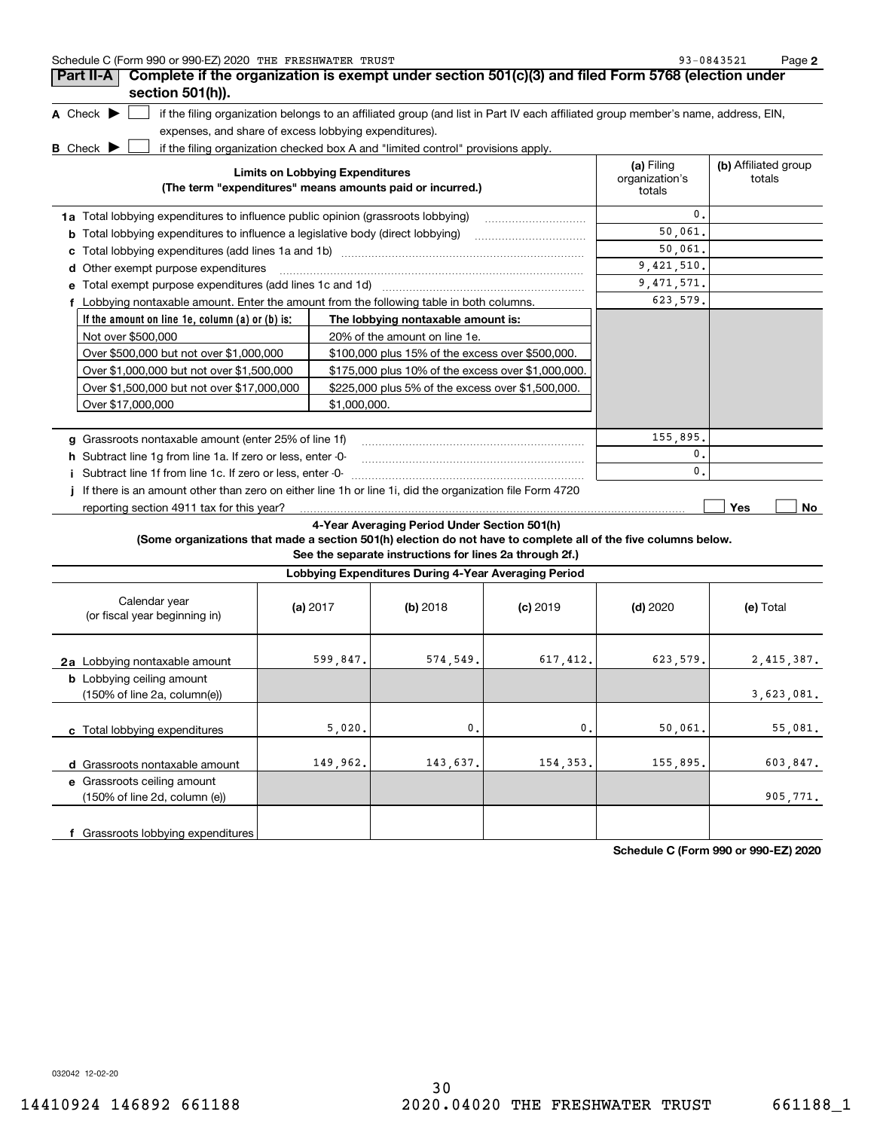| Schedule C (Form 990 or 990-EZ) 2020 THE FRESHWATER TRUST | Page<br>$-0843521$<br>ດຈ |  |
|-----------------------------------------------------------|--------------------------|--|
|-----------------------------------------------------------|--------------------------|--|

| Part II-A                                                                               | Complete if the organization is exempt under section 501(c)(3) and filed Form 5768 (election under                                |                                        |                                |
|-----------------------------------------------------------------------------------------|-----------------------------------------------------------------------------------------------------------------------------------|----------------------------------------|--------------------------------|
| section 501(h)).                                                                        |                                                                                                                                   |                                        |                                |
| A Check $\blacktriangleright$                                                           | if the filing organization belongs to an affiliated group (and list in Part IV each affiliated group member's name, address, EIN, |                                        |                                |
| expenses, and share of excess lobbying expenditures).                                   |                                                                                                                                   |                                        |                                |
| <b>B</b> Check $\blacktriangleright$                                                    | if the filing organization checked box A and "limited control" provisions apply.                                                  |                                        |                                |
|                                                                                         | <b>Limits on Lobbying Expenditures</b><br>(The term "expenditures" means amounts paid or incurred.)                               | (a) Filing<br>organization's<br>totals | (b) Affiliated group<br>totals |
| <b>1a</b> Total lobbying expenditures to influence public opinion (grassroots lobbying) |                                                                                                                                   | $\mathbf{0}$ .                         |                                |
| b                                                                                       | Total lobbying expenditures to influence a legislative body (direct lobbying) [[[[[[[[[[[[[[[[[[[[[[[[]]]]]]]                     | 50,061.                                |                                |
|                                                                                         |                                                                                                                                   | 50,061.                                |                                |
| Other exempt purpose expenditures                                                       |                                                                                                                                   | 9,421,510.                             |                                |
| Total exempt purpose expenditures (add lines 1c and 1d)                                 |                                                                                                                                   | 9, 471, 571.                           |                                |
|                                                                                         | Lobbying nontaxable amount. Enter the amount from the following table in both columns.                                            | 623,579.                               |                                |
| If the amount on line 1e, column (a) or (b) is:                                         | The lobbying nontaxable amount is:                                                                                                |                                        |                                |
| Not over \$500,000                                                                      | 20% of the amount on line 1e.                                                                                                     |                                        |                                |
| Over \$500,000 but not over \$1,000,000                                                 | \$100,000 plus 15% of the excess over \$500,000.                                                                                  |                                        |                                |
| Over \$1,000,000 but not over \$1,500,000                                               | \$175,000 plus 10% of the excess over \$1,000,000.                                                                                |                                        |                                |
| Over \$1,500,000 but not over \$17,000,000                                              | \$225,000 plus 5% of the excess over \$1,500,000.                                                                                 |                                        |                                |
| Over \$17,000,000                                                                       | \$1.000.000.                                                                                                                      |                                        |                                |
| Grassroots nontaxable amount (enter 25% of line 1f)                                     |                                                                                                                                   | 155,895.                               |                                |
| h Subtract line 1q from line 1a. If zero or less, enter -0-                             |                                                                                                                                   | 0.                                     |                                |
| Subtract line 1f from line 1c. If zero or less, enter -0-                               |                                                                                                                                   | 0.                                     |                                |
|                                                                                         | If there is an amount other than zero on either line 1h or line 1i, did the organization file Form 4720                           |                                        |                                |

reporting section 4911 tax for this year?

**Yes No**

## **4-Year Averaging Period Under Section 501(h)**

**(Some organizations that made a section 501(h) election do not have to complete all of the five columns below.**

**See the separate instructions for lines 2a through 2f.)**

|                                                                   | Lobbying Expenditures During 4-Year Averaging Period |          |                |            |            |  |  |  |
|-------------------------------------------------------------------|------------------------------------------------------|----------|----------------|------------|------------|--|--|--|
| Calendar year<br>(or fiscal year beginning in)                    | (a) $2017$                                           | (b) 2018 | $(c)$ 2019     | $(d)$ 2020 | (e) Total  |  |  |  |
| 2a Lobbying nontaxable amount<br><b>b</b> Lobbying ceiling amount | 599,847.                                             | 574,549. | 617, 412.      | 623,579.   | 2,415,387. |  |  |  |
| $(150\% \text{ of line } 2a, \text{ column}(e))$                  |                                                      |          |                |            | 3,623,081. |  |  |  |
| c Total lobbying expenditures                                     | 5,020.                                               | $0$ .    | $\mathbf{0}$ . | 50,061.    | 55,081.    |  |  |  |
| Grassroots nontaxable amount<br>d                                 | 149,962.                                             | 143,637. | 154, 353.      | 155,895.   | 603,847.   |  |  |  |
| e Grassroots ceiling amount<br>(150% of line 2d, column (e))      |                                                      |          |                |            | 905,771.   |  |  |  |
| f Grassroots lobbying expenditures                                |                                                      |          |                |            |            |  |  |  |

**Schedule C (Form 990 or 990-EZ) 2020**

032042 12-02-20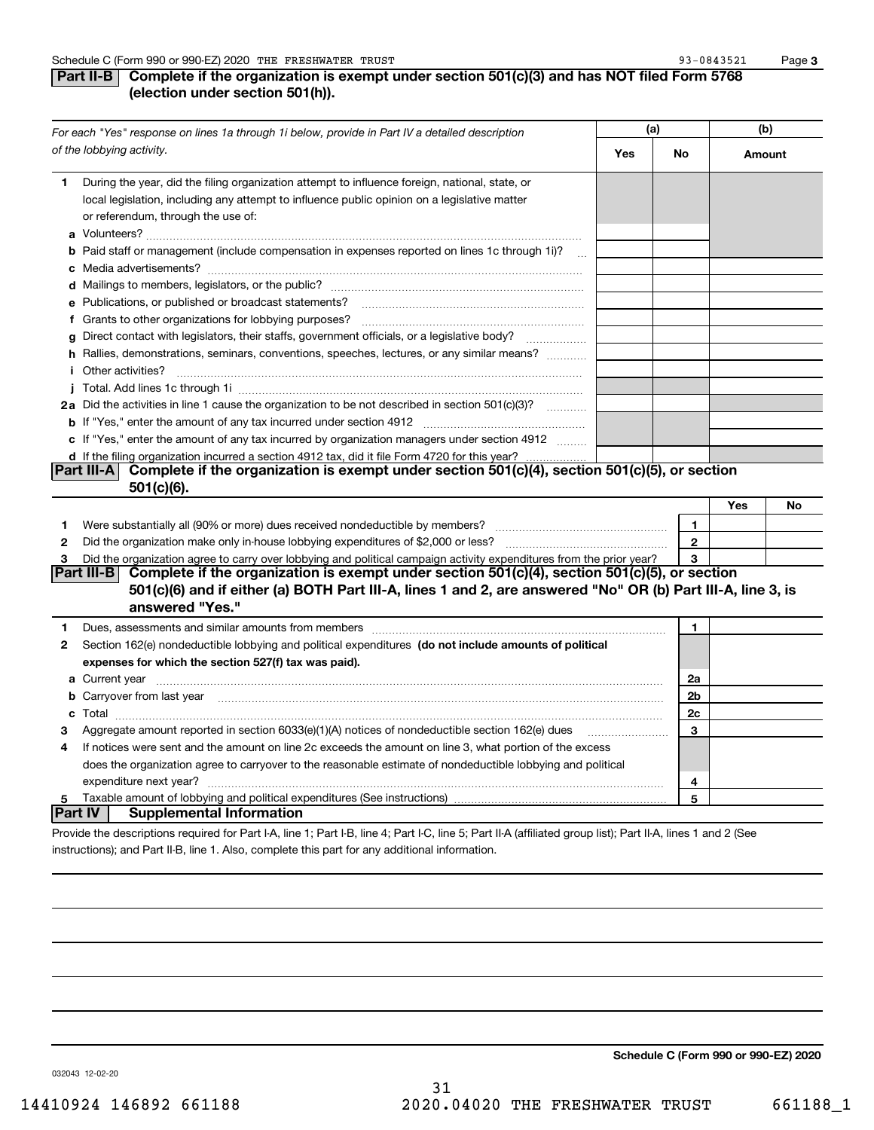**3**

## **Part II-B** Complete if the organization is exempt under section 501(c)(3) and has NOT filed Form 5768 **(election under section 501(h)).**

|              | For each "Yes" response on lines 1a through 1i below, provide in Part IV a detailed description                                                                                                                                      | (a) |                | (b)    |    |
|--------------|--------------------------------------------------------------------------------------------------------------------------------------------------------------------------------------------------------------------------------------|-----|----------------|--------|----|
|              | of the lobbying activity.                                                                                                                                                                                                            | Yes | No             | Amount |    |
| 1.           | During the year, did the filing organization attempt to influence foreign, national, state, or<br>local legislation, including any attempt to influence public opinion on a legislative matter<br>or referendum, through the use of: |     |                |        |    |
|              | <b>b</b> Paid staff or management (include compensation in expenses reported on lines 1c through 1i)?                                                                                                                                |     |                |        |    |
|              |                                                                                                                                                                                                                                      |     |                |        |    |
|              |                                                                                                                                                                                                                                      |     |                |        |    |
|              | e Publications, or published or broadcast statements?                                                                                                                                                                                |     |                |        |    |
|              |                                                                                                                                                                                                                                      |     |                |        |    |
| g            | Direct contact with legislators, their staffs, government officials, or a legislative body?                                                                                                                                          |     |                |        |    |
|              | h Rallies, demonstrations, seminars, conventions, speeches, lectures, or any similar means?                                                                                                                                          |     |                |        |    |
|              | <i>i</i> Other activities?                                                                                                                                                                                                           |     |                |        |    |
|              |                                                                                                                                                                                                                                      |     |                |        |    |
|              | 2a Did the activities in line 1 cause the organization to be not described in section 501(c)(3)?                                                                                                                                     |     |                |        |    |
|              |                                                                                                                                                                                                                                      |     |                |        |    |
|              | c If "Yes," enter the amount of any tax incurred by organization managers under section 4912                                                                                                                                         |     |                |        |    |
|              | d If the filing organization incurred a section 4912 tax, did it file Form 4720 for this year?                                                                                                                                       |     |                |        |    |
|              | Complete if the organization is exempt under section 501(c)(4), section 501(c)(5), or section<br> Part III-A                                                                                                                         |     |                |        |    |
|              | $501(c)(6)$ .                                                                                                                                                                                                                        |     |                |        |    |
|              |                                                                                                                                                                                                                                      |     |                | Yes    | No |
| 1            |                                                                                                                                                                                                                                      |     | $\mathbf{1}$   |        |    |
| $\mathbf{2}$ |                                                                                                                                                                                                                                      |     | $\mathbf{2}$   |        |    |
| 3            | Did the organization agree to carry over lobbying and political campaign activity expenditures from the prior year?                                                                                                                  |     | 3              |        |    |
|              | Complete if the organization is exempt under section 501(c)(4), section 501(c)(5), or section<br> Part III-B <br>501(c)(6) and if either (a) BOTH Part III-A, lines 1 and 2, are answered "No" OR (b) Part III-A, line 3, is         |     |                |        |    |
|              | answered "Yes."                                                                                                                                                                                                                      |     |                |        |    |
| 1.           | Dues, assessments and similar amounts from members [11] matter continuum matter assessments and similar amounts from members [11] matter continuum matter assessments and similar amounts from members [11] matter and the sta       |     | 1              |        |    |
| 2            | Section 162(e) nondeductible lobbying and political expenditures (do not include amounts of political                                                                                                                                |     |                |        |    |
|              | expenses for which the section 527(f) tax was paid).                                                                                                                                                                                 |     |                |        |    |
|              | <b>a</b> Current year                                                                                                                                                                                                                |     | 2a             |        |    |
|              | b Carryover from last year manufactured and contract the contract of the contract of the contract of the contract of contract of contract of contract of contract of contract of contract of contract of contract of contract        |     | 2 <sub>b</sub> |        |    |
|              |                                                                                                                                                                                                                                      |     | 2c             |        |    |
| З            | Aggregate amount reported in section $6033(e)(1)(A)$ notices of nondeductible section $162(e)$ dues                                                                                                                                  |     | 3              |        |    |
| 4            | If notices were sent and the amount on line 2c exceeds the amount on line 3, what portion of the excess                                                                                                                              |     |                |        |    |
|              | does the organization agree to carryover to the reasonable estimate of nondeductible lobbying and political                                                                                                                          |     |                |        |    |
|              | expenditure next year?                                                                                                                                                                                                               |     | 4              |        |    |
| 5            | <b>Part IV</b><br><b>Supplemental Information</b>                                                                                                                                                                                    |     | 5              |        |    |
|              |                                                                                                                                                                                                                                      |     |                |        |    |
|              | Provide the descriptions required for Part I-A, line 1; Part I-B, line 4; Part I-C, line 5; Part II-A (affiliated group list); Part II-A, lines 1 and 2 (See                                                                         |     |                |        |    |

instructions); and Part II-B, line 1. Also, complete this part for any additional information.

**Schedule C (Form 990 or 990-EZ) 2020**

032043 12-02-20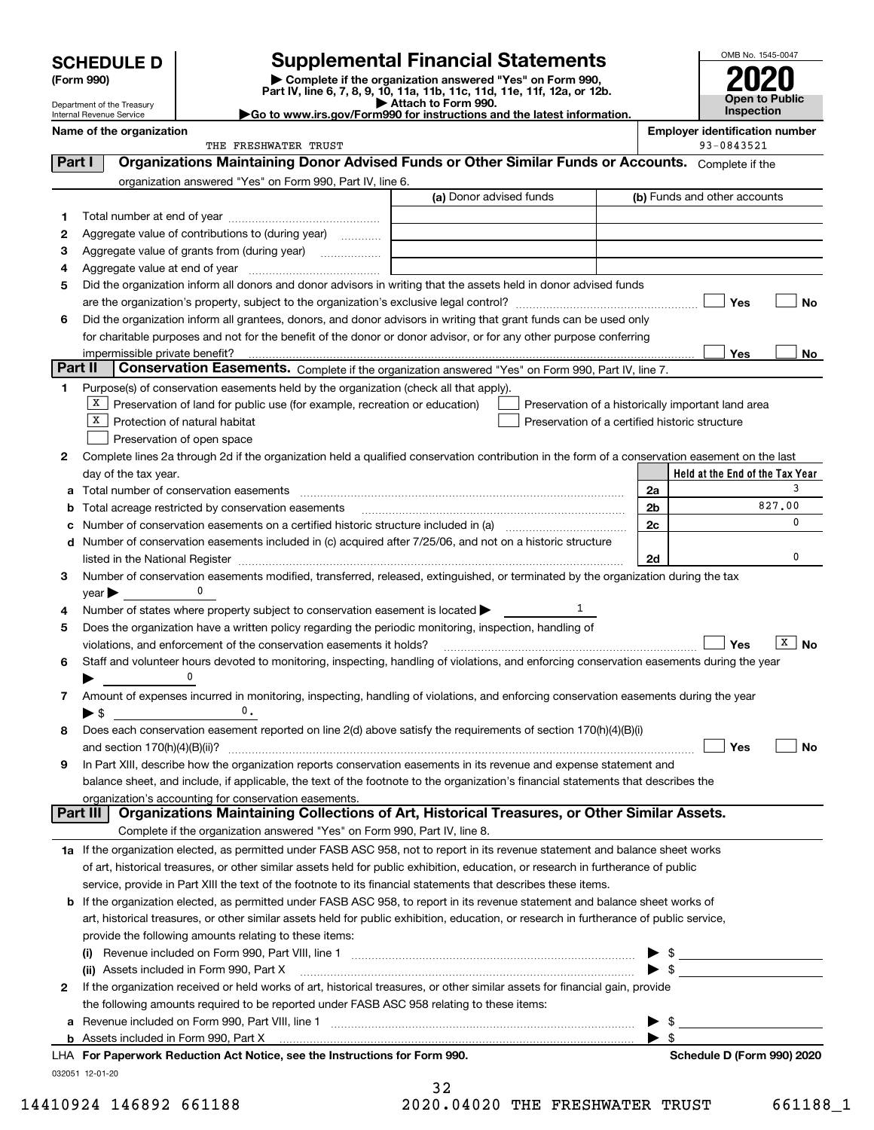| <b>SCHEDULE D</b> |  |
|-------------------|--|
|-------------------|--|

Department of the Treasury Internal Revenue Service

| (Form 990) |  |
|------------|--|
|------------|--|

## **SCHEDULE D Supplemental Financial Statements**

(Form 990)<br>
Pepartment of the Treasury<br>
Department of the Treasury<br>
Department of the Treasury<br>
Department of the Treasury<br> **Co to www.irs.gov/Form990 for instructions and the latest information.**<br> **Co to www.irs.gov/Form9** 



| Go to www.irs.gov/Form990 for instructions and the latest informa |
|-------------------------------------------------------------------|
|                                                                   |

|         | Name of the organization                                                                                                                                                                                                      |                |      | <b>Employer identification number</b><br>93-0843521 |                   |
|---------|-------------------------------------------------------------------------------------------------------------------------------------------------------------------------------------------------------------------------------|----------------|------|-----------------------------------------------------|-------------------|
|         | THE FRESHWATER TRUST<br>Organizations Maintaining Donor Advised Funds or Other Similar Funds or Accounts. Complete if the                                                                                                     |                |      |                                                     |                   |
| Part I  |                                                                                                                                                                                                                               |                |      |                                                     |                   |
|         | organization answered "Yes" on Form 990, Part IV, line 6.<br>(a) Donor advised funds                                                                                                                                          |                |      | (b) Funds and other accounts                        |                   |
|         |                                                                                                                                                                                                                               |                |      |                                                     |                   |
| 1       |                                                                                                                                                                                                                               |                |      |                                                     |                   |
| 2       | Aggregate value of contributions to (during year)                                                                                                                                                                             |                |      |                                                     |                   |
| з       | Aggregate value of grants from (during year)                                                                                                                                                                                  |                |      |                                                     |                   |
| 4       |                                                                                                                                                                                                                               |                |      |                                                     |                   |
| 5       | Did the organization inform all donors and donor advisors in writing that the assets held in donor advised funds                                                                                                              |                |      |                                                     |                   |
|         |                                                                                                                                                                                                                               |                |      | Yes                                                 | No                |
| 6       | Did the organization inform all grantees, donors, and donor advisors in writing that grant funds can be used only                                                                                                             |                |      |                                                     |                   |
|         | for charitable purposes and not for the benefit of the donor or donor advisor, or for any other purpose conferring                                                                                                            |                |      | Yes                                                 | No                |
| Part II | impermissible private benefit?<br>Conservation Easements. Complete if the organization answered "Yes" on Form 990, Part IV, line 7.                                                                                           |                |      |                                                     |                   |
| 1       | Purpose(s) of conservation easements held by the organization (check all that apply).                                                                                                                                         |                |      |                                                     |                   |
|         | $X$ Preservation of land for public use (for example, recreation or education)                                                                                                                                                |                |      |                                                     |                   |
|         | Preservation of a historically important land area<br>  X<br>Protection of natural habitat<br>Preservation of a certified historic structure                                                                                  |                |      |                                                     |                   |
|         | Preservation of open space                                                                                                                                                                                                    |                |      |                                                     |                   |
| 2       | Complete lines 2a through 2d if the organization held a qualified conservation contribution in the form of a conservation easement on the last                                                                                |                |      |                                                     |                   |
|         | day of the tax year.                                                                                                                                                                                                          |                |      | Held at the End of the Tax Year                     |                   |
| a       | Total number of conservation easements                                                                                                                                                                                        | 2a             |      |                                                     | 3                 |
| b       | Total acreage restricted by conservation easements                                                                                                                                                                            | 2 <sub>b</sub> |      |                                                     | 827.00            |
| с       |                                                                                                                                                                                                                               | 2c             |      |                                                     | 0                 |
|         | d Number of conservation easements included in (c) acquired after 7/25/06, and not on a historic structure                                                                                                                    |                |      |                                                     |                   |
|         | listed in the National Register [11, 1200] [12] The National Register [11, 1200] [12] The National Register [11, 1200] [12] The National Register [11, 1200] [12] The National Register [11, 1200] [12] The National Register | 2d             |      |                                                     | 0                 |
| 3       | Number of conservation easements modified, transferred, released, extinguished, or terminated by the organization during the tax                                                                                              |                |      |                                                     |                   |
|         | $year \blacktriangleright$                                                                                                                                                                                                    |                |      |                                                     |                   |
| 4       | 1<br>Number of states where property subject to conservation easement is located >                                                                                                                                            |                |      |                                                     |                   |
| 5       | Does the organization have a written policy regarding the periodic monitoring, inspection, handling of                                                                                                                        |                |      |                                                     |                   |
|         | violations, and enforcement of the conservation easements it holds?                                                                                                                                                           |                |      | Yes                                                 | $\overline{X}$ No |
| 6       | Staff and volunteer hours devoted to monitoring, inspecting, handling of violations, and enforcing conservation easements during the year                                                                                     |                |      |                                                     |                   |
|         |                                                                                                                                                                                                                               |                |      |                                                     |                   |
| 7       | Amount of expenses incurred in monitoring, inspecting, handling of violations, and enforcing conservation easements during the year                                                                                           |                |      |                                                     |                   |
|         | 0.<br>$\blacktriangleright$ \$                                                                                                                                                                                                |                |      |                                                     |                   |
| 8       | Does each conservation easement reported on line 2(d) above satisfy the requirements of section 170(h)(4)(B)(i)                                                                                                               |                |      |                                                     |                   |
|         |                                                                                                                                                                                                                               |                |      | Yes                                                 | No                |
|         | In Part XIII, describe how the organization reports conservation easements in its revenue and expense statement and                                                                                                           |                |      |                                                     |                   |
|         | balance sheet, and include, if applicable, the text of the footnote to the organization's financial statements that describes the                                                                                             |                |      |                                                     |                   |
|         | organization's accounting for conservation easements.                                                                                                                                                                         |                |      |                                                     |                   |
|         | Organizations Maintaining Collections of Art, Historical Treasures, or Other Similar Assets.<br>Part III                                                                                                                      |                |      |                                                     |                   |
|         | Complete if the organization answered "Yes" on Form 990, Part IV, line 8.                                                                                                                                                     |                |      |                                                     |                   |
|         | 1a If the organization elected, as permitted under FASB ASC 958, not to report in its revenue statement and balance sheet works                                                                                               |                |      |                                                     |                   |
|         | of art, historical treasures, or other similar assets held for public exhibition, education, or research in furtherance of public                                                                                             |                |      |                                                     |                   |
|         | service, provide in Part XIII the text of the footnote to its financial statements that describes these items.                                                                                                                |                |      |                                                     |                   |
|         | <b>b</b> If the organization elected, as permitted under FASB ASC 958, to report in its revenue statement and balance sheet works of                                                                                          |                |      |                                                     |                   |
|         | art, historical treasures, or other similar assets held for public exhibition, education, or research in furtherance of public service,                                                                                       |                |      |                                                     |                   |
|         | provide the following amounts relating to these items:                                                                                                                                                                        |                |      |                                                     |                   |
|         |                                                                                                                                                                                                                               |                | - \$ |                                                     |                   |
|         | (ii) Assets included in Form 990, Part X                                                                                                                                                                                      |                | - \$ |                                                     |                   |
| 2       | If the organization received or held works of art, historical treasures, or other similar assets for financial gain, provide                                                                                                  |                |      |                                                     |                   |
|         | the following amounts required to be reported under FASB ASC 958 relating to these items:                                                                                                                                     |                |      |                                                     |                   |
|         |                                                                                                                                                                                                                               |                | - \$ |                                                     |                   |
|         | <b>b</b> Assets included in Form 990, Part X                                                                                                                                                                                  | ▶ \$           |      |                                                     |                   |
|         | LHA For Paperwork Reduction Act Notice, see the Instructions for Form 990.                                                                                                                                                    |                |      | Schedule D (Form 990) 2020                          |                   |
|         | 032051 12-01-20                                                                                                                                                                                                               |                |      |                                                     |                   |
|         | 32                                                                                                                                                                                                                            |                |      |                                                     |                   |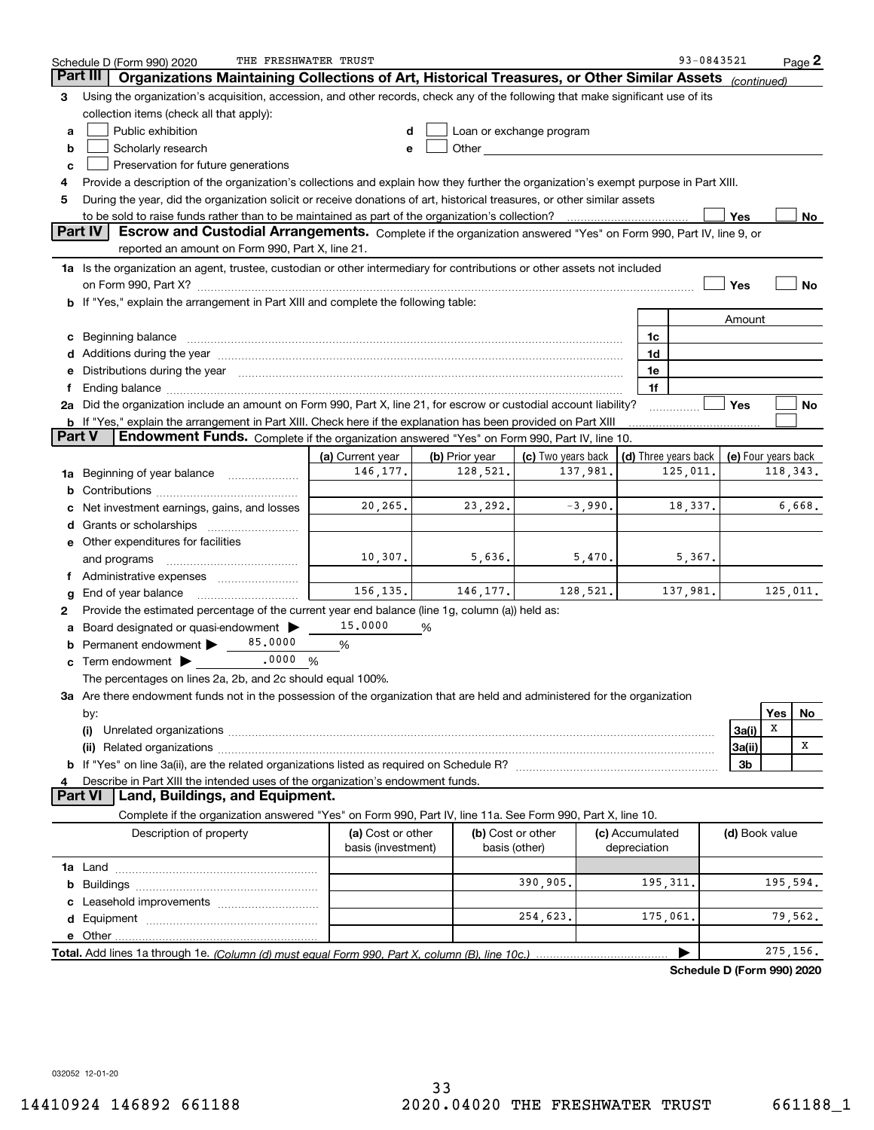|               | THE FRESHWATER TRUST<br>Schedule D (Form 990) 2020                                                                                                                                                                                   |                    |                |                          |                 | 93-0843521                 |                     |     | $Page$ 2  |
|---------------|--------------------------------------------------------------------------------------------------------------------------------------------------------------------------------------------------------------------------------------|--------------------|----------------|--------------------------|-----------------|----------------------------|---------------------|-----|-----------|
| Part III      | Organizations Maintaining Collections of Art, Historical Treasures, or Other Similar Assets                                                                                                                                          |                    |                |                          |                 |                            | (continued)         |     |           |
| 3             | Using the organization's acquisition, accession, and other records, check any of the following that make significant use of its                                                                                                      |                    |                |                          |                 |                            |                     |     |           |
|               | collection items (check all that apply):                                                                                                                                                                                             |                    |                |                          |                 |                            |                     |     |           |
| a             | Public exhibition                                                                                                                                                                                                                    |                    |                | Loan or exchange program |                 |                            |                     |     |           |
| b             | Scholarly research                                                                                                                                                                                                                   | е                  |                |                          |                 |                            |                     |     |           |
| c             | Preservation for future generations                                                                                                                                                                                                  |                    |                |                          |                 |                            |                     |     |           |
| 4             | Provide a description of the organization's collections and explain how they further the organization's exempt purpose in Part XIII.                                                                                                 |                    |                |                          |                 |                            |                     |     |           |
| 5             | During the year, did the organization solicit or receive donations of art, historical treasures, or other similar assets                                                                                                             |                    |                |                          |                 |                            |                     |     |           |
|               |                                                                                                                                                                                                                                      |                    |                |                          |                 |                            | Yes                 |     | No        |
|               | <b>Part IV</b><br>Escrow and Custodial Arrangements. Complete if the organization answered "Yes" on Form 990, Part IV, line 9, or<br>reported an amount on Form 990, Part X, line 21.                                                |                    |                |                          |                 |                            |                     |     |           |
|               | 1a Is the organization an agent, trustee, custodian or other intermediary for contributions or other assets not included                                                                                                             |                    |                |                          |                 |                            |                     |     |           |
|               |                                                                                                                                                                                                                                      |                    |                |                          |                 |                            | Yes                 |     | No        |
|               | If "Yes," explain the arrangement in Part XIII and complete the following table:                                                                                                                                                     |                    |                |                          |                 |                            |                     |     |           |
|               |                                                                                                                                                                                                                                      |                    |                |                          |                 |                            | Amount              |     |           |
| с             | Beginning balance <b>contract the contract of the contract of the contract of the contract of the contract of the contract of the contract of the contract of the contract of the contract of the contract of the contract of th</b> |                    |                |                          | 1c              |                            |                     |     |           |
| d             | Additions during the year manufactured and an annual contract of the year manufactured and all the year manufactured and all the year manufactured and all the year manufactured and all the year manufactured and all the yea       |                    |                |                          | 1d              |                            |                     |     |           |
| е             | Distributions during the year manufactured and continuum and contact the year manufactured and contact the year                                                                                                                      |                    |                |                          | 1e              |                            |                     |     |           |
| f             |                                                                                                                                                                                                                                      |                    |                |                          | 1f              |                            |                     |     |           |
|               | 2a Did the organization include an amount on Form 990, Part X, line 21, for escrow or custodial account liability?                                                                                                                   |                    |                |                          |                 |                            | <b>Yes</b>          |     | No        |
|               | b If "Yes," explain the arrangement in Part XIII. Check here if the explanation has been provided on Part XIII                                                                                                                       |                    |                |                          |                 |                            |                     |     |           |
| <b>Part V</b> | Endowment Funds. Complete if the organization answered "Yes" on Form 990, Part IV, line 10.                                                                                                                                          |                    |                |                          |                 |                            |                     |     |           |
|               |                                                                                                                                                                                                                                      | (a) Current year   | (b) Prior year | (c) Two years back       |                 | (d) Three years back       | (e) Four years back |     |           |
| 1a            | Beginning of year balance <i>mused in the sea</i> m of the search of the search of the search of the search of the search of the search of the search of the search of the search of the search of the search of the search of the s | 146, 177.          | 128,521.       | 137,981.                 |                 | 125,011.                   |                     |     | 118, 343. |
| b             |                                                                                                                                                                                                                                      |                    |                |                          |                 |                            |                     |     |           |
| с             | Net investment earnings, gains, and losses                                                                                                                                                                                           | 20,265.            | 23,292.        | $-3,990.$                | 18,337.         |                            |                     |     | 6,668.    |
| d             |                                                                                                                                                                                                                                      |                    |                |                          |                 |                            |                     |     |           |
|               | e Other expenditures for facilities                                                                                                                                                                                                  |                    |                |                          |                 |                            |                     |     |           |
|               | and programs                                                                                                                                                                                                                         | 10,307.            | 5,636.         | 5,470.                   |                 | 5,367.                     |                     |     |           |
|               | f Administrative expenses <i></i>                                                                                                                                                                                                    |                    |                |                          |                 |                            |                     |     |           |
| g             | End of year balance                                                                                                                                                                                                                  | 156, 135.          | 146, 177.      | 128,521.                 |                 | 137,981.                   |                     |     | 125,011.  |
| 2             | Provide the estimated percentage of the current year end balance (line 1g, column (a)) held as:                                                                                                                                      |                    |                |                          |                 |                            |                     |     |           |
| а             | Board designated or quasi-endowment >                                                                                                                                                                                                | 15,0000            | %              |                          |                 |                            |                     |     |           |
| b             | 85,0000<br>Permanent endowment >                                                                                                                                                                                                     | %                  |                |                          |                 |                            |                     |     |           |
| с             | $.0000 \%$<br>Term endowment $\blacktriangleright$                                                                                                                                                                                   |                    |                |                          |                 |                            |                     |     |           |
|               | The percentages on lines 2a, 2b, and 2c should equal 100%.                                                                                                                                                                           |                    |                |                          |                 |                            |                     |     |           |
|               | 3a Are there endowment funds not in the possession of the organization that are held and administered for the organization                                                                                                           |                    |                |                          |                 |                            |                     |     |           |
|               | by:                                                                                                                                                                                                                                  |                    |                |                          |                 |                            |                     | Yes | No        |
|               | (i)                                                                                                                                                                                                                                  |                    |                |                          |                 |                            | 3a(i)               | X   | X         |
|               |                                                                                                                                                                                                                                      |                    |                |                          |                 |                            | 3a(ii)              |     |           |
|               |                                                                                                                                                                                                                                      |                    |                |                          |                 |                            | 3b                  |     |           |
| 4             | Describe in Part XIII the intended uses of the organization's endowment funds.<br><b>Part VI</b><br>Land, Buildings, and Equipment.                                                                                                  |                    |                |                          |                 |                            |                     |     |           |
|               | Complete if the organization answered "Yes" on Form 990, Part IV, line 11a. See Form 990, Part X, line 10.                                                                                                                           |                    |                |                          |                 |                            |                     |     |           |
|               |                                                                                                                                                                                                                                      | (a) Cost or other  |                | (b) Cost or other        | (c) Accumulated |                            | (d) Book value      |     |           |
|               | Description of property                                                                                                                                                                                                              | basis (investment) |                | basis (other)            | depreciation    |                            |                     |     |           |
|               |                                                                                                                                                                                                                                      |                    |                |                          |                 |                            |                     |     |           |
| b             |                                                                                                                                                                                                                                      |                    |                | 390,905.                 | 195,311.        |                            |                     |     | 195,594.  |
|               |                                                                                                                                                                                                                                      |                    |                |                          |                 |                            |                     |     |           |
| d             |                                                                                                                                                                                                                                      |                    |                | 254,623.                 | 175,061.        |                            |                     |     | 79,562.   |
|               |                                                                                                                                                                                                                                      |                    |                |                          |                 |                            |                     |     |           |
|               |                                                                                                                                                                                                                                      |                    |                |                          |                 |                            |                     |     | 275,156.  |
|               |                                                                                                                                                                                                                                      |                    |                |                          |                 | Schadule D (Form 990) 2020 |                     |     |           |

**Schedule D (Form 990) 2020**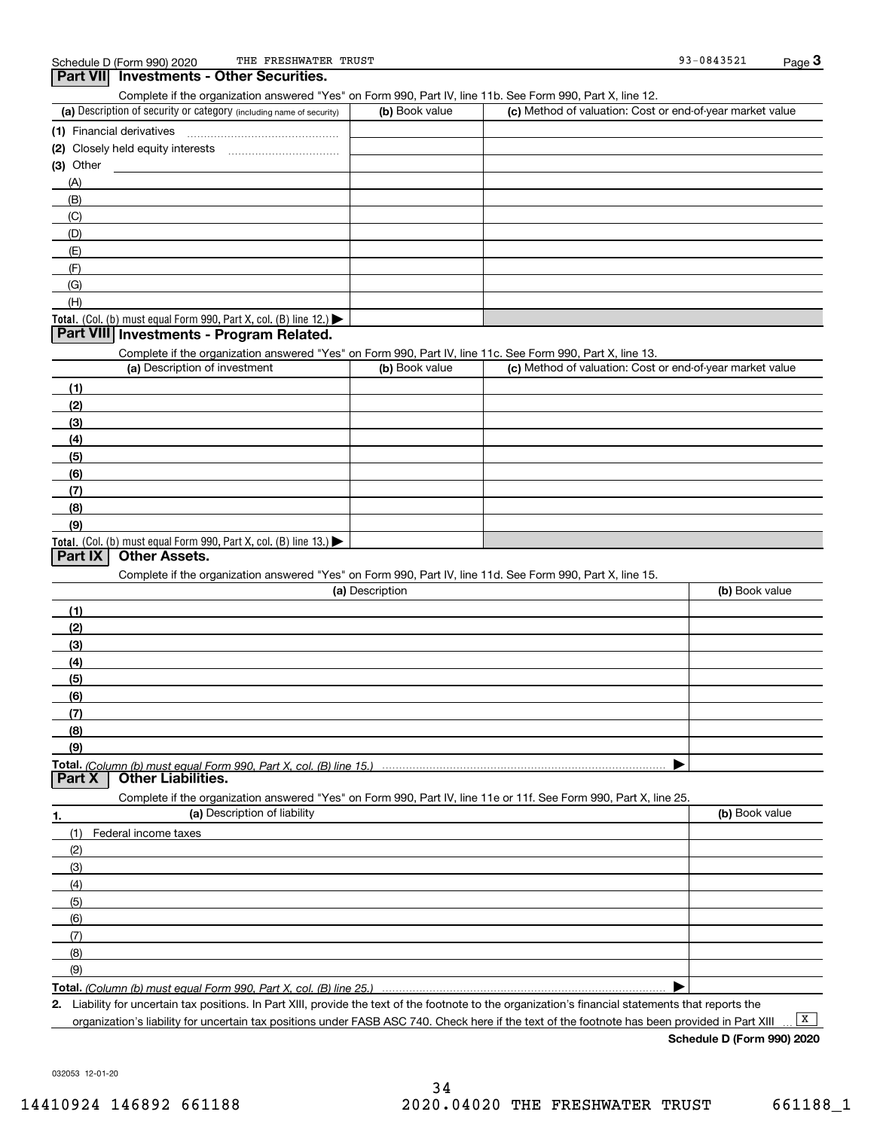**Part VII Investments - Other Securities.** 

| Complete if the organization answered "Yes" on Form 990, Part IV, line 11b. See Form 990, Part X, line 12.                                        |                 |                                                           |                |
|---------------------------------------------------------------------------------------------------------------------------------------------------|-----------------|-----------------------------------------------------------|----------------|
| (a) Description of security or category (including name of security)                                                                              | (b) Book value  | (c) Method of valuation: Cost or end-of-year market value |                |
|                                                                                                                                                   |                 |                                                           |                |
|                                                                                                                                                   |                 |                                                           |                |
| $(3)$ Other                                                                                                                                       |                 |                                                           |                |
| (A)                                                                                                                                               |                 |                                                           |                |
| (B)                                                                                                                                               |                 |                                                           |                |
| (C)                                                                                                                                               |                 |                                                           |                |
| (D)                                                                                                                                               |                 |                                                           |                |
| (E)                                                                                                                                               |                 |                                                           |                |
| (F)                                                                                                                                               |                 |                                                           |                |
| (G)                                                                                                                                               |                 |                                                           |                |
| (H)                                                                                                                                               |                 |                                                           |                |
| Total. (Col. (b) must equal Form 990, Part X, col. (B) line 12.)                                                                                  |                 |                                                           |                |
| Part VIII Investments - Program Related.                                                                                                          |                 |                                                           |                |
| Complete if the organization answered "Yes" on Form 990, Part IV, line 11c. See Form 990, Part X, line 13.                                        |                 |                                                           |                |
| (a) Description of investment                                                                                                                     | (b) Book value  | (c) Method of valuation: Cost or end-of-year market value |                |
|                                                                                                                                                   |                 |                                                           |                |
| (1)<br>(2)                                                                                                                                        |                 |                                                           |                |
| (3)                                                                                                                                               |                 |                                                           |                |
|                                                                                                                                                   |                 |                                                           |                |
| (4)                                                                                                                                               |                 |                                                           |                |
| (5)                                                                                                                                               |                 |                                                           |                |
| (6)                                                                                                                                               |                 |                                                           |                |
| (7)                                                                                                                                               |                 |                                                           |                |
| (8)                                                                                                                                               |                 |                                                           |                |
| (9)                                                                                                                                               |                 |                                                           |                |
| Total. (Col. (b) must equal Form 990, Part X, col. (B) line 13.)<br><b>Other Assets.</b><br>Part IX                                               |                 |                                                           |                |
|                                                                                                                                                   |                 |                                                           |                |
| Complete if the organization answered "Yes" on Form 990, Part IV, line 11d. See Form 990, Part X, line 15.                                        | (a) Description |                                                           | (b) Book value |
|                                                                                                                                                   |                 |                                                           |                |
| (1)                                                                                                                                               |                 |                                                           |                |
| (2)                                                                                                                                               |                 |                                                           |                |
| (3)                                                                                                                                               |                 |                                                           |                |
| (4)                                                                                                                                               |                 |                                                           |                |
| (5)                                                                                                                                               |                 |                                                           |                |
| (6)                                                                                                                                               |                 |                                                           |                |
| (7)                                                                                                                                               |                 |                                                           |                |
| (8)                                                                                                                                               |                 |                                                           |                |
| (9)                                                                                                                                               |                 |                                                           |                |
| <b>Other Liabilities.</b><br>Part X                                                                                                               |                 |                                                           |                |
|                                                                                                                                                   |                 |                                                           |                |
| Complete if the organization answered "Yes" on Form 990, Part IV, line 11e or 11f. See Form 990, Part X, line 25.<br>(a) Description of liability |                 |                                                           | (b) Book value |
| 1.                                                                                                                                                |                 |                                                           |                |
| Federal income taxes<br>(1)                                                                                                                       |                 |                                                           |                |
| (2)                                                                                                                                               |                 |                                                           |                |
| (3)                                                                                                                                               |                 |                                                           |                |
| (4)                                                                                                                                               |                 |                                                           |                |
| (5)                                                                                                                                               |                 |                                                           |                |
| (6)                                                                                                                                               |                 |                                                           |                |
| (7)                                                                                                                                               |                 |                                                           |                |
| (8)                                                                                                                                               |                 |                                                           |                |
|                                                                                                                                                   |                 |                                                           |                |
| (9)<br>Total. (Column (b) must equal Form 990, Part X, col. (B) line 25.)                                                                         |                 |                                                           |                |

**2.** Liability for uncertain tax positions. In Part XIII, provide the text of the footnote to the organization's financial statements that reports the organization's liability for uncertain tax positions under FASB ASC 740. Check here if the text of the footnote has been provided in Part XIII

**Schedule D (Form 990) 2020**

032053 12-01-20

 $\boxed{\mathbf{X}}$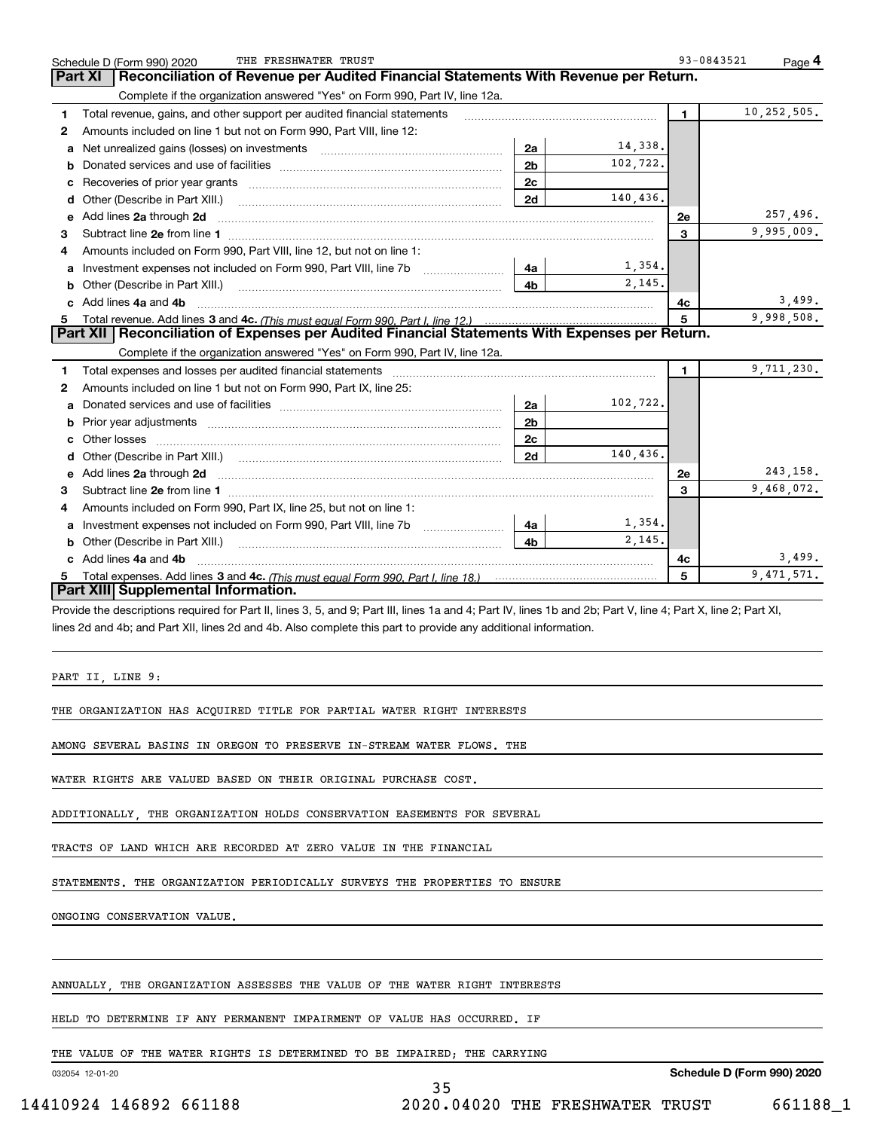|    | THE FRESHWATER TRUST<br>Schedule D (Form 990) 2020                                                                         |                |          | 93-0843521     | Page 4       |
|----|----------------------------------------------------------------------------------------------------------------------------|----------------|----------|----------------|--------------|
|    | Reconciliation of Revenue per Audited Financial Statements With Revenue per Return.<br>Part XI                             |                |          |                |              |
|    | Complete if the organization answered "Yes" on Form 990, Part IV, line 12a.                                                |                |          |                |              |
| 1  | Total revenue, gains, and other support per audited financial statements                                                   |                |          | 1.             | 10,252,505.  |
| 2  | Amounts included on line 1 but not on Form 990, Part VIII, line 12:                                                        |                |          |                |              |
| a  |                                                                                                                            | 2a             | 14,338.  |                |              |
| b  |                                                                                                                            | 2 <sub>b</sub> | 102,722. |                |              |
|    |                                                                                                                            | 2c             |          |                |              |
| d  | Other (Describe in Part XIII.) <b>Construction Contract Construction</b> Chemistry Chemistry Chemistry Chemistry Chemistry | 2d             | 140,436. |                |              |
| е  | Add lines 2a through 2d                                                                                                    |                |          | 2e             | 257,496.     |
| 3  |                                                                                                                            |                |          | 3              | 9,995,009.   |
| 4  | Amounts included on Form 990, Part VIII, line 12, but not on line 1:                                                       |                |          |                |              |
| a  |                                                                                                                            | 4a             | 1,354.   |                |              |
| b  |                                                                                                                            | 4 <sub>b</sub> | 2.145.   |                |              |
| C. | Add lines 4a and 4b                                                                                                        |                |          | 4c             | 3,499.       |
|    |                                                                                                                            |                |          | 5              | 9,998,508.   |
|    | Part XII   Reconciliation of Expenses per Audited Financial Statements With Expenses per Return.                           |                |          |                |              |
|    | Complete if the organization answered "Yes" on Form 990, Part IV, line 12a.                                                |                |          |                |              |
| 1  |                                                                                                                            |                |          | $\blacksquare$ | 9,711,230.   |
| 2  | Amounts included on line 1 but not on Form 990, Part IX, line 25:                                                          |                |          |                |              |
| a  |                                                                                                                            | 2a             | 102,722. |                |              |
| b  |                                                                                                                            | 2 <sub>b</sub> |          |                |              |
| c  |                                                                                                                            | 2c             |          |                |              |
| d  |                                                                                                                            | 2d             | 140.436. |                |              |
| е  | Add lines 2a through 2d <b>must be a constructed as the constant of the constant of the constant of the construction</b>   |                |          | 2e             | 243,158.     |
| 3  |                                                                                                                            |                |          | 3              | 9,468,072.   |
| 4  | Amounts included on Form 990, Part IX, line 25, but not on line 1:                                                         |                |          |                |              |
| a  | Investment expenses not included on Form 990, Part VIII, line 7b [1000000000000000000000000000000000                       | 4a             | 1,354.   |                |              |
| b  |                                                                                                                            | 4 <sub>b</sub> | 2,145.   |                |              |
|    | Add lines 4a and 4b                                                                                                        |                |          | 4с             | 3,499.       |
| 5  |                                                                                                                            |                |          | 5              | 9, 471, 571. |
|    | Part XIII Supplemental Information.                                                                                        |                |          |                |              |

Provide the descriptions required for Part II, lines 3, 5, and 9; Part III, lines 1a and 4; Part IV, lines 1b and 2b; Part V, line 4; Part X, line 2; Part XI, lines 2d and 4b; and Part XII, lines 2d and 4b. Also complete this part to provide any additional information.

35

PART II, LINE 9:

THE ORGANIZATION HAS ACQUIRED TITLE FOR PARTIAL WATER RIGHT INTERESTS

AMONG SEVERAL BASINS IN OREGON TO PRESERVE IN-STREAM WATER FLOWS. THE

WATER RIGHTS ARE VALUED BASED ON THEIR ORIGINAL PURCHASE COST.

ADDITIONALLY, THE ORGANIZATION HOLDS CONSERVATION EASEMENTS FOR SEVERAL

TRACTS OF LAND WHICH ARE RECORDED AT ZERO VALUE IN THE FINANCIAL

STATEMENTS. THE ORGANIZATION PERIODICALLY SURVEYS THE PROPERTIES TO ENSURE

ONGOING CONSERVATION VALUE.

ANNUALLY, THE ORGANIZATION ASSESSES THE VALUE OF THE WATER RIGHT INTERESTS

HELD TO DETERMINE IF ANY PERMANENT IMPAIRMENT OF VALUE HAS OCCURRED. IF

THE VALUE OF THE WATER RIGHTS IS DETERMINED TO BE IMPAIRED; THE CARRYING

032054 12-01-20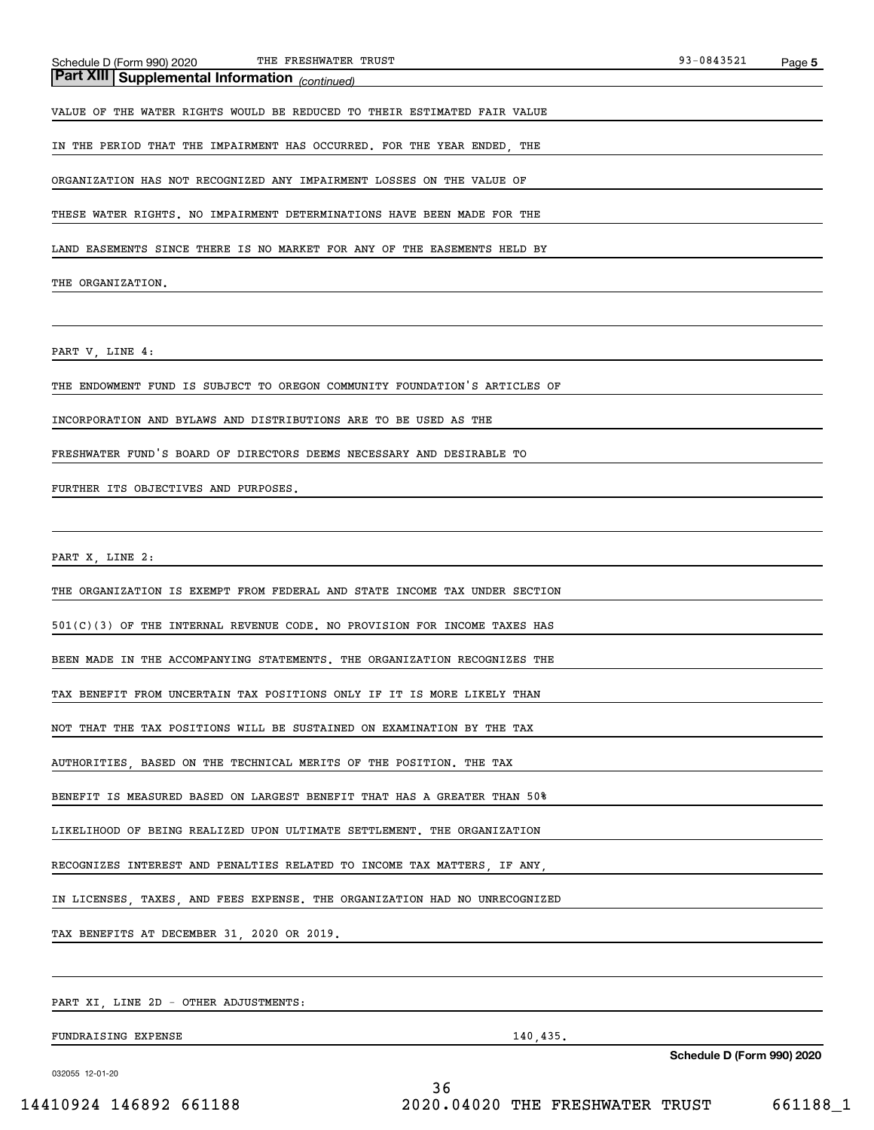## *(continued)* **Part XIII Supplemental Information**

VALUE OF THE WATER RIGHTS WOULD BE REDUCED TO THEIR ESTIMATED FAIR VALUE

IN THE PERIOD THAT THE IMPAIRMENT HAS OCCURRED. FOR THE YEAR ENDED, THE

ORGANIZATION HAS NOT RECOGNIZED ANY IMPAIRMENT LOSSES ON THE VALUE OF

THESE WATER RIGHTS. NO IMPAIRMENT DETERMINATIONS HAVE BEEN MADE FOR THE

LAND EASEMENTS SINCE THERE IS NO MARKET FOR ANY OF THE EASEMENTS HELD BY

THE ORGANIZATION.

PART V, LINE 4:

THE ENDOWMENT FUND IS SUBJECT TO OREGON COMMUNITY FOUNDATION'S ARTICLES OF

INCORPORATION AND BYLAWS AND DISTRIBUTIONS ARE TO BE USED AS THE

FRESHWATER FUND'S BOARD OF DIRECTORS DEEMS NECESSARY AND DESIRABLE TO

FURTHER ITS OBJECTIVES AND PURPOSES.

PART X, LINE 2:

THE ORGANIZATION IS EXEMPT FROM FEDERAL AND STATE INCOME TAX UNDER SECTION

501(C)(3) OF THE INTERNAL REVENUE CODE. NO PROVISION FOR INCOME TAXES HAS

BEEN MADE IN THE ACCOMPANYING STATEMENTS. THE ORGANIZATION RECOGNIZES THE

TAX BENEFIT FROM UNCERTAIN TAX POSITIONS ONLY IF IT IS MORE LIKELY THAN

NOT THAT THE TAX POSITIONS WILL BE SUSTAINED ON EXAMINATION BY THE TAX

AUTHORITIES, BASED ON THE TECHNICAL MERITS OF THE POSITION. THE TAX

BENEFIT IS MEASURED BASED ON LARGEST BENEFIT THAT HAS A GREATER THAN 50%

LIKELIHOOD OF BEING REALIZED UPON ULTIMATE SETTLEMENT. THE ORGANIZATION

RECOGNIZES INTEREST AND PENALTIES RELATED TO INCOME TAX MATTERS, IF ANY,

IN LICENSES, TAXES, AND FEES EXPENSE. THE ORGANIZATION HAD NO UNRECOGNIZED

TAX BENEFITS AT DECEMBER 31, 2020 OR 2019.

PART XI, LINE 2D - OTHER ADJUSTMENTS:

FUNDRAISING EXPENSE 140,435.

**Schedule D (Form 990) 2020**

032055 12-01-20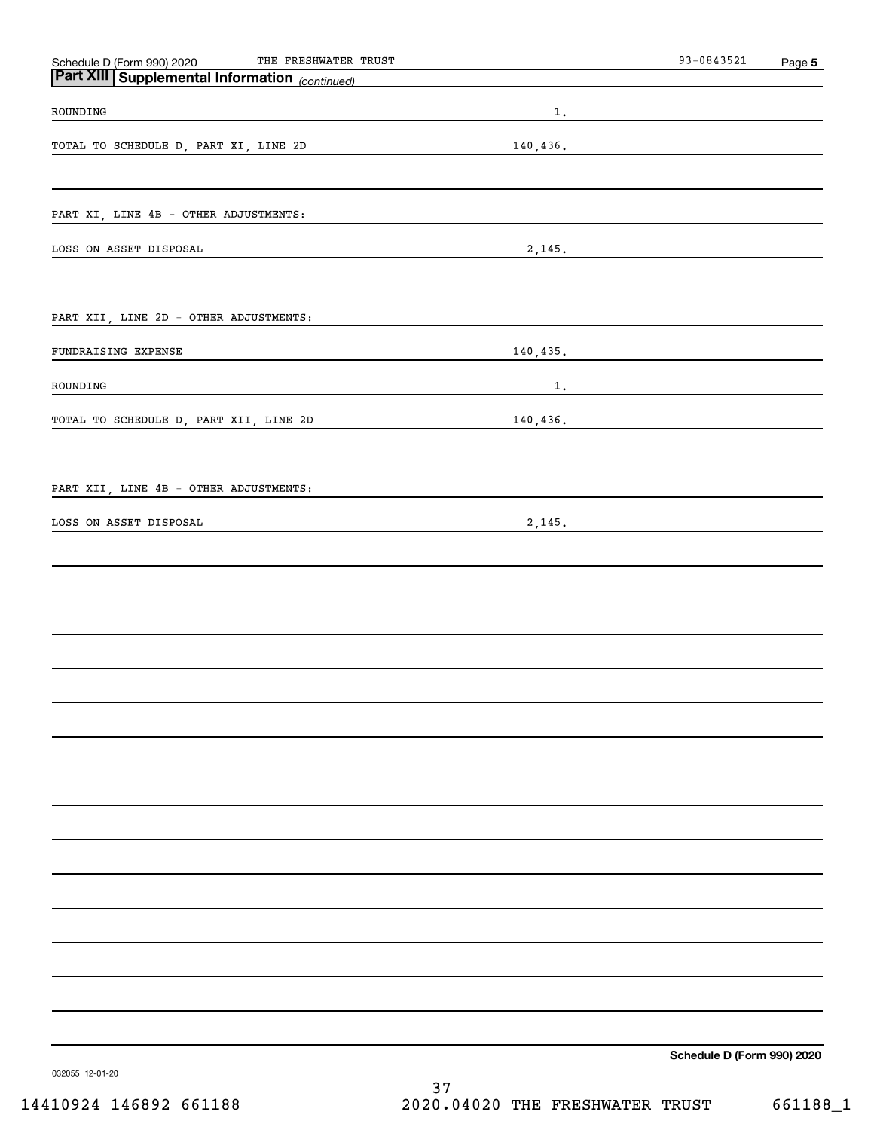| THE FRESHWATER TRUST<br>Schedule D (Form 990) 2020    |           | $93 - 0843521$             | Page 5 |
|-------------------------------------------------------|-----------|----------------------------|--------|
| <b>Part XIII Supplemental Information</b> (continued) |           |                            |        |
| ROUNDING                                              | $1$ .     |                            |        |
| TOTAL TO SCHEDULE D, PART XI, LINE 2D                 | 140, 436. |                            |        |
|                                                       |           |                            |        |
| PART XI, LINE 4B - OTHER ADJUSTMENTS:                 |           |                            |        |
| LOSS ON ASSET DISPOSAL                                | 2,145.    |                            |        |
|                                                       |           |                            |        |
| PART XII, LINE 2D - OTHER ADJUSTMENTS:                |           |                            |        |
| FUNDRAISING EXPENSE                                   | 140, 435. |                            |        |
| ROUNDING                                              |           | 1.                         |        |
| TOTAL TO SCHEDULE D, PART XII, LINE 2D                | 140,436.  |                            |        |
|                                                       |           |                            |        |
| PART XII, LINE 4B - OTHER ADJUSTMENTS:                |           |                            |        |
| LOSS ON ASSET DISPOSAL                                | 2,145.    |                            |        |
|                                                       |           |                            |        |
|                                                       |           |                            |        |
|                                                       |           |                            |        |
|                                                       |           |                            |        |
|                                                       |           |                            |        |
|                                                       |           |                            |        |
|                                                       |           |                            |        |
|                                                       |           |                            |        |
|                                                       |           |                            |        |
|                                                       |           |                            |        |
|                                                       |           |                            |        |
|                                                       |           |                            |        |
|                                                       |           |                            |        |
|                                                       |           |                            |        |
|                                                       |           |                            |        |
|                                                       |           | Schedule D (Form 990) 2020 |        |

032055 12-01-20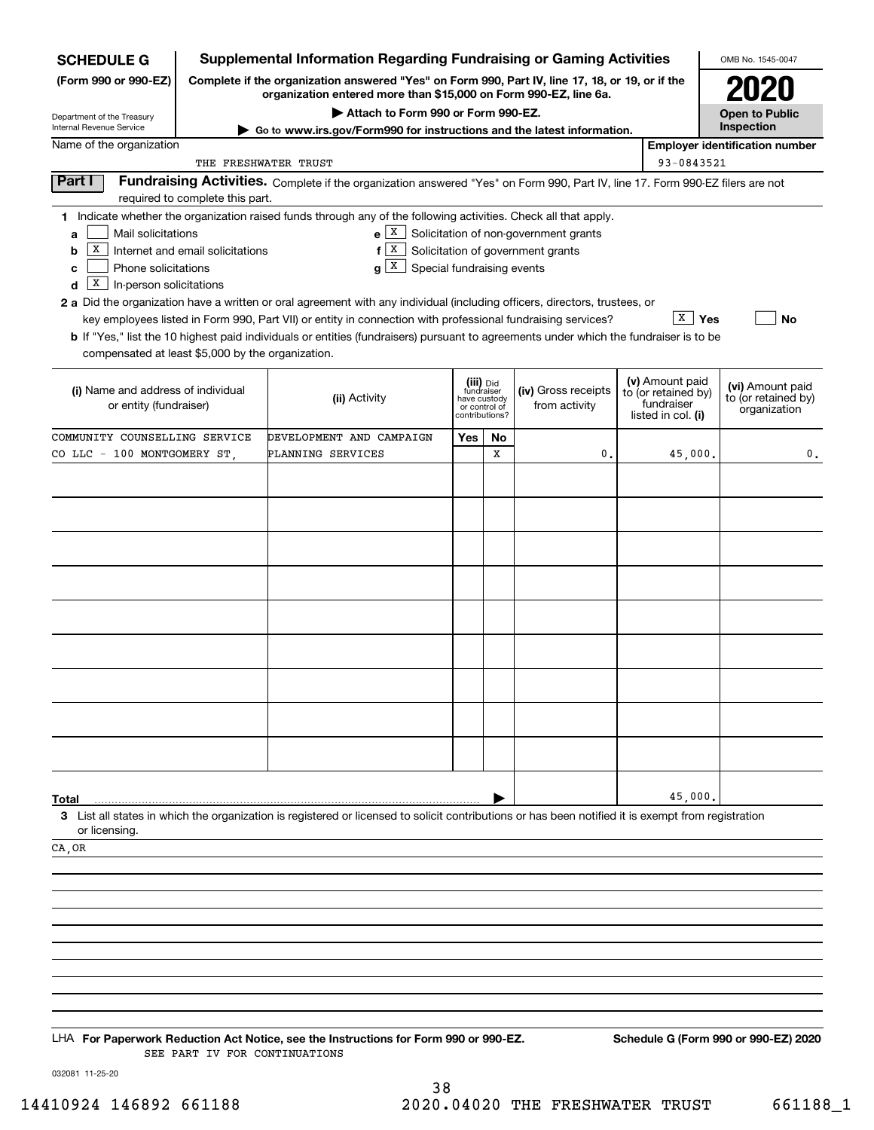| <b>SCHEDULE G</b>                                                                                                                                       |                                                                                                                                                                     | <b>Supplemental Information Regarding Fundraising or Gaming Activities</b>                                                                                                                                                                                                                                                                                                                                                                                                                                                                                      |                                                                            |    |                                                                                  |  |                                                                            | OMB No. 1545-0047                                       |
|---------------------------------------------------------------------------------------------------------------------------------------------------------|---------------------------------------------------------------------------------------------------------------------------------------------------------------------|-----------------------------------------------------------------------------------------------------------------------------------------------------------------------------------------------------------------------------------------------------------------------------------------------------------------------------------------------------------------------------------------------------------------------------------------------------------------------------------------------------------------------------------------------------------------|----------------------------------------------------------------------------|----|----------------------------------------------------------------------------------|--|----------------------------------------------------------------------------|---------------------------------------------------------|
| (Form 990 or 990-EZ)                                                                                                                                    | Complete if the organization answered "Yes" on Form 990, Part IV, line 17, 18, or 19, or if the<br>organization entered more than \$15,000 on Form 990-EZ, line 6a. |                                                                                                                                                                                                                                                                                                                                                                                                                                                                                                                                                                 |                                                                            |    |                                                                                  |  |                                                                            |                                                         |
| Department of the Treasury<br>Internal Revenue Service                                                                                                  |                                                                                                                                                                     | Attach to Form 990 or Form 990-EZ.                                                                                                                                                                                                                                                                                                                                                                                                                                                                                                                              |                                                                            |    |                                                                                  |  |                                                                            | <b>Open to Public</b><br>Inspection                     |
| Name of the organization                                                                                                                                |                                                                                                                                                                     | Go to www.irs.gov/Form990 for instructions and the latest information.                                                                                                                                                                                                                                                                                                                                                                                                                                                                                          |                                                                            |    |                                                                                  |  |                                                                            | <b>Employer identification number</b>                   |
|                                                                                                                                                         | THE FRESHWATER TRUST                                                                                                                                                |                                                                                                                                                                                                                                                                                                                                                                                                                                                                                                                                                                 |                                                                            |    |                                                                                  |  | 93-0843521                                                                 |                                                         |
| Part I                                                                                                                                                  | required to complete this part.                                                                                                                                     | Fundraising Activities. Complete if the organization answered "Yes" on Form 990, Part IV, line 17. Form 990-EZ filers are not                                                                                                                                                                                                                                                                                                                                                                                                                                   |                                                                            |    |                                                                                  |  |                                                                            |                                                         |
| Mail solicitations<br>a<br>Х<br>b<br>Phone solicitations<br>с<br>X<br>In-person solicitations<br>d<br>compensated at least \$5,000 by the organization. | Internet and email solicitations                                                                                                                                    | 1 Indicate whether the organization raised funds through any of the following activities. Check all that apply.<br>  X  <br>f<br>$g \mid X$<br>Special fundraising events<br>2 a Did the organization have a written or oral agreement with any individual (including officers, directors, trustees, or<br>key employees listed in Form 990, Part VII) or entity in connection with professional fundraising services?<br>b If "Yes," list the 10 highest paid individuals or entities (fundraisers) pursuant to agreements under which the fundraiser is to be |                                                                            |    | $e X$ Solicitation of non-government grants<br>Solicitation of government grants |  | $\overline{X}$   Yes                                                       | No                                                      |
| (i) Name and address of individual<br>or entity (fundraiser)                                                                                            |                                                                                                                                                                     | (ii) Activity                                                                                                                                                                                                                                                                                                                                                                                                                                                                                                                                                   | (iii) Did<br>fundraiser<br>have custody<br>or control of<br>contributions? |    | (iv) Gross receipts<br>from activity                                             |  | (v) Amount paid<br>to (or retained by)<br>fundraiser<br>listed in col. (i) | (vi) Amount paid<br>to (or retained by)<br>organization |
| COMMUNITY COUNSELLING SERVICE                                                                                                                           |                                                                                                                                                                     | DEVELOPMENT AND CAMPAIGN                                                                                                                                                                                                                                                                                                                                                                                                                                                                                                                                        | Yes                                                                        | No |                                                                                  |  |                                                                            |                                                         |
| CO LLC - 100 MONTGOMERY ST                                                                                                                              |                                                                                                                                                                     | PLANNING SERVICES                                                                                                                                                                                                                                                                                                                                                                                                                                                                                                                                               |                                                                            | x  | 0.                                                                               |  | 45,000.                                                                    | 0.                                                      |
|                                                                                                                                                         |                                                                                                                                                                     |                                                                                                                                                                                                                                                                                                                                                                                                                                                                                                                                                                 |                                                                            |    |                                                                                  |  |                                                                            |                                                         |
|                                                                                                                                                         |                                                                                                                                                                     |                                                                                                                                                                                                                                                                                                                                                                                                                                                                                                                                                                 |                                                                            |    |                                                                                  |  |                                                                            |                                                         |
|                                                                                                                                                         |                                                                                                                                                                     |                                                                                                                                                                                                                                                                                                                                                                                                                                                                                                                                                                 |                                                                            |    |                                                                                  |  |                                                                            |                                                         |
|                                                                                                                                                         |                                                                                                                                                                     |                                                                                                                                                                                                                                                                                                                                                                                                                                                                                                                                                                 |                                                                            |    |                                                                                  |  |                                                                            |                                                         |
|                                                                                                                                                         |                                                                                                                                                                     |                                                                                                                                                                                                                                                                                                                                                                                                                                                                                                                                                                 |                                                                            |    |                                                                                  |  |                                                                            |                                                         |
|                                                                                                                                                         |                                                                                                                                                                     |                                                                                                                                                                                                                                                                                                                                                                                                                                                                                                                                                                 |                                                                            |    |                                                                                  |  |                                                                            |                                                         |
|                                                                                                                                                         |                                                                                                                                                                     |                                                                                                                                                                                                                                                                                                                                                                                                                                                                                                                                                                 |                                                                            |    |                                                                                  |  |                                                                            |                                                         |
|                                                                                                                                                         |                                                                                                                                                                     |                                                                                                                                                                                                                                                                                                                                                                                                                                                                                                                                                                 |                                                                            |    |                                                                                  |  |                                                                            |                                                         |
|                                                                                                                                                         |                                                                                                                                                                     |                                                                                                                                                                                                                                                                                                                                                                                                                                                                                                                                                                 |                                                                            |    |                                                                                  |  |                                                                            |                                                         |
|                                                                                                                                                         |                                                                                                                                                                     |                                                                                                                                                                                                                                                                                                                                                                                                                                                                                                                                                                 |                                                                            |    |                                                                                  |  |                                                                            |                                                         |
|                                                                                                                                                         |                                                                                                                                                                     |                                                                                                                                                                                                                                                                                                                                                                                                                                                                                                                                                                 |                                                                            |    |                                                                                  |  |                                                                            |                                                         |
|                                                                                                                                                         |                                                                                                                                                                     |                                                                                                                                                                                                                                                                                                                                                                                                                                                                                                                                                                 |                                                                            |    |                                                                                  |  |                                                                            |                                                         |
|                                                                                                                                                         |                                                                                                                                                                     |                                                                                                                                                                                                                                                                                                                                                                                                                                                                                                                                                                 |                                                                            |    |                                                                                  |  |                                                                            |                                                         |
|                                                                                                                                                         |                                                                                                                                                                     |                                                                                                                                                                                                                                                                                                                                                                                                                                                                                                                                                                 |                                                                            |    |                                                                                  |  | 45,000.                                                                    |                                                         |
| Total                                                                                                                                                   |                                                                                                                                                                     | 3 List all states in which the organization is registered or licensed to solicit contributions or has been notified it is exempt from registration                                                                                                                                                                                                                                                                                                                                                                                                              |                                                                            |    |                                                                                  |  |                                                                            |                                                         |
| or licensing.                                                                                                                                           |                                                                                                                                                                     |                                                                                                                                                                                                                                                                                                                                                                                                                                                                                                                                                                 |                                                                            |    |                                                                                  |  |                                                                            |                                                         |
| CA , OR                                                                                                                                                 |                                                                                                                                                                     |                                                                                                                                                                                                                                                                                                                                                                                                                                                                                                                                                                 |                                                                            |    |                                                                                  |  |                                                                            |                                                         |
|                                                                                                                                                         |                                                                                                                                                                     |                                                                                                                                                                                                                                                                                                                                                                                                                                                                                                                                                                 |                                                                            |    |                                                                                  |  |                                                                            |                                                         |
|                                                                                                                                                         |                                                                                                                                                                     |                                                                                                                                                                                                                                                                                                                                                                                                                                                                                                                                                                 |                                                                            |    |                                                                                  |  |                                                                            |                                                         |
|                                                                                                                                                         |                                                                                                                                                                     |                                                                                                                                                                                                                                                                                                                                                                                                                                                                                                                                                                 |                                                                            |    |                                                                                  |  |                                                                            |                                                         |
|                                                                                                                                                         |                                                                                                                                                                     |                                                                                                                                                                                                                                                                                                                                                                                                                                                                                                                                                                 |                                                                            |    |                                                                                  |  |                                                                            |                                                         |
|                                                                                                                                                         |                                                                                                                                                                     |                                                                                                                                                                                                                                                                                                                                                                                                                                                                                                                                                                 |                                                                            |    |                                                                                  |  |                                                                            |                                                         |
|                                                                                                                                                         |                                                                                                                                                                     |                                                                                                                                                                                                                                                                                                                                                                                                                                                                                                                                                                 |                                                                            |    |                                                                                  |  |                                                                            |                                                         |
|                                                                                                                                                         |                                                                                                                                                                     |                                                                                                                                                                                                                                                                                                                                                                                                                                                                                                                                                                 |                                                                            |    |                                                                                  |  |                                                                            |                                                         |
|                                                                                                                                                         | SEE PART IV FOR CONTINUATIONS                                                                                                                                       | LHA For Paperwork Reduction Act Notice, see the Instructions for Form 990 or 990-EZ.                                                                                                                                                                                                                                                                                                                                                                                                                                                                            |                                                                            |    |                                                                                  |  |                                                                            | Schedule G (Form 990 or 990-EZ) 2020                    |

032081 11-25-20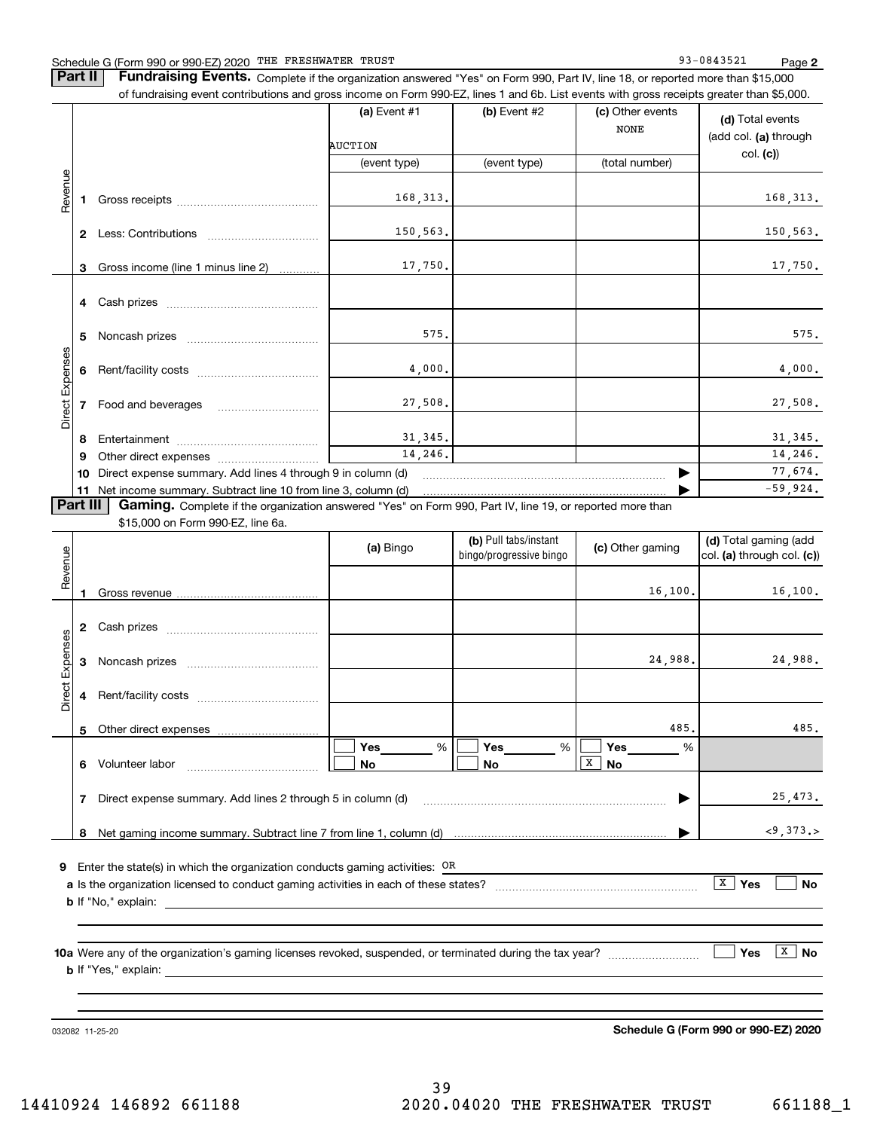**Part II** | Fundraising Events. Complete if the organization answered "Yes" on Form 990, Part IV, line 18, or reported more than \$15,000 of fundraising event contributions and gross income on Form 990-EZ, lines 1 and 6b. List events with gross receipts greater than \$5,000.

|                 |              |                                                                                                                         | (a) Event $#1$<br><b>AUCTION</b><br>(event type) | (b) Event $#2$<br>(event type) | (c) Other events<br><b>NONE</b><br>(total number) | (d) Total events<br>(add col. (a) through<br>col. (c) |
|-----------------|--------------|-------------------------------------------------------------------------------------------------------------------------|--------------------------------------------------|--------------------------------|---------------------------------------------------|-------------------------------------------------------|
| Revenue         |              |                                                                                                                         | 168, 313.                                        |                                |                                                   | 168, 313.                                             |
|                 | $\mathbf{2}$ | Less: Contributions                                                                                                     | 150,563.                                         |                                |                                                   | 150,563.                                              |
|                 | 3            | Gross income (line 1 minus line 2)                                                                                      | 17,750.                                          |                                |                                                   | 17,750.                                               |
|                 | 4            |                                                                                                                         |                                                  |                                |                                                   |                                                       |
|                 | 5            | Noncash prizes                                                                                                          | 575.                                             |                                |                                                   | 575.                                                  |
|                 |              | Rent/facility costs                                                                                                     | 4,000.                                           |                                |                                                   | 4,000.                                                |
| Direct Expenses |              | 7 Food and beverages                                                                                                    | 27,508.                                          |                                |                                                   | 27,508.                                               |
|                 | -8           |                                                                                                                         | 31,345.                                          |                                |                                                   | 31,345.                                               |
|                 | 9            |                                                                                                                         | 14,246.                                          |                                |                                                   | 14,246.                                               |
|                 | 10           | Direct expense summary. Add lines 4 through 9 in column (d)                                                             |                                                  |                                |                                                   | 77,674.                                               |
|                 |              | 11 Net income summary. Subtract line 10 from line 3, column (d)                                                         |                                                  |                                |                                                   | $-59,924.$                                            |
|                 |              | <b>Dart III</b> Gaming complete if the experiention appurered "Yea" on Form 000, Best IV line 10, or reported mars than |                                                  |                                |                                                   |                                                       |

**Part III | Gaming.** Complete if the organization answered "Yes" on Form 990, Part IV, line 19, or reported more than

\$15,000 on Form 990-EZ, line 6a.

|                 |              |                                                                             | (a) Bingo                   | (b) Pull tabs/instant<br>bingo/progressive bingo | (c) Other gaming                                        | (d) Total gaming (add<br>col. (a) through col. (c)) |
|-----------------|--------------|-----------------------------------------------------------------------------|-----------------------------|--------------------------------------------------|---------------------------------------------------------|-----------------------------------------------------|
| Revenue         |              |                                                                             |                             |                                                  | 16, 100.                                                | 16, 100.                                            |
|                 | $\mathbf{2}$ |                                                                             |                             |                                                  |                                                         |                                                     |
|                 | 3            |                                                                             |                             |                                                  | 24,988.                                                 | 24,988.                                             |
| Direct Expenses | 4            |                                                                             |                             |                                                  |                                                         |                                                     |
|                 |              |                                                                             |                             |                                                  | 485.                                                    | 485.                                                |
|                 | 6            | Volunteer labor                                                             | Yes_________ %<br><b>No</b> | $Yes$ %<br><b>No</b>                             | Yes $\qquad \qquad$<br>%<br>$\overline{X}$<br><b>No</b> |                                                     |
|                 | 7            |                                                                             |                             |                                                  |                                                         | 25,473.                                             |
|                 | 8            |                                                                             |                             |                                                  |                                                         | < 9, 373.                                           |
| 9               |              | Enter the state(s) in which the organization conducts gaming activities: OR |                             |                                                  |                                                         |                                                     |
|                 |              |                                                                             |                             |                                                  |                                                         | $\overline{X}$<br>Yes<br><b>No</b>                  |
|                 |              |                                                                             |                             |                                                  |                                                         |                                                     |
|                 |              |                                                                             |                             |                                                  |                                                         | $\mathbf{x}$<br>Yes<br><b>No</b>                    |
|                 |              |                                                                             |                             |                                                  |                                                         |                                                     |

032082 11-25-20

**Schedule G (Form 990 or 990-EZ) 2020**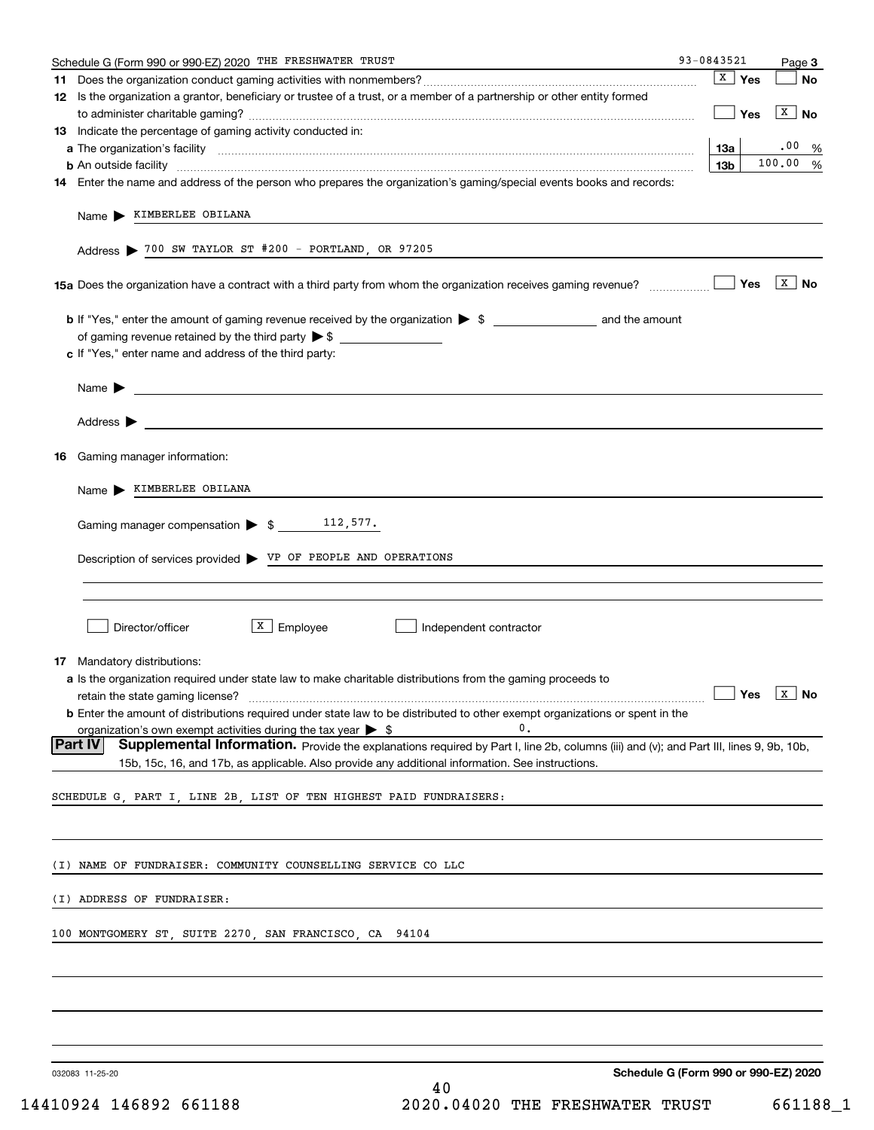| Schedule G (Form 990 or 990-EZ) 2020 THE FRESHWATER TRUST                                                                                                                                                                                                    | 93-0843521 |                 |     | Page 3       |
|--------------------------------------------------------------------------------------------------------------------------------------------------------------------------------------------------------------------------------------------------------------|------------|-----------------|-----|--------------|
|                                                                                                                                                                                                                                                              |            | $\sqrt{X}$ Yes  |     | <b>No</b>    |
| 12 Is the organization a grantor, beneficiary or trustee of a trust, or a member of a partnership or other entity formed                                                                                                                                     |            |                 | Yes | $X \mid N$ o |
| <b>13</b> Indicate the percentage of gaming activity conducted in:                                                                                                                                                                                           |            |                 |     |              |
|                                                                                                                                                                                                                                                              |            | 13a             |     | .00%         |
|                                                                                                                                                                                                                                                              |            | 13 <sub>b</sub> |     | 100.00 %     |
| 14 Enter the name and address of the person who prepares the organization's gaming/special events books and records:                                                                                                                                         |            |                 |     |              |
| Name > KIMBERLEE OBILANA                                                                                                                                                                                                                                     |            |                 |     |              |
| Address > 700 SW TAYLOR ST #200 - PORTLAND, OR 97205                                                                                                                                                                                                         |            |                 |     |              |
|                                                                                                                                                                                                                                                              |            |                 |     |              |
|                                                                                                                                                                                                                                                              |            |                 |     |              |
|                                                                                                                                                                                                                                                              |            |                 |     |              |
| c If "Yes," enter name and address of the third party:                                                                                                                                                                                                       |            |                 |     |              |
| Name $\blacktriangleright$ $\lrcorner$                                                                                                                                                                                                                       |            |                 |     |              |
|                                                                                                                                                                                                                                                              |            |                 |     |              |
|                                                                                                                                                                                                                                                              |            |                 |     |              |
| <b>16</b> Gaming manager information:                                                                                                                                                                                                                        |            |                 |     |              |
| Name > KIMBERLEE OBILANA                                                                                                                                                                                                                                     |            |                 |     |              |
|                                                                                                                                                                                                                                                              |            |                 |     |              |
| Gaming manager compensation $\triangleright$ \$ 112,577.                                                                                                                                                                                                     |            |                 |     |              |
| Description of services provided > VP OF PEOPLE AND OPERATIONS                                                                                                                                                                                               |            |                 |     |              |
|                                                                                                                                                                                                                                                              |            |                 |     |              |
|                                                                                                                                                                                                                                                              |            |                 |     |              |
| $X$ Employee<br>Director/officer<br>Independent contractor                                                                                                                                                                                                   |            |                 |     |              |
|                                                                                                                                                                                                                                                              |            |                 |     |              |
| 17 Mandatory distributions:<br>a Is the organization required under state law to make charitable distributions from the gaming proceeds to                                                                                                                   |            |                 |     |              |
| retain the state gaming license? $\ldots$ No                                                                                                                                                                                                                 |            |                 |     |              |
| <b>b</b> Enter the amount of distributions required under state law to be distributed to other exempt organizations or spent in the                                                                                                                          |            |                 |     |              |
| 0.<br>organization's own exempt activities during the tax year $\triangleright$ \$                                                                                                                                                                           |            |                 |     |              |
| <b>Part IV</b><br>Supplemental Information. Provide the explanations required by Part I, line 2b, columns (iii) and (v); and Part III, lines 9, 9b, 10b,<br>15b, 15c, 16, and 17b, as applicable. Also provide any additional information. See instructions. |            |                 |     |              |
|                                                                                                                                                                                                                                                              |            |                 |     |              |
| SCHEDULE G, PART I, LINE 2B, LIST OF TEN HIGHEST PAID FUNDRAISERS:                                                                                                                                                                                           |            |                 |     |              |
|                                                                                                                                                                                                                                                              |            |                 |     |              |
|                                                                                                                                                                                                                                                              |            |                 |     |              |
| (I) NAME OF FUNDRAISER: COMMUNITY COUNSELLING SERVICE CO LLC                                                                                                                                                                                                 |            |                 |     |              |
| (I) ADDRESS OF FUNDRAISER:                                                                                                                                                                                                                                   |            |                 |     |              |
| 100 MONTGOMERY ST, SUITE 2270, SAN FRANCISCO, CA 94104                                                                                                                                                                                                       |            |                 |     |              |
|                                                                                                                                                                                                                                                              |            |                 |     |              |
|                                                                                                                                                                                                                                                              |            |                 |     |              |
|                                                                                                                                                                                                                                                              |            |                 |     |              |
|                                                                                                                                                                                                                                                              |            |                 |     |              |
| Schedule G (Form 990 or 990-EZ) 2020<br>032083 11-25-20                                                                                                                                                                                                      |            |                 |     |              |
| 40                                                                                                                                                                                                                                                           |            |                 |     |              |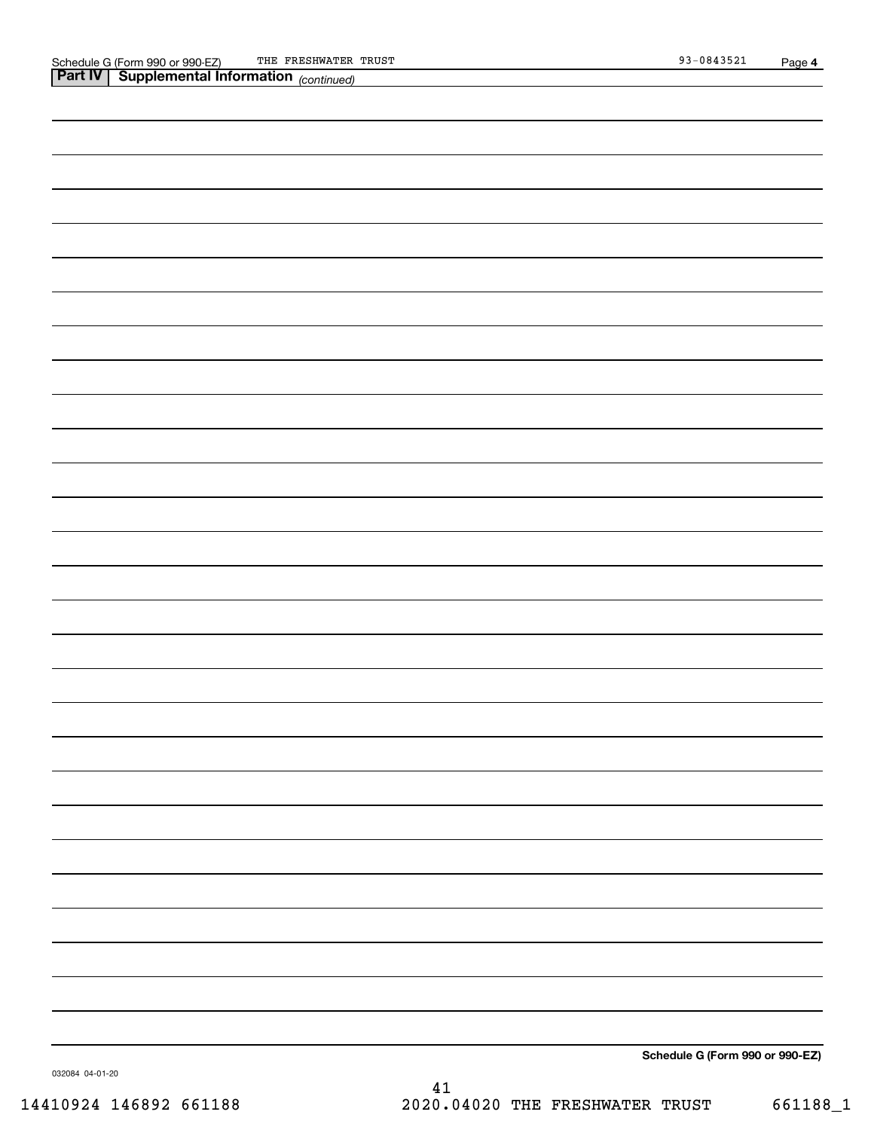*(continued)*

**Schedule G (Form 990 or 990-EZ)**

032084 04-01-20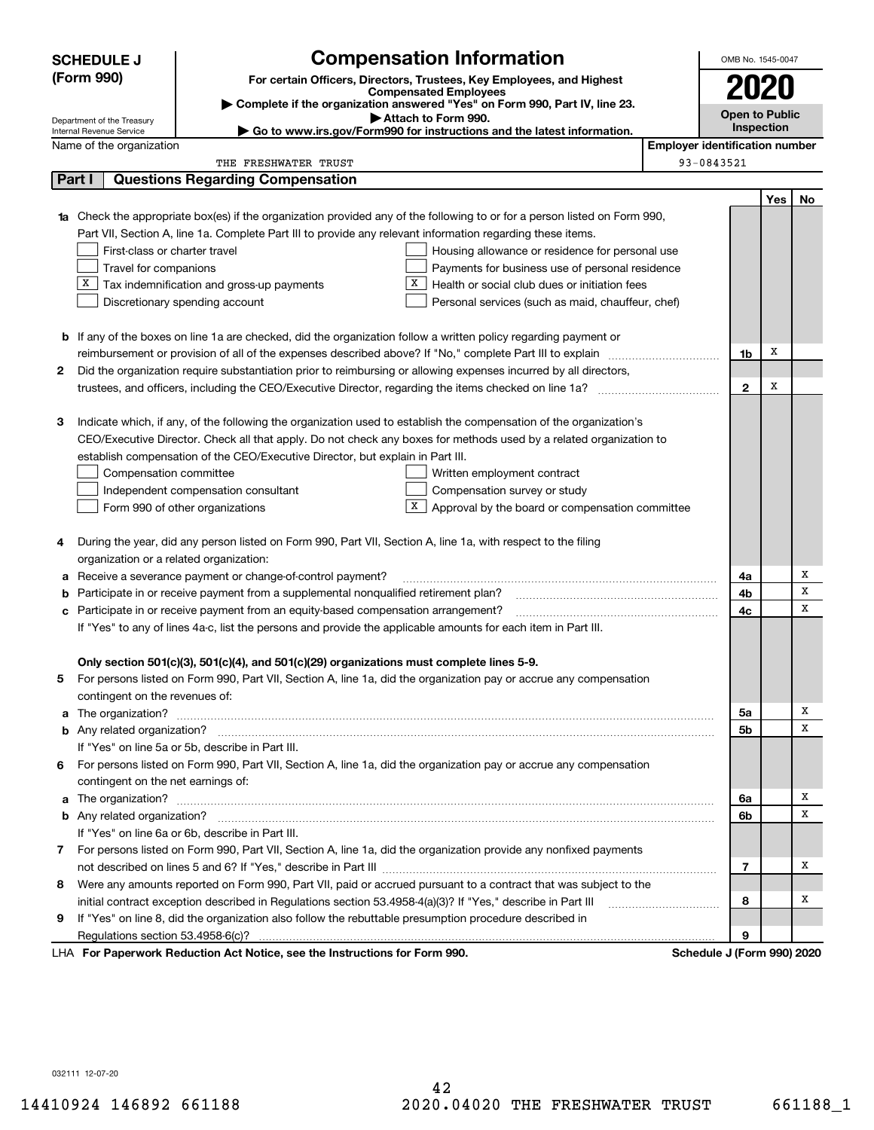|    | <b>SCHEDULE J</b>                       |                                                                                                                        | <b>Compensation Information</b>                                                                                                                                                                                                          |                                       | OMB No. 1545-0047          |     |    |
|----|-----------------------------------------|------------------------------------------------------------------------------------------------------------------------|------------------------------------------------------------------------------------------------------------------------------------------------------------------------------------------------------------------------------------------|---------------------------------------|----------------------------|-----|----|
|    | (Form 990)                              |                                                                                                                        | For certain Officers, Directors, Trustees, Key Employees, and Highest                                                                                                                                                                    |                                       |                            |     |    |
|    |                                         |                                                                                                                        | <b>Compensated Employees</b>                                                                                                                                                                                                             |                                       | 2020                       |     |    |
|    | Department of the Treasury              |                                                                                                                        | Complete if the organization answered "Yes" on Form 990, Part IV, line 23.<br>Attach to Form 990.                                                                                                                                        |                                       | <b>Open to Public</b>      |     |    |
|    | Internal Revenue Service                |                                                                                                                        | ► Go to www.irs.gov/Form990 for instructions and the latest information.                                                                                                                                                                 |                                       | <b>Inspection</b>          |     |    |
|    | Name of the organization                |                                                                                                                        |                                                                                                                                                                                                                                          | <b>Employer identification number</b> |                            |     |    |
|    |                                         | THE FRESHWATER TRUST                                                                                                   |                                                                                                                                                                                                                                          |                                       | 93-0843521                 |     |    |
|    | Part I                                  | <b>Questions Regarding Compensation</b>                                                                                |                                                                                                                                                                                                                                          |                                       |                            |     |    |
|    |                                         |                                                                                                                        |                                                                                                                                                                                                                                          |                                       |                            | Yes | No |
|    |                                         |                                                                                                                        | <b>1a</b> Check the appropriate box(es) if the organization provided any of the following to or for a person listed on Form 990,                                                                                                         |                                       |                            |     |    |
|    |                                         | Part VII, Section A, line 1a. Complete Part III to provide any relevant information regarding these items.             |                                                                                                                                                                                                                                          |                                       |                            |     |    |
|    | First-class or charter travel           |                                                                                                                        | Housing allowance or residence for personal use                                                                                                                                                                                          |                                       |                            |     |    |
|    | Travel for companions                   |                                                                                                                        | Payments for business use of personal residence                                                                                                                                                                                          |                                       |                            |     |    |
|    |                                         | $X$ Tax indemnification and gross-up payments                                                                          | X<br>Health or social club dues or initiation fees                                                                                                                                                                                       |                                       |                            |     |    |
|    |                                         | Discretionary spending account                                                                                         | Personal services (such as maid, chauffeur, chef)                                                                                                                                                                                        |                                       |                            |     |    |
|    |                                         |                                                                                                                        |                                                                                                                                                                                                                                          |                                       |                            |     |    |
|    |                                         | <b>b</b> If any of the boxes on line 1a are checked, did the organization follow a written policy regarding payment or |                                                                                                                                                                                                                                          |                                       |                            | X   |    |
|    |                                         | reimbursement or provision of all of the expenses described above? If "No," complete Part III to explain               |                                                                                                                                                                                                                                          |                                       | 1b                         |     |    |
| 2  |                                         |                                                                                                                        | Did the organization require substantiation prior to reimbursing or allowing expenses incurred by all directors,                                                                                                                         |                                       |                            | х   |    |
|    |                                         |                                                                                                                        |                                                                                                                                                                                                                                          |                                       | $\mathbf{2}$               |     |    |
| З  |                                         |                                                                                                                        |                                                                                                                                                                                                                                          |                                       |                            |     |    |
|    |                                         |                                                                                                                        | Indicate which, if any, of the following the organization used to establish the compensation of the organization's<br>CEO/Executive Director. Check all that apply. Do not check any boxes for methods used by a related organization to |                                       |                            |     |    |
|    |                                         | establish compensation of the CEO/Executive Director, but explain in Part III.                                         |                                                                                                                                                                                                                                          |                                       |                            |     |    |
|    |                                         |                                                                                                                        |                                                                                                                                                                                                                                          |                                       |                            |     |    |
|    | Compensation committee                  |                                                                                                                        | Written employment contract<br>Compensation survey or study                                                                                                                                                                              |                                       |                            |     |    |
|    |                                         | Independent compensation consultant<br>Form 990 of other organizations                                                 | X  <br>Approval by the board or compensation committee                                                                                                                                                                                   |                                       |                            |     |    |
|    |                                         |                                                                                                                        |                                                                                                                                                                                                                                          |                                       |                            |     |    |
| 4  |                                         | During the year, did any person listed on Form 990, Part VII, Section A, line 1a, with respect to the filing           |                                                                                                                                                                                                                                          |                                       |                            |     |    |
|    | organization or a related organization: |                                                                                                                        |                                                                                                                                                                                                                                          |                                       |                            |     |    |
| а  |                                         | Receive a severance payment or change-of-control payment?                                                              |                                                                                                                                                                                                                                          |                                       | 4a                         |     | х  |
| b  |                                         | Participate in or receive payment from a supplemental nonqualified retirement plan?                                    |                                                                                                                                                                                                                                          |                                       | 4b                         |     | х  |
| с  |                                         | Participate in or receive payment from an equity-based compensation arrangement?                                       |                                                                                                                                                                                                                                          |                                       | 4с                         |     | х  |
|    |                                         | If "Yes" to any of lines 4a-c, list the persons and provide the applicable amounts for each item in Part III.          |                                                                                                                                                                                                                                          |                                       |                            |     |    |
|    |                                         |                                                                                                                        |                                                                                                                                                                                                                                          |                                       |                            |     |    |
|    |                                         | Only section 501(c)(3), 501(c)(4), and 501(c)(29) organizations must complete lines 5-9.                               |                                                                                                                                                                                                                                          |                                       |                            |     |    |
|    |                                         |                                                                                                                        | For persons listed on Form 990, Part VII, Section A, line 1a, did the organization pay or accrue any compensation                                                                                                                        |                                       |                            |     |    |
|    | contingent on the revenues of:          |                                                                                                                        |                                                                                                                                                                                                                                          |                                       |                            |     |    |
|    |                                         |                                                                                                                        | a The organization? <b>Entitation</b> and the organization?                                                                                                                                                                              |                                       | 5a                         |     | х  |
|    |                                         |                                                                                                                        |                                                                                                                                                                                                                                          |                                       | 5b                         |     | х  |
|    |                                         | If "Yes" on line 5a or 5b, describe in Part III.                                                                       |                                                                                                                                                                                                                                          |                                       |                            |     |    |
| 6. |                                         |                                                                                                                        | For persons listed on Form 990, Part VII, Section A, line 1a, did the organization pay or accrue any compensation                                                                                                                        |                                       |                            |     |    |
|    | contingent on the net earnings of:      |                                                                                                                        |                                                                                                                                                                                                                                          |                                       |                            |     |    |
|    |                                         |                                                                                                                        |                                                                                                                                                                                                                                          |                                       | 6a                         |     | Х  |
|    |                                         |                                                                                                                        |                                                                                                                                                                                                                                          |                                       | 6b                         |     | х  |
|    |                                         | If "Yes" on line 6a or 6b, describe in Part III.                                                                       |                                                                                                                                                                                                                                          |                                       |                            |     |    |
|    |                                         |                                                                                                                        | 7 For persons listed on Form 990, Part VII, Section A, line 1a, did the organization provide any nonfixed payments                                                                                                                       |                                       |                            |     |    |
|    |                                         |                                                                                                                        |                                                                                                                                                                                                                                          |                                       | 7                          |     | Х  |
|    |                                         |                                                                                                                        | 8 Were any amounts reported on Form 990, Part VII, paid or accrued pursuant to a contract that was subject to the                                                                                                                        |                                       |                            |     |    |
|    |                                         | initial contract exception described in Regulations section 53.4958-4(a)(3)? If "Yes," describe in Part III            |                                                                                                                                                                                                                                          |                                       | 8                          |     | Х  |
| 9  |                                         | If "Yes" on line 8, did the organization also follow the rebuttable presumption procedure described in                 |                                                                                                                                                                                                                                          |                                       |                            |     |    |
|    |                                         |                                                                                                                        |                                                                                                                                                                                                                                          |                                       | 9                          |     |    |
|    |                                         | LHA For Paperwork Reduction Act Notice, see the Instructions for Form 990.                                             |                                                                                                                                                                                                                                          |                                       | Schedule J (Form 990) 2020 |     |    |

032111 12-07-20

42 14410924 146892 661188 2020.04020 THE FRESHWATER TRUST 661188\_1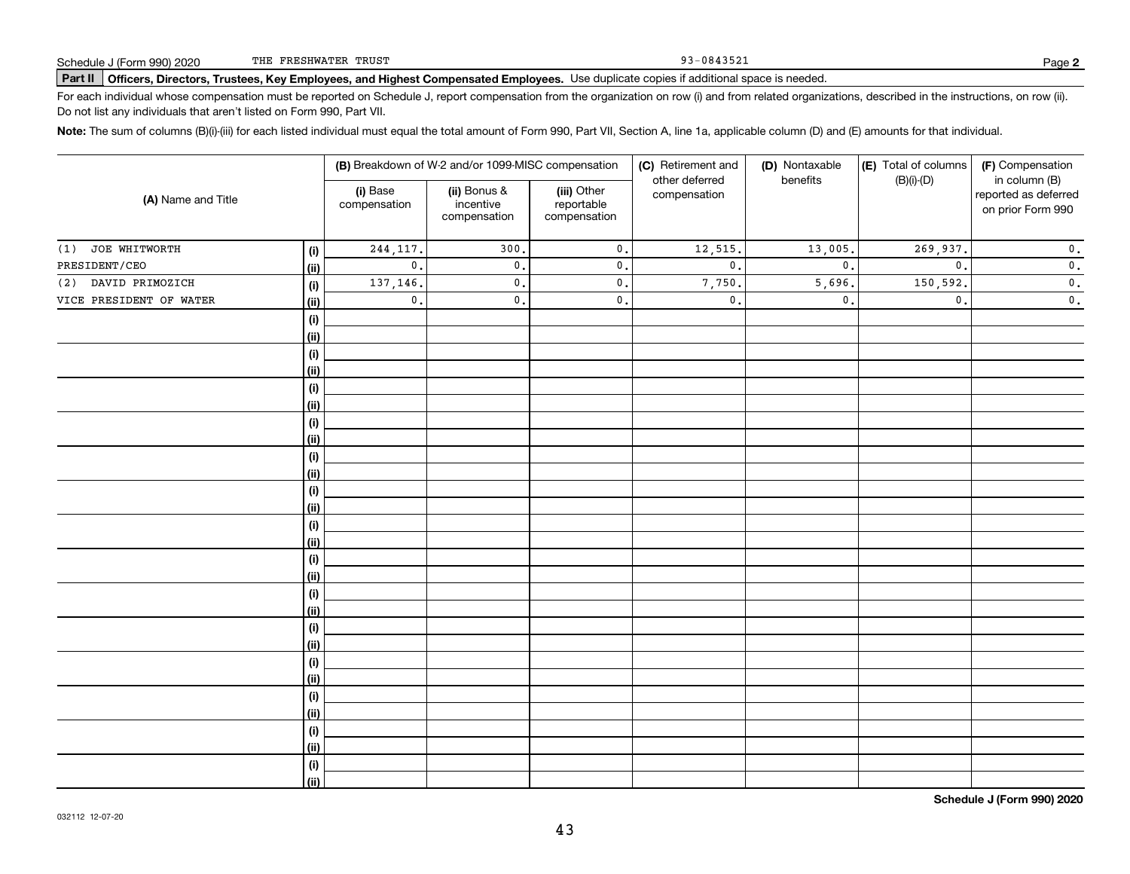93-0843521

# **Part II Officers, Directors, Trustees, Key Employees, and Highest Compensated Employees.**  Schedule J (Form 990) 2020 Page Use duplicate copies if additional space is needed.

For each individual whose compensation must be reported on Schedule J, report compensation from the organization on row (i) and from related organizations, described in the instructions, on row (ii). Do not list any individuals that aren't listed on Form 990, Part VII.

**Note:**  The sum of columns (B)(i)-(iii) for each listed individual must equal the total amount of Form 990, Part VII, Section A, line 1a, applicable column (D) and (E) amounts for that individual.

|                         |      |                          | (B) Breakdown of W-2 and/or 1099-MISC compensation |                                           | (C) Retirement and             | (D) Nontaxable | (E) Total of columns      | (F) Compensation                                           |
|-------------------------|------|--------------------------|----------------------------------------------------|-------------------------------------------|--------------------------------|----------------|---------------------------|------------------------------------------------------------|
| (A) Name and Title      |      | (i) Base<br>compensation | (ii) Bonus &<br>incentive<br>compensation          | (iii) Other<br>reportable<br>compensation | other deferred<br>compensation | benefits       | $(B)(i)-(D)$              | in column (B)<br>reported as deferred<br>on prior Form 990 |
| JOE WHITWORTH<br>(1)    | (i)  | 244, 117.                | 300.                                               | $\mathbf 0$ .                             | 12,515.                        | 13,005.        | 269,937.                  | $\mathbf 0$ .                                              |
| PRESIDENT/CEO           | (ii) | $\mathbf{0}$ .           | $\mathbf{0}$ .                                     | $\mathbf 0$ .                             | $\mathbf{0}$ .                 | $\mathbf{0}$   | $\mathbf{0}$ .            | $\mathbf 0$ .                                              |
| DAVID PRIMOZICH<br>(2)  | (i)  | 137,146.                 | $\mathbf{0}$ .                                     | $\mathsf{0}\,$ .                          | 7,750.                         | 5,696.         | 150,592.                  | $\mathbf 0$ .                                              |
| VICE PRESIDENT OF WATER | (ii) | $\mathbf{0}$ .           | $\mathfrak o$ .                                    | $\mathbf 0$ .                             | $\mathsf{o}\,.$                | $\mathbf{0}$   | $\overline{\mathbf{0}}$ . | $\overline{\mathbf{0}}$ .                                  |
|                         | (i)  |                          |                                                    |                                           |                                |                |                           |                                                            |
|                         | (ii) |                          |                                                    |                                           |                                |                |                           |                                                            |
|                         | (i)  |                          |                                                    |                                           |                                |                |                           |                                                            |
|                         | (ii) |                          |                                                    |                                           |                                |                |                           |                                                            |
|                         | (i)  |                          |                                                    |                                           |                                |                |                           |                                                            |
|                         | (ii) |                          |                                                    |                                           |                                |                |                           |                                                            |
|                         | (i)  |                          |                                                    |                                           |                                |                |                           |                                                            |
|                         | (ii) |                          |                                                    |                                           |                                |                |                           |                                                            |
|                         | (i)  |                          |                                                    |                                           |                                |                |                           |                                                            |
|                         | (ii) |                          |                                                    |                                           |                                |                |                           |                                                            |
|                         | (i)  |                          |                                                    |                                           |                                |                |                           |                                                            |
|                         | (ii) |                          |                                                    |                                           |                                |                |                           |                                                            |
|                         | (i)  |                          |                                                    |                                           |                                |                |                           |                                                            |
|                         | (ii) |                          |                                                    |                                           |                                |                |                           |                                                            |
|                         | (i)  |                          |                                                    |                                           |                                |                |                           |                                                            |
|                         | (ii) |                          |                                                    |                                           |                                |                |                           |                                                            |
|                         | (i)  |                          |                                                    |                                           |                                |                |                           |                                                            |
|                         | (ii) |                          |                                                    |                                           |                                |                |                           |                                                            |
|                         | (i)  |                          |                                                    |                                           |                                |                |                           |                                                            |
|                         | (ii) |                          |                                                    |                                           |                                |                |                           |                                                            |
|                         | (i)  |                          |                                                    |                                           |                                |                |                           |                                                            |
|                         | (ii) |                          |                                                    |                                           |                                |                |                           |                                                            |
|                         | (i)  |                          |                                                    |                                           |                                |                |                           |                                                            |
|                         | (ii) |                          |                                                    |                                           |                                |                |                           |                                                            |
|                         | (i)  |                          |                                                    |                                           |                                |                |                           |                                                            |
|                         | (ii) |                          |                                                    |                                           |                                |                |                           |                                                            |
|                         | (i)  |                          |                                                    |                                           |                                |                |                           |                                                            |
|                         | (ii) |                          |                                                    |                                           |                                |                |                           |                                                            |

**Schedule J (Form 990) 2020**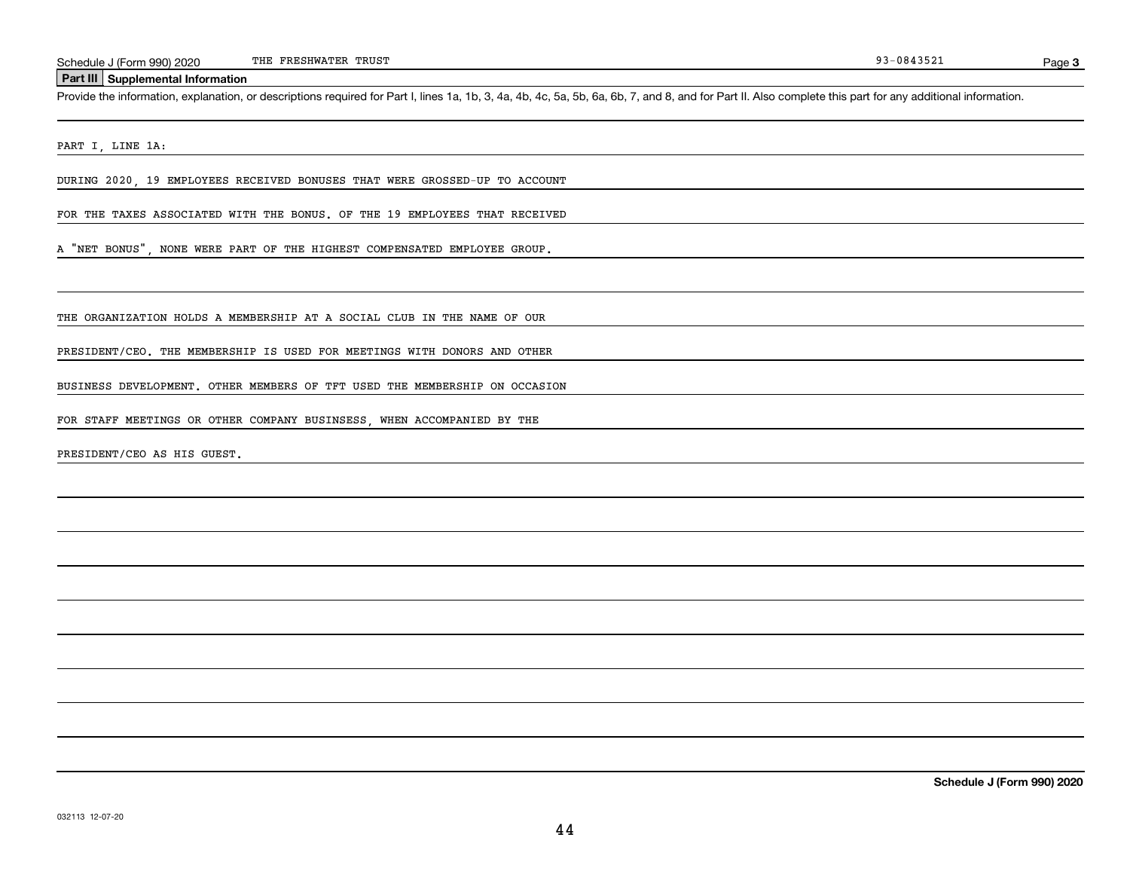#### **Part III Supplemental Information**

Schedule J (Form 990) 2020 THE FRESHWATER TRUST<br> **Part III** Supplemental Information<br>
Provide the information, explanation, or descriptions required for Part I, lines 1a, 1b, 3, 4a, 4b, 4c, 5a, 5b, 6a, 6b, 7, and 8, and fo

PART I, LINE 1A:

DURING 2020, 19 EMPLOYEES RECEIVED BONUSES THAT WERE GROSSED-UP TO ACCOUNT

FOR THE TAXES ASSOCIATED WITH THE BONUS. OF THE 19 EMPLOYEES THAT RECEIVED

A "NET BONUS", NONE WERE PART OF THE HIGHEST COMPENSATED EMPLOYEE GROUP.

THE ORGANIZATION HOLDS A MEMBERSHIP AT A SOCIAL CLUB IN THE NAME OF OUR

PRESIDENT/CEO. THE MEMBERSHIP IS USED FOR MEETINGS WITH DONORS AND OTHER

BUSINESS DEVELOPMENT. OTHER MEMBERS OF TFT USED THE MEMBERSHIP ON OCCASION

FOR STAFF MEETINGS OR OTHER COMPANY BUSINSESS, WHEN ACCOMPANIED BY THE

PRESIDENT/CEO AS HIS GUEST.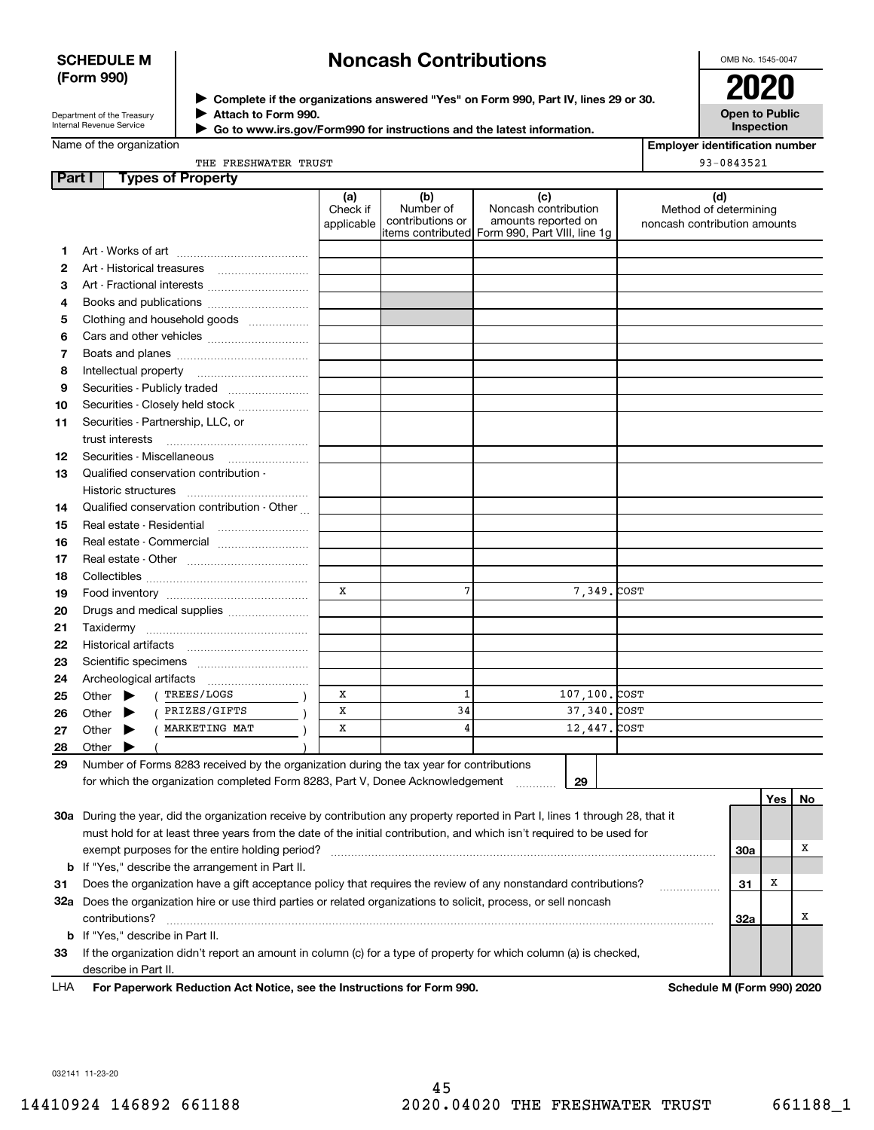## **SCHEDULE M (Form 990)**

# **Noncash Contributions**

OMB No. 1545-0047

| Department of the Treasury |
|----------------------------|
| Internal Revenue Service   |

**Complete if the organizations answered "Yes" on Form 990, Part IV, lines 29 or 30.** <sup>J</sup>**2020 Attach to Form 990.** J

**Open to Public Inspection**

|  | Name of the organization |
|--|--------------------------|
|--|--------------------------|

 **Go to www.irs.gov/Form990 for instructions and the latest information.** J

**Employer identification number** 93-0843521

| THE FRESHWATER TRUST |  |
|----------------------|--|
|                      |  |

| Part I | <b>Types of Property</b>                                                                                                       |                               |                                      |                                                                                                      |                                                              |     |     |     |
|--------|--------------------------------------------------------------------------------------------------------------------------------|-------------------------------|--------------------------------------|------------------------------------------------------------------------------------------------------|--------------------------------------------------------------|-----|-----|-----|
|        |                                                                                                                                | (a)<br>Check if<br>applicable | (b)<br>Number of<br>contributions or | (c)<br>Noncash contribution<br>amounts reported on<br>items contributed Form 990, Part VIII, line 1g | (d)<br>Method of determining<br>noncash contribution amounts |     |     |     |
| 1.     |                                                                                                                                |                               |                                      |                                                                                                      |                                                              |     |     |     |
| 2      |                                                                                                                                |                               |                                      |                                                                                                      |                                                              |     |     |     |
| 3      | Art - Fractional interests                                                                                                     |                               |                                      |                                                                                                      |                                                              |     |     |     |
| 4      | Books and publications                                                                                                         |                               |                                      |                                                                                                      |                                                              |     |     |     |
| 5      | Clothing and household goods                                                                                                   |                               |                                      |                                                                                                      |                                                              |     |     |     |
| 6      |                                                                                                                                |                               |                                      |                                                                                                      |                                                              |     |     |     |
| 7      |                                                                                                                                |                               |                                      |                                                                                                      |                                                              |     |     |     |
| 8      | Intellectual property                                                                                                          |                               |                                      |                                                                                                      |                                                              |     |     |     |
| 9      | Securities - Publicly traded                                                                                                   |                               |                                      |                                                                                                      |                                                              |     |     |     |
| 10     | Securities - Closely held stock                                                                                                |                               |                                      |                                                                                                      |                                                              |     |     |     |
| 11     | Securities - Partnership, LLC, or                                                                                              |                               |                                      |                                                                                                      |                                                              |     |     |     |
|        | trust interests                                                                                                                |                               |                                      |                                                                                                      |                                                              |     |     |     |
| 12     | Securities - Miscellaneous                                                                                                     |                               |                                      |                                                                                                      |                                                              |     |     |     |
| 13     | Qualified conservation contribution -                                                                                          |                               |                                      |                                                                                                      |                                                              |     |     |     |
|        | Historic structures                                                                                                            |                               |                                      |                                                                                                      |                                                              |     |     |     |
| 14     | Qualified conservation contribution - Other                                                                                    |                               |                                      |                                                                                                      |                                                              |     |     |     |
| 15     | Real estate - Residential                                                                                                      |                               |                                      |                                                                                                      |                                                              |     |     |     |
| 16     | Real estate - Commercial                                                                                                       |                               |                                      |                                                                                                      |                                                              |     |     |     |
| 17     |                                                                                                                                |                               |                                      |                                                                                                      |                                                              |     |     |     |
| 18     |                                                                                                                                |                               |                                      |                                                                                                      |                                                              |     |     |     |
| 19     |                                                                                                                                | X                             | 7                                    | 7,349. COST                                                                                          |                                                              |     |     |     |
| 20     | Drugs and medical supplies                                                                                                     |                               |                                      |                                                                                                      |                                                              |     |     |     |
| 21     |                                                                                                                                |                               |                                      |                                                                                                      |                                                              |     |     |     |
| 22     | Historical artifacts                                                                                                           |                               |                                      |                                                                                                      |                                                              |     |     |     |
| 23     |                                                                                                                                |                               |                                      |                                                                                                      |                                                              |     |     |     |
| 24     | Archeological artifacts                                                                                                        |                               |                                      |                                                                                                      |                                                              |     |     |     |
| 25     | TREES/LOGS<br>Other $\blacktriangleright$                                                                                      | x                             | $\mathbf{1}$                         | 107,100. COST                                                                                        |                                                              |     |     |     |
| 26     | PRIZES/GIFTS<br>Other $\blacktriangleright$                                                                                    | X                             | 34                                   | 37, 340. COST                                                                                        |                                                              |     |     |     |
| 27     | MARKETING MAT<br>Other $\blacktriangleright$                                                                                   | x                             | 4                                    | 12,447. COST                                                                                         |                                                              |     |     |     |
| 28     | Other $\blacktriangleright$                                                                                                    |                               |                                      |                                                                                                      |                                                              |     |     |     |
| 29     | Number of Forms 8283 received by the organization during the tax year for contributions                                        |                               |                                      |                                                                                                      |                                                              |     |     |     |
|        | for which the organization completed Form 8283, Part V, Donee Acknowledgement                                                  |                               |                                      | 29                                                                                                   |                                                              |     |     |     |
|        |                                                                                                                                |                               |                                      |                                                                                                      |                                                              |     | Yes | No. |
|        | 30a During the year, did the organization receive by contribution any property reported in Part I, lines 1 through 28, that it |                               |                                      |                                                                                                      |                                                              |     |     |     |
|        | must hold for at least three years from the date of the initial contribution, and which isn't required to be used for          |                               |                                      |                                                                                                      |                                                              |     |     |     |
|        | exempt purposes for the entire holding period?                                                                                 |                               |                                      |                                                                                                      |                                                              | 30a |     | х   |
| b      | If "Yes," describe the arrangement in Part II.                                                                                 |                               |                                      |                                                                                                      |                                                              |     |     |     |
| 31     | Does the organization have a gift acceptance policy that requires the review of any nonstandard contributions?                 |                               |                                      |                                                                                                      |                                                              | 31  | х   |     |
|        | 32a Does the organization hire or use third parties or related organizations to solicit, process, or sell noncash              |                               |                                      |                                                                                                      |                                                              |     |     |     |
|        | contributions?                                                                                                                 |                               |                                      |                                                                                                      |                                                              | 32a |     | х   |

**For Paperwork Reduction Act Notice, see the Instructions for Form 990. Schedule M (Form 990) 2020** LHA

**33**If the organization didn't report an amount in column (c) for a type of property for which column (a) is checked,

032141 11-23-20

**b**If "Yes," describe in Part II.

describe in Part II.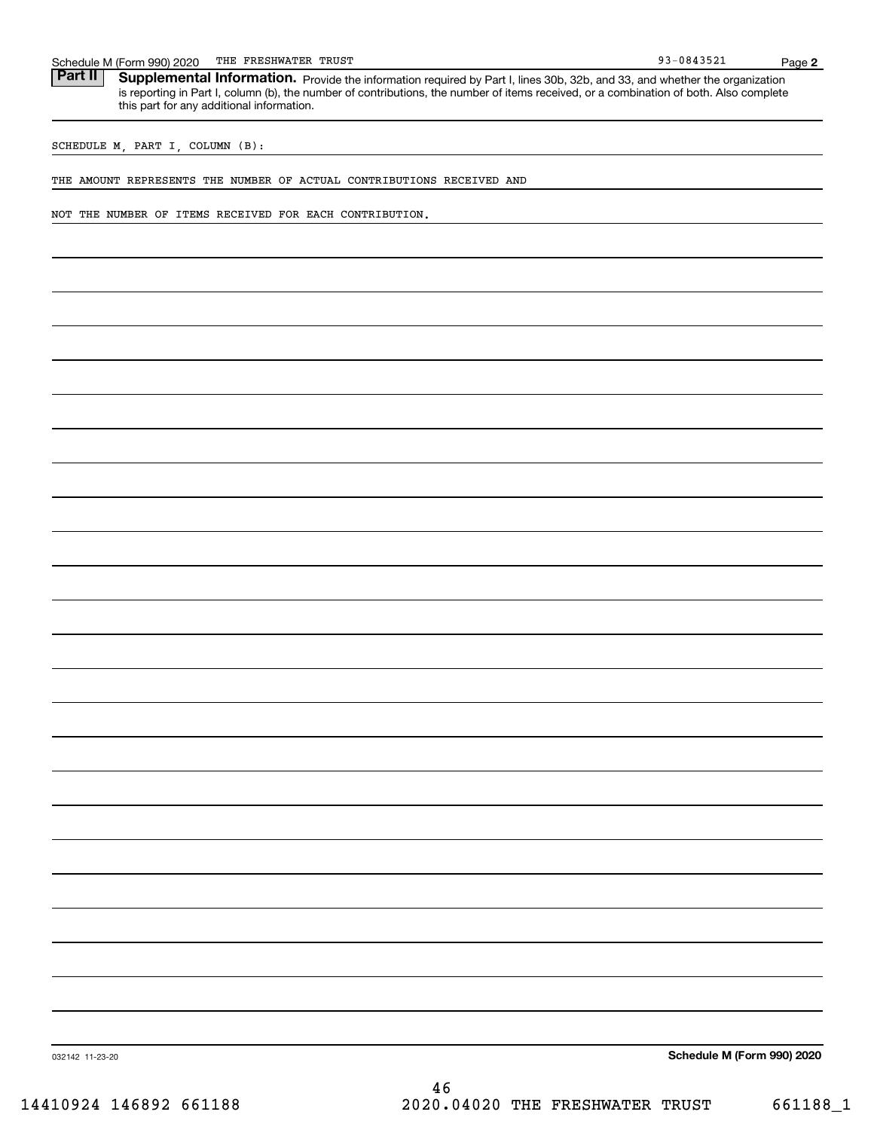| Schedule | 2020<br>M (Form 990) | FRESHWATER<br>ᇭᄑ<br>- nr | TRUST | 1.25.2<br>n a<br><u>UO</u><br>≞ J J Z ⊥<br>. . | Page |  |
|----------|----------------------|--------------------------|-------|------------------------------------------------|------|--|
|----------|----------------------|--------------------------|-------|------------------------------------------------|------|--|

Part II | Supplemental Information. Provide the information required by Part I, lines 30b, 32b, and 33, and whether the organization is reporting in Part I, column (b), the number of contributions, the number of items received, or a combination of both. Also complete this part for any additional information.

SCHEDULE M, PART I, COLUMN (B):

THE AMOUNT REPRESENTS THE NUMBER OF ACTUAL CONTRIBUTIONS RECEIVED AND

NOT THE NUMBER OF ITEMS RECEIVED FOR EACH CONTRIBUTION.

**Schedule M (Form 990) 2020**

032142 11-23-20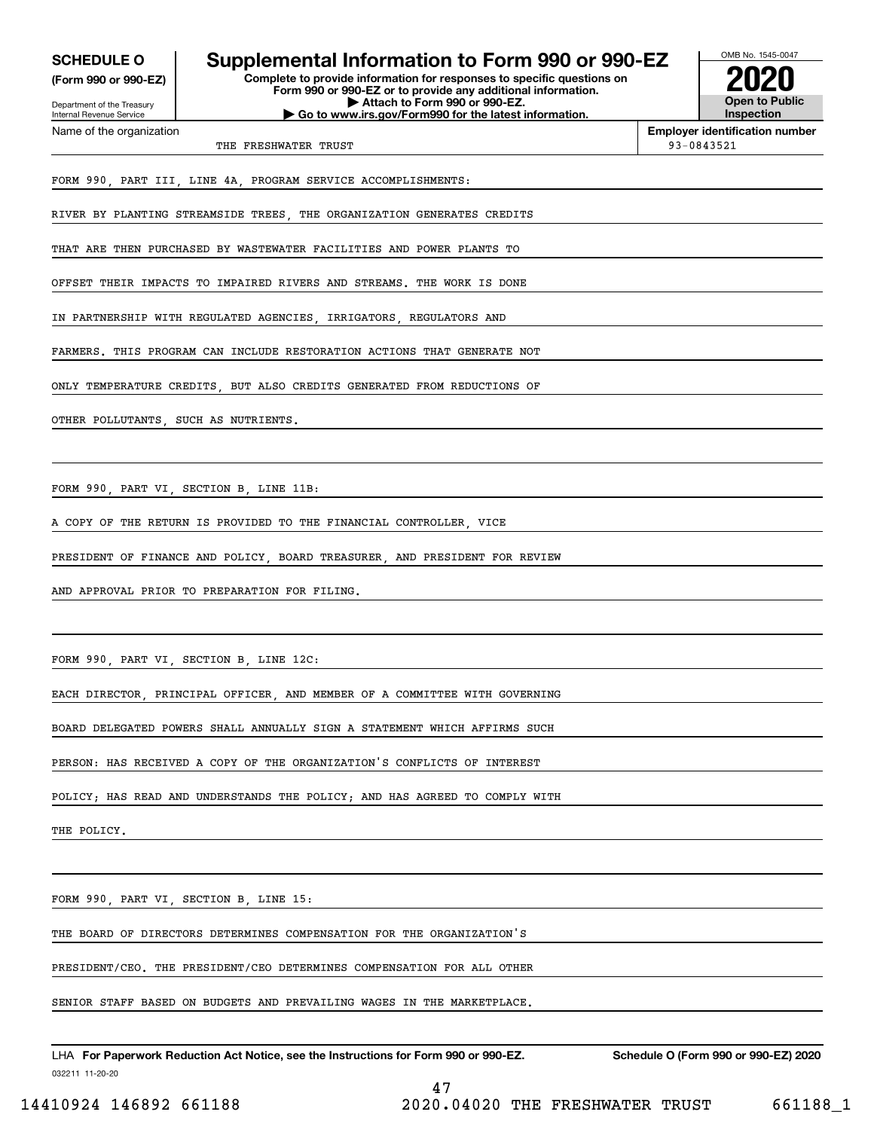**(Form 990 or 990-EZ)**

Department of the Treasury Internal Revenue Service Name of the organization

## **SCHEDULE O Supplemental Information to Form 990 or 990-EZ**

**Complete to provide information for responses to specific questions on Form 990 or 990-EZ or to provide any additional information. | Attach to Form 990 or 990-EZ. | Go to www.irs.gov/Form990 for the latest information.**



**Employer identification number**

THE FRESHWATER TRUST **1999-0843521** 

FORM 990, PART III, LINE 4A, PROGRAM SERVICE ACCOMPLISHMENTS:

RIVER BY PLANTING STREAMSIDE TREES THE ORGANIZATION GENERATES CREDITS

THAT ARE THEN PURCHASED BY WASTEWATER FACILITIES AND POWER PLANTS TO

OFFSET THEIR IMPACTS TO IMPAIRED RIVERS AND STREAMS. THE WORK IS DONE

IN PARTNERSHIP WITH REGULATED AGENCIES IRRIGATORS REGULATORS AND

FARMERS. THIS PROGRAM CAN INCLUDE RESTORATION ACTIONS THAT GENERATE NOT

ONLY TEMPERATURE CREDITS, BUT ALSO CREDITS GENERATED FROM REDUCTIONS OF

OTHER POLLUTANTS SUCH AS NUTRIENTS

FORM 990, PART VI, SECTION B, LINE 11B:

A COPY OF THE RETURN IS PROVIDED TO THE FINANCIAL CONTROLLER, VICE

PRESIDENT OF FINANCE AND POLICY, BOARD TREASURER, AND PRESIDENT FOR REVIEW

AND APPROVAL PRIOR TO PREPARATION FOR FILING.

FORM 990, PART VI, SECTION B, LINE 12C:

EACH DIRECTOR, PRINCIPAL OFFICER, AND MEMBER OF A COMMITTEE WITH GOVERNING

BOARD DELEGATED POWERS SHALL ANNUALLY SIGN A STATEMENT WHICH AFFIRMS SUCH

PERSON: HAS RECEIVED A COPY OF THE ORGANIZATION'S CONFLICTS OF INTEREST

POLICY; HAS READ AND UNDERSTANDS THE POLICY; AND HAS AGREED TO COMPLY WITH

THE POLICY.

FORM 990, PART VI, SECTION B, LINE 15:

THE BOARD OF DIRECTORS DETERMINES COMPENSATION FOR THE ORGANIZATION'S

PRESIDENT/CEO. THE PRESIDENT/CEO DETERMINES COMPENSATION FOR ALL OTHER

SENIOR STAFF BASED ON BUDGETS AND PREVAILING WAGES IN THE MARKETPLACE.

032211 11-20-20 LHA For Paperwork Reduction Act Notice, see the Instructions for Form 990 or 990-EZ. Schedule O (Form 990 or 990-EZ) 2020

47